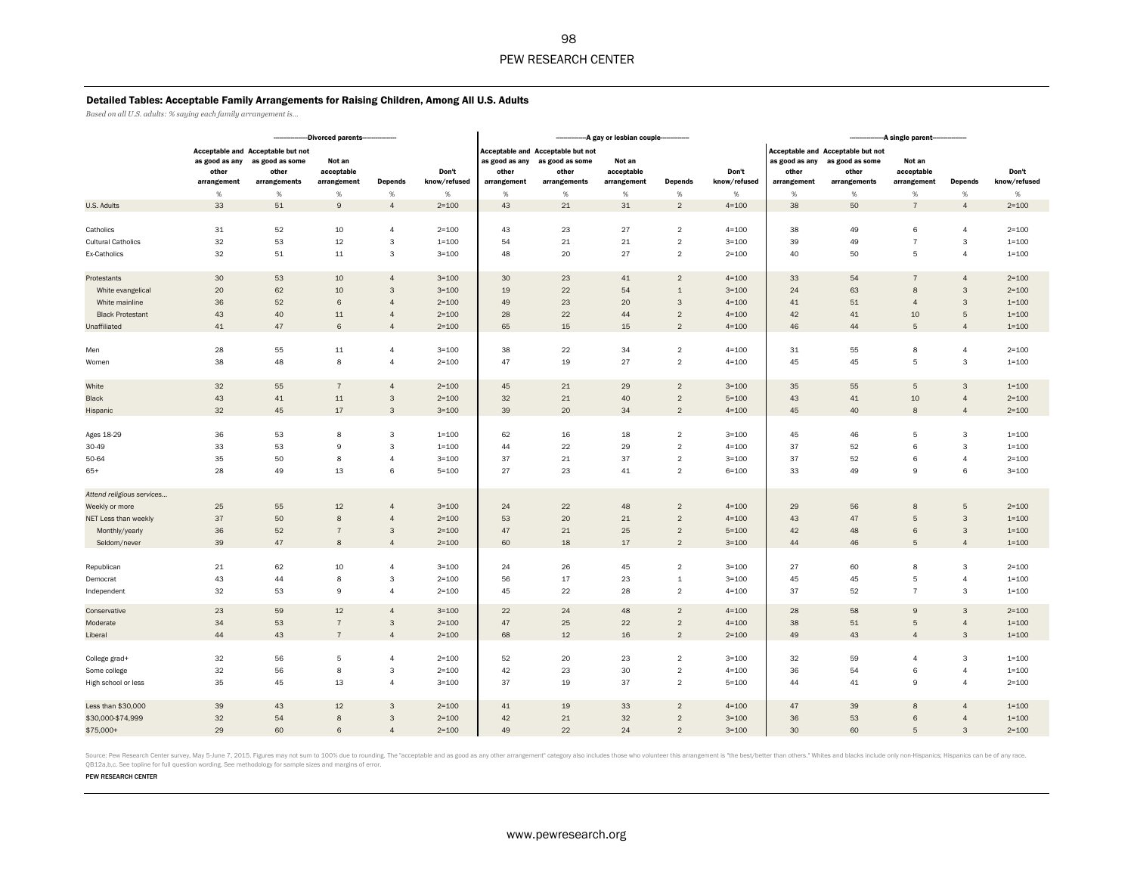Source: Pew Research Center survey, May 5-June 7, 2015. Figures may not sum to 100% due to rounding. The "acceptable and as good as any other arrangement" category also includes those who volunteer this arrangement is "the

www.pewresearch.org

QB12a,b,c. See topline for full question wording. See methodology for sample sizes and margins of error.

#### PEW RESEARCH CENTER

### PEW RESEARCH CENTER

### Detailed Tables: Acceptable Family Arrangements for Raising Children, Among All U.S. Adults

*Based on all U.S. adults: % saying each family arrangement is…*

|                           |                                        |                                                                               | -Divorced parents-                  |                |                       |                                        |                                                                               | --A gay or lesbian couple--         |                           |                       |                                        |                                                                               | -A single parent--                  |                 |                       |
|---------------------------|----------------------------------------|-------------------------------------------------------------------------------|-------------------------------------|----------------|-----------------------|----------------------------------------|-------------------------------------------------------------------------------|-------------------------------------|---------------------------|-----------------------|----------------------------------------|-------------------------------------------------------------------------------|-------------------------------------|-----------------|-----------------------|
|                           | as good as any<br>other<br>arrangement | Acceptable and Acceptable but not<br>as good as some<br>other<br>arrangements | Not an<br>acceptable<br>arrangement | <b>Depends</b> | Don't<br>know/refused | as good as any<br>other<br>arrangement | Acceptable and Acceptable but not<br>as good as some<br>other<br>arrangements | Not an<br>acceptable<br>arrangement | <b>Depends</b>            | Don't<br>know/refused | as good as any<br>other<br>arrangement | Acceptable and Acceptable but not<br>as good as some<br>other<br>arrangements | Not an<br>acceptable<br>arrangement | <b>Depends</b>  | Don't<br>know/refused |
|                           | %                                      | %                                                                             | %                                   | %              | %                     | %                                      | %                                                                             | %                                   | %                         | %                     | %                                      | %                                                                             | %                                   | %               | %                     |
| U.S. Adults               | 33                                     | 51                                                                            | 9                                   | $\overline{4}$ | $2 = 100$             | 43                                     | 21                                                                            | 31                                  | $\overline{2}$            | $4 = 100$             | 38                                     | 50                                                                            | $\overline{7}$                      | $\overline{4}$  | $2 = 100$             |
|                           |                                        |                                                                               |                                     |                |                       |                                        |                                                                               |                                     |                           |                       |                                        |                                                                               |                                     |                 |                       |
| Catholics                 | 31                                     | 52                                                                            | 10                                  | 4              | $2 = 100$             | 43                                     | 23                                                                            | 27                                  | $\overline{2}$            | $4 = 100$             | 38                                     | 49                                                                            | 6                                   | $\overline{4}$  | $2 = 100$             |
| <b>Cultural Catholics</b> | 32                                     | 53                                                                            | 12                                  | 3              | $1 = 100$             | 54                                     | 21                                                                            | 21                                  | $\overline{2}$            | $3 = 100$             | 39                                     | 49                                                                            | $\overline{7}$                      | $\mathbf{3}$    | $1 = 100$             |
| Ex-Catholics              | 32                                     | 51                                                                            | 11                                  | $\mathbf{3}$   | $3 = 100$             | 48                                     | 20                                                                            | 27                                  | $\overline{2}$            | $2 = 100$             | 40                                     | 50                                                                            | 5                                   | $\overline{4}$  | $1 = 100$             |
|                           |                                        |                                                                               |                                     |                |                       |                                        |                                                                               |                                     |                           |                       |                                        |                                                                               |                                     |                 |                       |
| Protestants               | 30                                     | 53                                                                            | 10                                  | $\overline{4}$ | $3 = 100$             | 30                                     | 23                                                                            | 41                                  | $\overline{2}$            | $4 = 100$             | 33                                     | 54                                                                            | $\overline{7}$                      | $\overline{4}$  | $2 = 100$             |
| White evangelical         | 20                                     | 62                                                                            | 10                                  | 3              | $3 = 100$             | 19                                     | 22                                                                            | 54                                  | $\mathbf 1$               | $3 = 100$             | 24                                     | 63                                                                            | 8                                   | $\mathbf{3}$    | $2 = 100$             |
| White mainline            | 36                                     | 52                                                                            | 6                                   | $\overline{4}$ | $2 = 100$             | 49                                     | 23                                                                            | 20                                  | $\ensuremath{\mathsf{3}}$ | $4 = 100$             | 41                                     | 51                                                                            | $\overline{4}$                      | $\mathbf{3}$    | $1 = 100$             |
| <b>Black Protestant</b>   | 43                                     | 40                                                                            | 11                                  | $\overline{4}$ | $2 = 100$             | 28                                     | 22                                                                            | 44                                  | $\overline{c}$            | $4 = 100$             | 42                                     | 41                                                                            | 10                                  | 5               | $1 = 100$             |
| Unaffiliated              | 41                                     | 47                                                                            | 6                                   | $\overline{4}$ | $2 = 100$             | 65                                     | 15                                                                            | 15                                  | $\overline{c}$            | $4 = 100$             | 46                                     | 44                                                                            | 5                                   | $\overline{4}$  | $1 = 100$             |
|                           |                                        |                                                                               |                                     |                |                       |                                        |                                                                               |                                     |                           |                       |                                        |                                                                               |                                     |                 |                       |
| Men                       | 28                                     | 55                                                                            | 11                                  | $\overline{4}$ | $3 = 100$             | 38                                     | 22                                                                            | 34                                  | $\overline{2}$            | $4 = 100$             | 31                                     | 55                                                                            | 8                                   | $\overline{4}$  | $2 = 100$             |
| Women                     | 38                                     | 48                                                                            | 8                                   | 4              | $2 = 100$             | 47                                     | 19                                                                            | 27                                  | $\overline{2}$            | $4 = 100$             | 45                                     | 45                                                                            | 5                                   | 3               | $1 = 100$             |
|                           |                                        |                                                                               |                                     |                |                       |                                        |                                                                               |                                     |                           |                       |                                        |                                                                               |                                     |                 |                       |
| White                     | 32                                     | 55                                                                            | $\overline{7}$                      | $\overline{4}$ | $2 = 100$             | 45                                     | 21                                                                            | 29                                  | $\overline{2}$            | $3 = 100$             | 35                                     | 55                                                                            | 5                                   | $\mathbf{3}$    | $1 = 100$             |
| Black                     | 43                                     | 41                                                                            | 11                                  | $\mathsf 3$    | $2 = 100$             | 32                                     | 21                                                                            | 40                                  | $\overline{2}$            | $5 = 100$             | 43                                     | 41                                                                            | 10                                  | $\overline{4}$  | $2 = 100$             |
| Hispanic                  | 32                                     | 45                                                                            | 17                                  | $\mathsf 3$    | $3 = 100$             | 39                                     | 20                                                                            | 34                                  | $\overline{2}$            | $4 = 100$             | 45                                     | 40                                                                            | 8                                   | $\overline{4}$  | $2 = 100$             |
|                           |                                        |                                                                               |                                     |                |                       |                                        |                                                                               |                                     |                           |                       |                                        |                                                                               |                                     |                 |                       |
| Ages 18-29                | 36                                     | 53                                                                            | 8                                   | 3              | $1 = 100$             | 62                                     | 16                                                                            | 18                                  | $\overline{2}$            | $3 = 100$             | 45                                     | 46                                                                            | 5                                   | 3               | $1 = 100$             |
| 30-49                     | 33                                     | 53                                                                            | 9                                   | $\mathbf{3}$   | $1 = 100$             | 44                                     | 22                                                                            | 29                                  | $\overline{2}$            | $4 = 100$             | 37                                     | 52                                                                            | 6                                   | 3               | $1 = 100$             |
| 50-64                     | 35                                     | 50                                                                            | 8                                   | 4              | $3 = 100$             | 37                                     | 21                                                                            | 37                                  | $\overline{2}$            | $3 = 100$             | 37                                     | 52                                                                            | 6                                   | 4               | $2 = 100$             |
| $65+$                     | 28                                     | 49                                                                            | 13                                  | $\,6\,$        | $5 = 100$             | 27                                     | 23                                                                            | 41                                  | $\overline{2}$            | $6 = 100$             | 33                                     | 49                                                                            | 9                                   | 6               | $3 = 100$             |
|                           |                                        |                                                                               |                                     |                |                       |                                        |                                                                               |                                     |                           |                       |                                        |                                                                               |                                     |                 |                       |
| Attend religious services |                                        |                                                                               |                                     |                |                       |                                        |                                                                               |                                     |                           |                       |                                        |                                                                               |                                     |                 |                       |
| Weekly or more            | 25                                     | 55                                                                            | 12                                  | $\overline{4}$ | $3 = 100$             | 24                                     | 22                                                                            | 48                                  | $\overline{2}$            | $4 = 100$             | 29                                     | 56                                                                            | 8                                   | $5\phantom{.0}$ | $2 = 100$             |
| NET Less than weekly      | 37                                     | 50                                                                            | 8                                   | $\overline{4}$ | $2 = 100$             | 53                                     | 20                                                                            | 21                                  | $\overline{2}$            | $4 = 100$             | 43                                     | 47                                                                            | 5                                   | 3               | $1 = 100$             |
| Monthly/yearly            | 36                                     | 52                                                                            | $\overline{7}$                      | 3              | $2 = 100$             | 47                                     | 21                                                                            | 25                                  | $\overline{2}$            | $5 = 100$             | 42                                     | 48                                                                            | 6                                   | $\mathbf{3}$    | $1 = 100$             |
| Seldom/never              | 39                                     | 47                                                                            | 8                                   | $\overline{4}$ | $2 = 100$             | 60                                     | 18                                                                            | $17$                                | $\sqrt{2}$                | $3 = 100$             | 44                                     | 46                                                                            | 5                                   | $\overline{4}$  | $1 = 100$             |
|                           |                                        |                                                                               |                                     |                |                       |                                        |                                                                               |                                     |                           |                       |                                        |                                                                               |                                     |                 |                       |
| Republican                | 21                                     | 62                                                                            | 10                                  | $\overline{4}$ | $3 = 100$             | 24                                     | 26                                                                            | 45                                  | $\overline{2}$            | $3 = 100$             | 27                                     | 60                                                                            | 8                                   | 3               | $2 = 100$             |
| Democrat                  | 43                                     | 44                                                                            | 8                                   | 3              | $2 = 100$             | 56                                     | 17                                                                            | 23                                  | $\mathbf 1$               | $3 = 100$             | 45                                     | 45                                                                            | 5                                   | $\overline{4}$  | $1 = 100$             |
| Independent               | 32                                     | 53                                                                            | 9                                   | 4              | $2 = 100$             | 45                                     | 22                                                                            | 28                                  | $\overline{2}$            | $4 = 100$             | 37                                     | 52                                                                            | $\overline{7}$                      | 3               | $1 = 100$             |
|                           |                                        |                                                                               |                                     |                |                       |                                        |                                                                               |                                     |                           |                       |                                        |                                                                               |                                     |                 |                       |
| Conservative              | 23                                     | 59                                                                            | 12                                  | $\overline{4}$ | $3 = 100$             | 22                                     | 24                                                                            | 48                                  | $\overline{2}$            | $4 = 100$             | 28                                     | 58                                                                            | 9                                   | 3               | $2 = 100$             |
| Moderate                  | $34\,$                                 | 53                                                                            | $\sqrt{7}$                          | $\mathsf 3$    | $2 = 100$             | 47                                     | 25                                                                            | $22\,$                              | $\overline{2}$            | $4 = 100$             | 38                                     | $51\,$                                                                        | $\mathbf 5$                         | $\overline{4}$  | $1 = 100$             |
| Liberal                   | 44                                     | 43                                                                            | $\overline{7}$                      | $\overline{4}$ | $2 = 100$             | 68                                     | 12                                                                            | 16                                  | $\overline{2}$            | $2 = 100$             | 49                                     | 43                                                                            | $\overline{4}$                      | $\mathbf{3}$    | $1 = 100$             |
|                           |                                        |                                                                               |                                     |                |                       |                                        |                                                                               |                                     |                           |                       |                                        |                                                                               |                                     |                 |                       |
| College grad+             | 32                                     | 56                                                                            | 5                                   | 4              | $2 = 100$             | 52                                     | 20                                                                            | 23                                  | $\overline{2}$            | $3 = 100$             | 32                                     | 59                                                                            | $\overline{4}$                      | 3               | $1 = 100$             |
| Some college              | 32                                     | 56                                                                            | 8                                   | $\mathbf{3}$   | $2 = 100$             | 42                                     | 23                                                                            | 30                                  | $\overline{2}$            | $4 = 100$             | 36                                     | 54                                                                            | 6                                   | 4               | $1 = 100$             |
| High school or less       | 35                                     | 45                                                                            | 13                                  | $\overline{4}$ | $3 = 100$             | 37                                     | 19                                                                            | 37                                  | $\overline{2}$            | $5 = 100$             | 44                                     | 41                                                                            | 9                                   | $\overline{4}$  | $2 = 100$             |
|                           |                                        |                                                                               |                                     |                |                       |                                        |                                                                               |                                     |                           |                       |                                        |                                                                               |                                     |                 |                       |
| Less than \$30,000        | 39                                     | 43                                                                            | 12                                  | $\mathbf{3}$   | $2 = 100$             | 41                                     | 19                                                                            | 33                                  | $\overline{2}$            | $4 = 100$             | 47                                     | 39                                                                            | 8                                   | $\overline{a}$  | $1 = 100$             |
| \$30,000-\$74,999         | 32                                     | 54                                                                            | 8                                   | $\mathbf{3}$   | $2 = 100$             | 42                                     | 21                                                                            | 32                                  | $\overline{2}$            | $3 = 100$             | 36                                     | 53                                                                            | 6                                   | $\overline{4}$  | $1 = 100$             |
| \$75,000+                 | 29                                     | 60                                                                            | 6                                   | $\overline{4}$ | $2 = 100$             | 49                                     | 22                                                                            | 24                                  | $\overline{2}$            | $3 = 100$             | 30                                     | 60                                                                            | 5                                   | 3               | $2 = 100$             |
|                           |                                        |                                                                               |                                     |                |                       |                                        |                                                                               |                                     |                           |                       |                                        |                                                                               |                                     |                 |                       |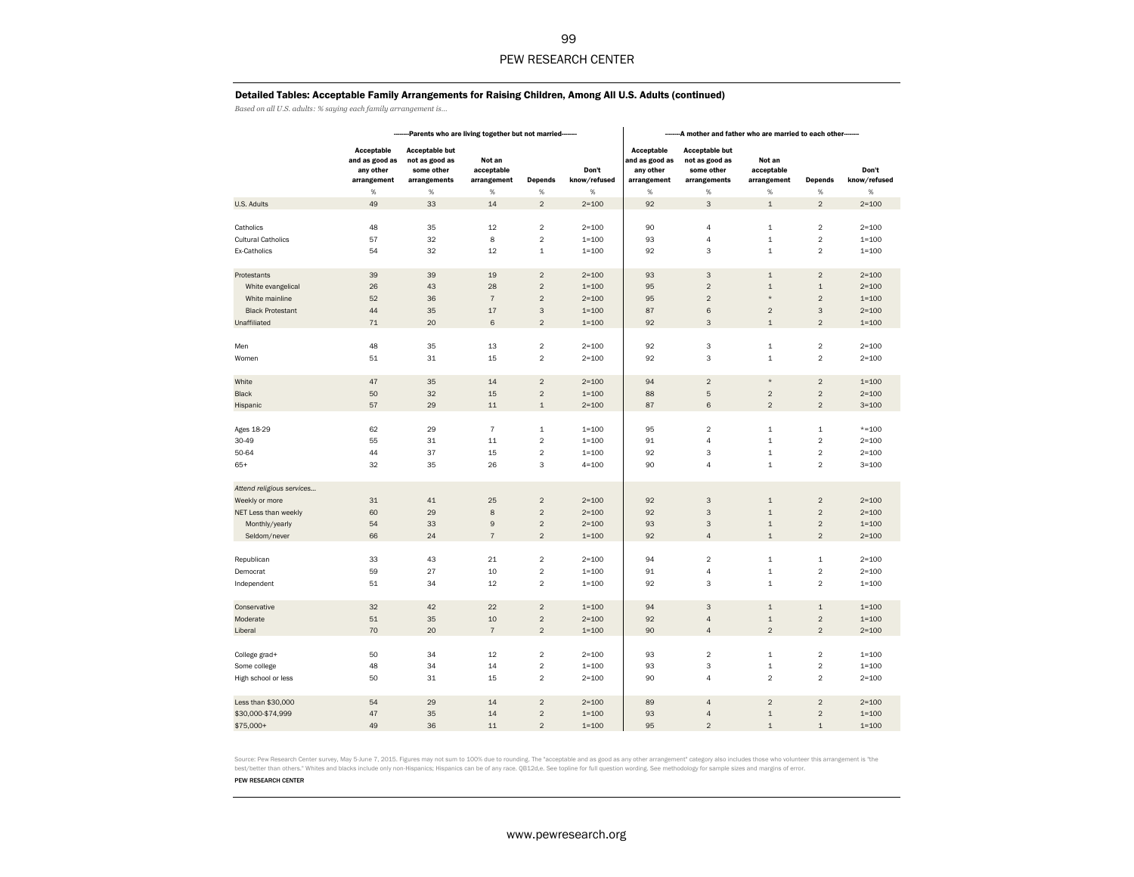### Detailed Tables: Acceptable Family Arrangements for Raising Children, Among All U.S. Adults (continued)

*Based on all U.S. adults: % saying each family arrangement is…*

|                           |                                                          |                                                                       | -Parents who are living together but not married- |                |                       |                                                          | A mother and father who are married to each other-------              |                                     |                |                       |
|---------------------------|----------------------------------------------------------|-----------------------------------------------------------------------|---------------------------------------------------|----------------|-----------------------|----------------------------------------------------------|-----------------------------------------------------------------------|-------------------------------------|----------------|-----------------------|
|                           | Acceptable<br>and as good as<br>any other<br>arrangement | <b>Acceptable but</b><br>not as good as<br>some other<br>arrangements | Not an<br>acceptable<br>arrangement               | <b>Depends</b> | Don't<br>know/refused | Acceptable<br>and as good as<br>any other<br>arrangement | <b>Acceptable but</b><br>not as good as<br>some other<br>arrangements | Not an<br>acceptable<br>arrangement | <b>Depends</b> | Don't<br>know/refused |
|                           | $\%$                                                     | $\%$                                                                  | $\%$                                              | $\%$           | $\%$                  | $\%$                                                     | $\%$                                                                  | $\%$                                | $\%$           | $\%$                  |
| U.S. Adults               | 49                                                       | 33                                                                    | 14                                                | $\sqrt{2}$     | $2 = 100$             | 92                                                       | 3                                                                     | $\,$ 1 $\,$                         | $\overline{c}$ | $2 = 100$             |
|                           |                                                          |                                                                       |                                                   |                |                       |                                                          |                                                                       |                                     |                |                       |
| Catholics                 | 48                                                       | 35                                                                    | 12                                                | $\mathbf 2$    | $2 = 100$             | 90                                                       | $\overline{4}$                                                        | $\,$ 1 $\,$                         | $\overline{2}$ | $2 = 100$             |
| <b>Cultural Catholics</b> | 57                                                       | 32                                                                    | 8                                                 | $\overline{a}$ | $1 = 100$             | 93                                                       | $\overline{4}$                                                        | $\,$ 1 $\,$                         | $\mathbf 2$    | $1 = 100$             |
| Ex-Catholics              | 54                                                       | 32                                                                    | 12                                                | $\,$ 1         | $1 = 100$             | 92                                                       | 3                                                                     | $\,$ 1 $\,$                         | $\overline{c}$ | $1 = 100$             |
| Protestants               | 39                                                       | 39                                                                    | 19                                                | $\sqrt{2}$     | $2 = 100$             | 93                                                       | 3                                                                     | $\,1\,$                             | $\overline{2}$ | $2 = 100$             |
| White evangelical         | 26                                                       | 43                                                                    | 28                                                | $\overline{c}$ | $1 = 100$             | 95                                                       | $\overline{2}$                                                        | $\mathbf 1$                         | $\mathbf 1$    | $2 = 100$             |
| White mainline            | 52                                                       | 36                                                                    | $\overline{\mathfrak{c}}$                         | $\overline{c}$ | $2 = 100$             | 95                                                       | $\overline{a}$                                                        | $\star$                             | $\overline{2}$ | $1 = 100$             |
|                           |                                                          |                                                                       |                                                   | $\overline{3}$ |                       |                                                          | $6\phantom{a}$                                                        | $\overline{c}$                      | $\mathsf 3$    |                       |
| <b>Black Protestant</b>   | 44                                                       | 35                                                                    | 17                                                |                | $1 = 100$             | 87                                                       |                                                                       |                                     |                | $2 = 100$             |
| Unaffiliated              | 71                                                       | 20                                                                    | 6                                                 | $\overline{2}$ | $1 = 100$             | 92                                                       | 3                                                                     | $\mathbf 1$                         | $\overline{c}$ | $1 = 100$             |
| Men                       | 48                                                       | 35                                                                    | 13                                                | $\mathbf 2$    | $2 = 100$             | 92                                                       | 3                                                                     | $\,$ 1 $\,$                         | $\overline{2}$ | $2 = 100$             |
| Women                     | 51                                                       | 31                                                                    | 15                                                | $\sqrt{2}$     | $2 = 100$             | 92                                                       | 3                                                                     | $\mathbf 1$                         | $\overline{2}$ | $2 = 100$             |
|                           |                                                          |                                                                       |                                                   |                |                       |                                                          |                                                                       |                                     |                |                       |
| White                     | 47                                                       | 35                                                                    | 14                                                | $\overline{2}$ | $2 = 100$             | 94                                                       | $\overline{2}$                                                        | $\star$                             | 2              | $1 = 100$             |
| <b>Black</b>              | 50                                                       | 32                                                                    | 15                                                | $\overline{c}$ | $1 = 100$             | 88                                                       | 5                                                                     | $\overline{2}$                      | $\overline{c}$ | $2 = 100$             |
| Hispanic                  | 57                                                       | 29                                                                    | 11                                                | $\,1\,$        | $2 = 100$             | 87                                                       | $6\phantom{a}$                                                        | $\overline{2}$                      | $\overline{2}$ | $3 = 100$             |
|                           |                                                          |                                                                       |                                                   |                |                       |                                                          |                                                                       |                                     |                |                       |
| Ages 18-29                | 62                                                       | 29                                                                    | $\overline{\mathfrak{c}}$                         | $\mathbf 1$    | $1 = 100$             | 95                                                       | $\mathbf 2$                                                           | $\,$ 1 $\,$                         | $\mathbf 1$    | $*=100$               |
| 30-49                     | 55                                                       | 31                                                                    | 11                                                | $\mathbf 2$    | $1 = 100$             | 91                                                       | $\overline{4}$                                                        | $\,$ 1 $\,$                         | $\overline{2}$ | $2 = 100$             |
| 50-64                     | 44                                                       | 37                                                                    | 15                                                | $\mathbf 2$    | $1 = 100$             | 92                                                       | 3                                                                     | $\mathbf{1}$                        | $\overline{c}$ | $2 = 100$             |
| $65+$                     | 32                                                       | 35                                                                    | 26                                                | 3              | $4 = 100$             | 90                                                       | $\overline{4}$                                                        | $\,1\,$                             | $\mathbf 2$    | $3 = 100$             |
|                           |                                                          |                                                                       |                                                   |                |                       |                                                          |                                                                       |                                     |                |                       |
| Attend religious services |                                                          |                                                                       |                                                   |                |                       |                                                          |                                                                       |                                     |                |                       |
| Weekly or more            | 31                                                       | $41\,$                                                                | 25                                                | $\mathbf 2$    | $2 = 100$             | 92                                                       | 3                                                                     | $\,1\,$                             | $\mathbf 2$    | $2 = 100$             |
| NET Less than weekly      | 60                                                       | 29                                                                    | 8                                                 | $\overline{c}$ | $2 = 100$             | 92                                                       | 3                                                                     | $\,1\,$                             | $\overline{2}$ | $2 = 100$             |
| Monthly/yearly            | 54                                                       | 33                                                                    | $\mathsf g$                                       | $\sqrt{2}$     | $2 = 100$             | 93                                                       | 3                                                                     | $\mathbf 1$                         | $\sqrt{2}$     | $1 = 100$             |
| Seldom/never              | 66                                                       | 24                                                                    | $\overline{\mathfrak{c}}$                         | $\sqrt{2}$     | $1 = 100$             | 92                                                       | $\overline{4}$                                                        | $\,1\,$                             | $\overline{c}$ | $2 = 100$             |
|                           |                                                          |                                                                       |                                                   |                |                       |                                                          |                                                                       |                                     |                |                       |
| Republican                | 33                                                       | 43                                                                    | 21                                                | $\overline{2}$ | $2 = 100$             | 94                                                       | $\overline{2}$                                                        | $\mathbf 1$                         | $\mathbf{1}$   | $2 = 100$             |
| Democrat                  | 59                                                       | 27                                                                    | 10                                                | $\mathbf 2$    | $1 = 100$             | 91                                                       | 4                                                                     | $\,$ 1 $\,$                         | $\sqrt{2}$     | $2 = 100$             |
| Independent               | 51                                                       | 34                                                                    | 12                                                | $\overline{2}$ | $1 = 100$             | 92                                                       | 3                                                                     | $\mathbf 1$                         | $\overline{c}$ | $1 = 100$             |
| Conservative              | 32                                                       | 42                                                                    | 22                                                | $\overline{2}$ | $1 = 100$             | 94                                                       | 3                                                                     | $\mathbf 1$                         | $\mathbf 1$    | $1 = 100$             |
| Moderate                  | 51                                                       | 35                                                                    | 10                                                | $\sqrt{2}$     | $2 = 100$             | 92                                                       | $\overline{4}$                                                        | $\,1\,$                             | $\sqrt{2}$     | $1 = 100$             |
| Liberal                   | 70                                                       | 20                                                                    | $\overline{7}$                                    | $\overline{2}$ | $1 = 100$             | 90                                                       | $\overline{4}$                                                        | $\overline{2}$                      | $\overline{2}$ | $2 = 100$             |
|                           |                                                          |                                                                       |                                                   |                |                       |                                                          |                                                                       |                                     |                |                       |
| College grad+             | 50                                                       | 34                                                                    | 12                                                | $\overline{2}$ | $2 = 100$             | 93                                                       | $\overline{2}$                                                        | $\,$ 1 $\,$                         | $\overline{2}$ | $1 = 100$             |
| Some college              | 48                                                       | 34                                                                    | 14                                                | $\sqrt{2}$     | $1 = 100$             | 93                                                       | 3                                                                     | $\mathbf 1$                         | $\overline{2}$ | $1 = 100$             |
| High school or less       | 50                                                       | 31                                                                    | 15                                                | $\overline{2}$ | $2 = 100$             | 90                                                       | $\overline{4}$                                                        | $\overline{c}$                      | $\mathbf 2$    | $2 = 100$             |
|                           |                                                          |                                                                       |                                                   |                |                       |                                                          |                                                                       |                                     |                |                       |
| Less than \$30,000        | 54                                                       | 29                                                                    | 14                                                | $\overline{2}$ | $2 = 100$             | 89                                                       | $\overline{4}$                                                        | $\overline{c}$                      | $\overline{2}$ | $2 = 100$             |
| \$30,000-\$74,999         | 47                                                       | 35                                                                    | 14                                                | $\overline{2}$ | $1 = 100$             | 93                                                       | $\overline{4}$                                                        | $\mathbf{1}$                        | $\overline{2}$ | $1 = 100$             |
| \$75,000+                 | 49                                                       | 36                                                                    | 11                                                | $\overline{c}$ | $1 = 100$             | 95                                                       | $\overline{c}$                                                        | $\,1\,$                             | $\mathbf 1$    | $1 = 100$             |
|                           |                                                          |                                                                       |                                                   |                |                       |                                                          |                                                                       |                                     |                |                       |

Source: Pew Research Center survey, May 5-June 7, 2015. Figures may not sum to 100% due to rounding. The "acceptable and as good as any other arrangement" category also includes those who volunteer this arrangement is "the best/better than others." Whites and blacks include only non-Hispanics; Hispanics can be of any race. QB12d,e. See topline for full question wording. See methodology for sample sizes and margins of error.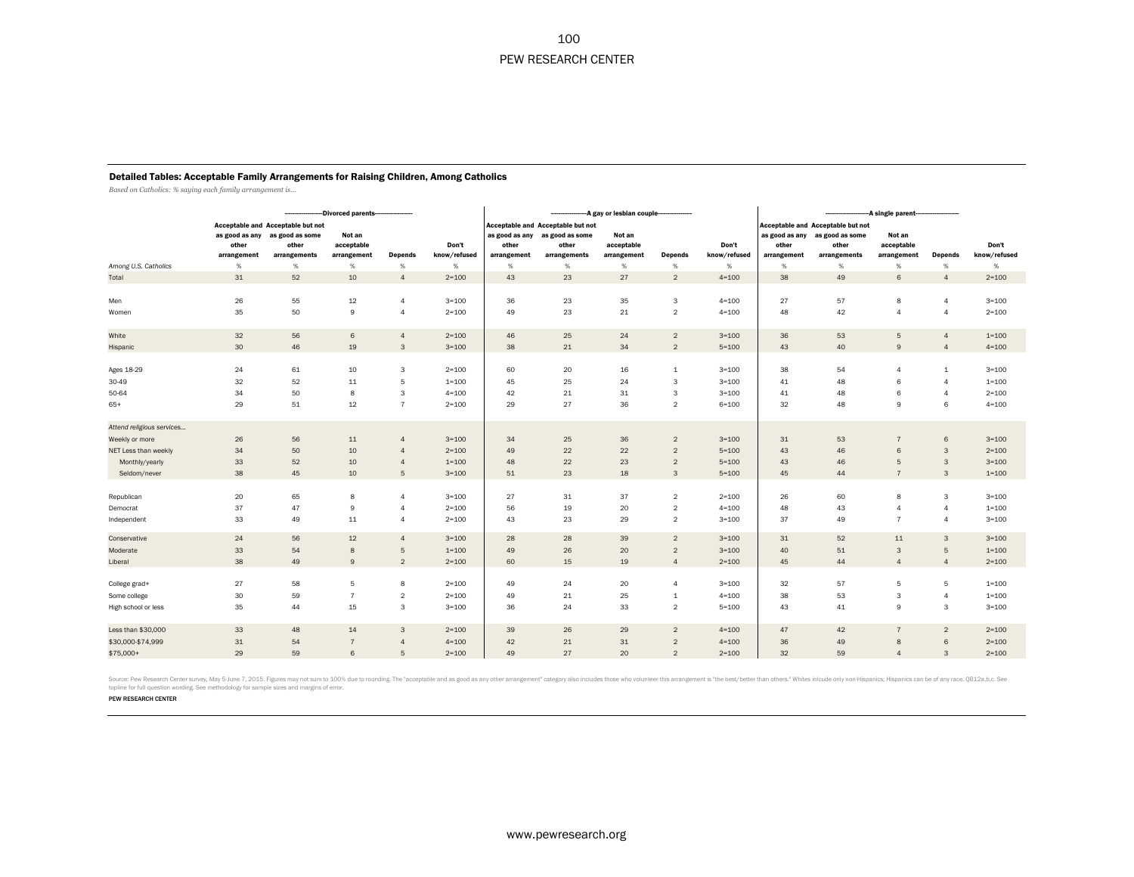### Detailed Tables: Acceptable Family Arrangements for Raising Children, Among Catholics

*Based on Catholics: % saying each family arrangement is…*

| <b>Acceptable and Acceptable but not</b><br><b>Acceptable and Acceptable but not</b><br><b>Acceptable and Acceptable but not</b><br>Not an<br>Not an<br>as good as any as good as some<br>as good as any<br>as good as some<br>Not an<br>as good as any as good as some<br>other<br>acceptable<br>Don't<br>other<br>acceptable<br>Don't<br>other<br>acceptable<br>Don't<br>other<br>other<br>other<br>know/refused<br>know/refused<br>arrangement<br><b>Depends</b><br>know/refused<br>arrangement<br><b>Depends</b><br>arrangement<br><b>Depends</b><br>arrangement<br>arrangements<br>arrangement<br>arrangements<br>arrangement<br>arrangements<br>$\%$<br>Among U.S. Catholics<br>%<br>%<br>$\%$<br>%<br>%<br>%<br>%<br>$\%$<br>%<br>%<br>%<br>%<br>%<br>%<br>52<br>10<br>23<br>27<br>38<br>49<br>$\,6\,$<br>$2 = 100$<br>31<br>$\overline{4}$<br>$2 = 100$<br>43<br>$\overline{2}$<br>$4 = 100$<br>$\overline{4}$<br>Total<br>26<br>55<br>12<br>23<br>35<br>3<br>57<br>8<br>$\overline{4}$<br>$3 = 100$<br>36<br>$4 = 100$<br>27<br>$\overline{4}$<br>$3 = 100$<br>Men<br>35<br>50<br>9<br>23<br>48<br>42<br>$\overline{4}$<br>$2 = 100$<br>49<br>21<br>$\overline{2}$<br>$4 = 100$<br>$\overline{4}$<br>$\overline{4}$<br>$2 = 100$<br>Women<br>White<br>25<br>5<br>32<br>56<br>6<br>$\overline{4}$<br>$2 = 100$<br>46<br>24<br>$\overline{2}$<br>$3 = 100$<br>36<br>53<br>$\overline{4}$<br>$1 = 100$<br>30<br>46<br>19<br>38<br>21<br>43<br>$\mathbf{3}$<br>$3 = 100$<br>34<br>$\overline{2}$<br>$5 = 100$<br>40<br>9<br>$\overline{4}$<br>$4 = 100$<br>Hispanic<br>61<br>$\mathbf{3}$<br>20<br>38<br>Ages 18-29<br>24<br>10<br>$2 = 100$<br>60<br>16<br>$\mathbf{1}$<br>$3 = 100$<br>54<br>$\mathbf{1}$<br>$3 = 100$<br>$\overline{4}$<br>32<br>52<br>5<br>25<br>24<br>30-49<br>11<br>$1 = 100$<br>45<br>3<br>$3 = 100$<br>41<br>48<br>6<br>$\overline{4}$<br>$1 = 100$<br>50<br>8<br>3<br>21<br>50-64<br>34<br>$4 = 100$<br>42<br>31<br>3<br>$3 = 100$<br>41<br>48<br>6<br>$\overline{4}$<br>$2 = 100$<br>29<br>51<br>12<br>27<br>36<br>$\overline{2}$<br>32<br>48<br>9<br>6<br>$4 = 100$<br>$65+$<br>$\overline{7}$<br>$2 = 100$<br>29<br>$6 = 100$<br>Attend religious services<br>25<br>26<br>56<br>$3 = 100$<br>34<br>36<br>$\overline{2}$<br>$3 = 100$<br>31<br>53<br>$\overline{7}$<br>6<br>$3 = 100$<br>Weekly or more<br>11<br>$\overline{4}$<br>50<br>22<br>34<br>10<br>49<br>22<br>43<br>46<br>NET Less than weekly<br>$\overline{4}$<br>$2 = 100$<br>$\overline{2}$<br>$5 = 100$<br>6<br>3<br>$2 = 100$<br>33<br>52<br>22<br>23<br>$\overline{3}$<br>Monthly/yearly<br>10<br>$1 = 100$<br>48<br>$\overline{2}$<br>$5 = 100$<br>43<br>46<br>5<br>$3 = 100$<br>$\overline{4}$<br>38<br>45<br>10<br>5<br>$3 = 100$<br>51<br>23<br>18<br>$\mathbf{3}$<br>45<br>$\overline{7}$<br>$\mathbf{3}$<br>$1 = 100$<br>Seldom/never<br>$5 = 100$<br>44<br>20<br>65<br>8<br>$3 = 100$<br>27<br>31<br>37<br>$\overline{2}$<br>$2 = 100$<br>26<br>60<br>8<br>3<br>$3 = 100$<br>Republican<br>$\overline{4}$<br>37<br>47<br>9<br>56<br>19<br>20<br>43<br>$2 = 100$<br>$\overline{2}$<br>48<br>$\overline{4}$<br>$1 = 100$<br>$\overline{4}$<br>$4 = 100$<br>$\overline{4}$<br>Democrat<br>33<br>49<br>11<br>23<br>29<br>$\overline{2}$<br>37<br>49<br>$\overline{7}$<br>$\overline{4}$<br>$2 = 100$<br>43<br>$3 = 100$<br>$\overline{4}$<br>$3 = 100$<br>Independent<br>24<br>56<br>12<br>$\overline{4}$<br>$3 = 100$<br>28<br>28<br>39<br>$\overline{2}$<br>$3 = 100$<br>31<br>52<br>11<br>3<br>$3 = 100$<br>Conservative<br>33<br>54<br>8<br>5<br>26<br>20<br>$\overline{2}$<br>40<br>51<br>5<br>$1 = 100$<br>49<br>$3 = 100$<br>$\mathbf{3}$<br>$1 = 100$<br>Moderate<br>38<br>49<br>$\overline{2}$<br>15<br>45<br>$\mathsf{9}$<br>$2 = 100$<br>60<br>19<br>$\overline{4}$<br>$2 = 100$<br>44<br>$\overline{4}$<br>$\overline{4}$<br>$2 = 100$<br>Liberal<br>58<br>5<br>8<br>57<br>$\sqrt{5}$<br>5<br>27<br>$2 = 100$<br>49<br>24<br>20<br>32<br>College grad+<br>$\overline{4}$<br>$3 = 100$<br>$1 = 100$<br>30<br>59<br>$\overline{7}$<br>$\overline{2}$<br>21<br>25<br>38<br>53<br>Some college<br>$2 = 100$<br>49<br>$4 = 100$<br>3<br>$\overline{4}$<br>$1 = 100$<br>$\mathbf{1}$<br>35<br>44<br>15<br>$\overline{3}$<br>24<br>33<br>3<br>$3 = 100$<br>36<br>$\overline{2}$<br>$5 = 100$<br>43<br>41<br>9<br>$3 = 100$<br>High school or less<br>48<br>Less than \$30,000<br>33<br>14<br>$\overline{3}$<br>$2 = 100$<br>39<br>26<br>29<br>$\overline{2}$<br>$4 = 100$<br>47<br>42<br>$\overline{7}$<br>$\overline{2}$<br>$2 = 100$<br>54<br>21<br>\$30,000-\$74,999<br>31<br>$\overline{7}$<br>$\overline{4}$<br>$4 = 100$<br>42<br>31<br>$\overline{2}$<br>$4 = 100$<br>36<br>49<br>8<br>6<br>$2 = 100$<br>$\overline{4}$ |           |    |    | -Divorced parents- |   |           |    |    | -- A gay or lesbian couple-- |                |           |    |    | -- A single parent-- |              |           |
|----------------------------------------------------------------------------------------------------------------------------------------------------------------------------------------------------------------------------------------------------------------------------------------------------------------------------------------------------------------------------------------------------------------------------------------------------------------------------------------------------------------------------------------------------------------------------------------------------------------------------------------------------------------------------------------------------------------------------------------------------------------------------------------------------------------------------------------------------------------------------------------------------------------------------------------------------------------------------------------------------------------------------------------------------------------------------------------------------------------------------------------------------------------------------------------------------------------------------------------------------------------------------------------------------------------------------------------------------------------------------------------------------------------------------------------------------------------------------------------------------------------------------------------------------------------------------------------------------------------------------------------------------------------------------------------------------------------------------------------------------------------------------------------------------------------------------------------------------------------------------------------------------------------------------------------------------------------------------------------------------------------------------------------------------------------------------------------------------------------------------------------------------------------------------------------------------------------------------------------------------------------------------------------------------------------------------------------------------------------------------------------------------------------------------------------------------------------------------------------------------------------------------------------------------------------------------------------------------------------------------------------------------------------------------------------------------------------------------------------------------------------------------------------------------------------------------------------------------------------------------------------------------------------------------------------------------------------------------------------------------------------------------------------------------------------------------------------------------------------------------------------------------------------------------------------------------------------------------------------------------------------------------------------------------------------------------------------------------------------------------------------------------------------------------------------------------------------------------------------------------------------------------------------------------------------------------------------------------------------------------------------------------------------------------------------------------------------------------------------------------------------------------------------------------------------------------------------------------------------------------------------------------------------------------------------------------------------------------------------------------------------------------------------------------------------------------------------------------------------------------------------------------------------------------------------------------------------------------------------------------------------------------------------------------------------------------------------------------------------------------------------------------------------------------------------------------------------------------------------------------------------------------------------------------------------------------------------------------------------------------------------------------------------------------------------------------------------------------------------|-----------|----|----|--------------------|---|-----------|----|----|------------------------------|----------------|-----------|----|----|----------------------|--------------|-----------|
|                                                                                                                                                                                                                                                                                                                                                                                                                                                                                                                                                                                                                                                                                                                                                                                                                                                                                                                                                                                                                                                                                                                                                                                                                                                                                                                                                                                                                                                                                                                                                                                                                                                                                                                                                                                                                                                                                                                                                                                                                                                                                                                                                                                                                                                                                                                                                                                                                                                                                                                                                                                                                                                                                                                                                                                                                                                                                                                                                                                                                                                                                                                                                                                                                                                                                                                                                                                                                                                                                                                                                                                                                                                                                                                                                                                                                                                                                                                                                                                                                                                                                                                                                                                                                                                                                                                                                                                                                                                                                                                                                                                                                                                                                                                                        |           |    |    |                    |   |           |    |    |                              |                |           |    |    |                      |              |           |
|                                                                                                                                                                                                                                                                                                                                                                                                                                                                                                                                                                                                                                                                                                                                                                                                                                                                                                                                                                                                                                                                                                                                                                                                                                                                                                                                                                                                                                                                                                                                                                                                                                                                                                                                                                                                                                                                                                                                                                                                                                                                                                                                                                                                                                                                                                                                                                                                                                                                                                                                                                                                                                                                                                                                                                                                                                                                                                                                                                                                                                                                                                                                                                                                                                                                                                                                                                                                                                                                                                                                                                                                                                                                                                                                                                                                                                                                                                                                                                                                                                                                                                                                                                                                                                                                                                                                                                                                                                                                                                                                                                                                                                                                                                                                        |           |    |    |                    |   |           |    |    |                              |                |           |    |    |                      |              |           |
|                                                                                                                                                                                                                                                                                                                                                                                                                                                                                                                                                                                                                                                                                                                                                                                                                                                                                                                                                                                                                                                                                                                                                                                                                                                                                                                                                                                                                                                                                                                                                                                                                                                                                                                                                                                                                                                                                                                                                                                                                                                                                                                                                                                                                                                                                                                                                                                                                                                                                                                                                                                                                                                                                                                                                                                                                                                                                                                                                                                                                                                                                                                                                                                                                                                                                                                                                                                                                                                                                                                                                                                                                                                                                                                                                                                                                                                                                                                                                                                                                                                                                                                                                                                                                                                                                                                                                                                                                                                                                                                                                                                                                                                                                                                                        |           |    |    |                    |   |           |    |    |                              |                |           |    |    |                      |              |           |
|                                                                                                                                                                                                                                                                                                                                                                                                                                                                                                                                                                                                                                                                                                                                                                                                                                                                                                                                                                                                                                                                                                                                                                                                                                                                                                                                                                                                                                                                                                                                                                                                                                                                                                                                                                                                                                                                                                                                                                                                                                                                                                                                                                                                                                                                                                                                                                                                                                                                                                                                                                                                                                                                                                                                                                                                                                                                                                                                                                                                                                                                                                                                                                                                                                                                                                                                                                                                                                                                                                                                                                                                                                                                                                                                                                                                                                                                                                                                                                                                                                                                                                                                                                                                                                                                                                                                                                                                                                                                                                                                                                                                                                                                                                                                        |           |    |    |                    |   |           |    |    |                              |                |           |    |    |                      |              |           |
|                                                                                                                                                                                                                                                                                                                                                                                                                                                                                                                                                                                                                                                                                                                                                                                                                                                                                                                                                                                                                                                                                                                                                                                                                                                                                                                                                                                                                                                                                                                                                                                                                                                                                                                                                                                                                                                                                                                                                                                                                                                                                                                                                                                                                                                                                                                                                                                                                                                                                                                                                                                                                                                                                                                                                                                                                                                                                                                                                                                                                                                                                                                                                                                                                                                                                                                                                                                                                                                                                                                                                                                                                                                                                                                                                                                                                                                                                                                                                                                                                                                                                                                                                                                                                                                                                                                                                                                                                                                                                                                                                                                                                                                                                                                                        |           |    |    |                    |   |           |    |    |                              |                |           |    |    |                      |              |           |
|                                                                                                                                                                                                                                                                                                                                                                                                                                                                                                                                                                                                                                                                                                                                                                                                                                                                                                                                                                                                                                                                                                                                                                                                                                                                                                                                                                                                                                                                                                                                                                                                                                                                                                                                                                                                                                                                                                                                                                                                                                                                                                                                                                                                                                                                                                                                                                                                                                                                                                                                                                                                                                                                                                                                                                                                                                                                                                                                                                                                                                                                                                                                                                                                                                                                                                                                                                                                                                                                                                                                                                                                                                                                                                                                                                                                                                                                                                                                                                                                                                                                                                                                                                                                                                                                                                                                                                                                                                                                                                                                                                                                                                                                                                                                        |           |    |    |                    |   |           |    |    |                              |                |           |    |    |                      |              |           |
|                                                                                                                                                                                                                                                                                                                                                                                                                                                                                                                                                                                                                                                                                                                                                                                                                                                                                                                                                                                                                                                                                                                                                                                                                                                                                                                                                                                                                                                                                                                                                                                                                                                                                                                                                                                                                                                                                                                                                                                                                                                                                                                                                                                                                                                                                                                                                                                                                                                                                                                                                                                                                                                                                                                                                                                                                                                                                                                                                                                                                                                                                                                                                                                                                                                                                                                                                                                                                                                                                                                                                                                                                                                                                                                                                                                                                                                                                                                                                                                                                                                                                                                                                                                                                                                                                                                                                                                                                                                                                                                                                                                                                                                                                                                                        |           |    |    |                    |   |           |    |    |                              |                |           |    |    |                      |              |           |
|                                                                                                                                                                                                                                                                                                                                                                                                                                                                                                                                                                                                                                                                                                                                                                                                                                                                                                                                                                                                                                                                                                                                                                                                                                                                                                                                                                                                                                                                                                                                                                                                                                                                                                                                                                                                                                                                                                                                                                                                                                                                                                                                                                                                                                                                                                                                                                                                                                                                                                                                                                                                                                                                                                                                                                                                                                                                                                                                                                                                                                                                                                                                                                                                                                                                                                                                                                                                                                                                                                                                                                                                                                                                                                                                                                                                                                                                                                                                                                                                                                                                                                                                                                                                                                                                                                                                                                                                                                                                                                                                                                                                                                                                                                                                        |           |    |    |                    |   |           |    |    |                              |                |           |    |    |                      |              |           |
|                                                                                                                                                                                                                                                                                                                                                                                                                                                                                                                                                                                                                                                                                                                                                                                                                                                                                                                                                                                                                                                                                                                                                                                                                                                                                                                                                                                                                                                                                                                                                                                                                                                                                                                                                                                                                                                                                                                                                                                                                                                                                                                                                                                                                                                                                                                                                                                                                                                                                                                                                                                                                                                                                                                                                                                                                                                                                                                                                                                                                                                                                                                                                                                                                                                                                                                                                                                                                                                                                                                                                                                                                                                                                                                                                                                                                                                                                                                                                                                                                                                                                                                                                                                                                                                                                                                                                                                                                                                                                                                                                                                                                                                                                                                                        |           |    |    |                    |   |           |    |    |                              |                |           |    |    |                      |              |           |
|                                                                                                                                                                                                                                                                                                                                                                                                                                                                                                                                                                                                                                                                                                                                                                                                                                                                                                                                                                                                                                                                                                                                                                                                                                                                                                                                                                                                                                                                                                                                                                                                                                                                                                                                                                                                                                                                                                                                                                                                                                                                                                                                                                                                                                                                                                                                                                                                                                                                                                                                                                                                                                                                                                                                                                                                                                                                                                                                                                                                                                                                                                                                                                                                                                                                                                                                                                                                                                                                                                                                                                                                                                                                                                                                                                                                                                                                                                                                                                                                                                                                                                                                                                                                                                                                                                                                                                                                                                                                                                                                                                                                                                                                                                                                        |           |    |    |                    |   |           |    |    |                              |                |           |    |    |                      |              |           |
|                                                                                                                                                                                                                                                                                                                                                                                                                                                                                                                                                                                                                                                                                                                                                                                                                                                                                                                                                                                                                                                                                                                                                                                                                                                                                                                                                                                                                                                                                                                                                                                                                                                                                                                                                                                                                                                                                                                                                                                                                                                                                                                                                                                                                                                                                                                                                                                                                                                                                                                                                                                                                                                                                                                                                                                                                                                                                                                                                                                                                                                                                                                                                                                                                                                                                                                                                                                                                                                                                                                                                                                                                                                                                                                                                                                                                                                                                                                                                                                                                                                                                                                                                                                                                                                                                                                                                                                                                                                                                                                                                                                                                                                                                                                                        |           |    |    |                    |   |           |    |    |                              |                |           |    |    |                      |              |           |
|                                                                                                                                                                                                                                                                                                                                                                                                                                                                                                                                                                                                                                                                                                                                                                                                                                                                                                                                                                                                                                                                                                                                                                                                                                                                                                                                                                                                                                                                                                                                                                                                                                                                                                                                                                                                                                                                                                                                                                                                                                                                                                                                                                                                                                                                                                                                                                                                                                                                                                                                                                                                                                                                                                                                                                                                                                                                                                                                                                                                                                                                                                                                                                                                                                                                                                                                                                                                                                                                                                                                                                                                                                                                                                                                                                                                                                                                                                                                                                                                                                                                                                                                                                                                                                                                                                                                                                                                                                                                                                                                                                                                                                                                                                                                        |           |    |    |                    |   |           |    |    |                              |                |           |    |    |                      |              |           |
|                                                                                                                                                                                                                                                                                                                                                                                                                                                                                                                                                                                                                                                                                                                                                                                                                                                                                                                                                                                                                                                                                                                                                                                                                                                                                                                                                                                                                                                                                                                                                                                                                                                                                                                                                                                                                                                                                                                                                                                                                                                                                                                                                                                                                                                                                                                                                                                                                                                                                                                                                                                                                                                                                                                                                                                                                                                                                                                                                                                                                                                                                                                                                                                                                                                                                                                                                                                                                                                                                                                                                                                                                                                                                                                                                                                                                                                                                                                                                                                                                                                                                                                                                                                                                                                                                                                                                                                                                                                                                                                                                                                                                                                                                                                                        |           |    |    |                    |   |           |    |    |                              |                |           |    |    |                      |              |           |
|                                                                                                                                                                                                                                                                                                                                                                                                                                                                                                                                                                                                                                                                                                                                                                                                                                                                                                                                                                                                                                                                                                                                                                                                                                                                                                                                                                                                                                                                                                                                                                                                                                                                                                                                                                                                                                                                                                                                                                                                                                                                                                                                                                                                                                                                                                                                                                                                                                                                                                                                                                                                                                                                                                                                                                                                                                                                                                                                                                                                                                                                                                                                                                                                                                                                                                                                                                                                                                                                                                                                                                                                                                                                                                                                                                                                                                                                                                                                                                                                                                                                                                                                                                                                                                                                                                                                                                                                                                                                                                                                                                                                                                                                                                                                        |           |    |    |                    |   |           |    |    |                              |                |           |    |    |                      |              |           |
|                                                                                                                                                                                                                                                                                                                                                                                                                                                                                                                                                                                                                                                                                                                                                                                                                                                                                                                                                                                                                                                                                                                                                                                                                                                                                                                                                                                                                                                                                                                                                                                                                                                                                                                                                                                                                                                                                                                                                                                                                                                                                                                                                                                                                                                                                                                                                                                                                                                                                                                                                                                                                                                                                                                                                                                                                                                                                                                                                                                                                                                                                                                                                                                                                                                                                                                                                                                                                                                                                                                                                                                                                                                                                                                                                                                                                                                                                                                                                                                                                                                                                                                                                                                                                                                                                                                                                                                                                                                                                                                                                                                                                                                                                                                                        |           |    |    |                    |   |           |    |    |                              |                |           |    |    |                      |              |           |
|                                                                                                                                                                                                                                                                                                                                                                                                                                                                                                                                                                                                                                                                                                                                                                                                                                                                                                                                                                                                                                                                                                                                                                                                                                                                                                                                                                                                                                                                                                                                                                                                                                                                                                                                                                                                                                                                                                                                                                                                                                                                                                                                                                                                                                                                                                                                                                                                                                                                                                                                                                                                                                                                                                                                                                                                                                                                                                                                                                                                                                                                                                                                                                                                                                                                                                                                                                                                                                                                                                                                                                                                                                                                                                                                                                                                                                                                                                                                                                                                                                                                                                                                                                                                                                                                                                                                                                                                                                                                                                                                                                                                                                                                                                                                        |           |    |    |                    |   |           |    |    |                              |                |           |    |    |                      |              |           |
|                                                                                                                                                                                                                                                                                                                                                                                                                                                                                                                                                                                                                                                                                                                                                                                                                                                                                                                                                                                                                                                                                                                                                                                                                                                                                                                                                                                                                                                                                                                                                                                                                                                                                                                                                                                                                                                                                                                                                                                                                                                                                                                                                                                                                                                                                                                                                                                                                                                                                                                                                                                                                                                                                                                                                                                                                                                                                                                                                                                                                                                                                                                                                                                                                                                                                                                                                                                                                                                                                                                                                                                                                                                                                                                                                                                                                                                                                                                                                                                                                                                                                                                                                                                                                                                                                                                                                                                                                                                                                                                                                                                                                                                                                                                                        |           |    |    |                    |   |           |    |    |                              |                |           |    |    |                      |              |           |
|                                                                                                                                                                                                                                                                                                                                                                                                                                                                                                                                                                                                                                                                                                                                                                                                                                                                                                                                                                                                                                                                                                                                                                                                                                                                                                                                                                                                                                                                                                                                                                                                                                                                                                                                                                                                                                                                                                                                                                                                                                                                                                                                                                                                                                                                                                                                                                                                                                                                                                                                                                                                                                                                                                                                                                                                                                                                                                                                                                                                                                                                                                                                                                                                                                                                                                                                                                                                                                                                                                                                                                                                                                                                                                                                                                                                                                                                                                                                                                                                                                                                                                                                                                                                                                                                                                                                                                                                                                                                                                                                                                                                                                                                                                                                        |           |    |    |                    |   |           |    |    |                              |                |           |    |    |                      |              |           |
|                                                                                                                                                                                                                                                                                                                                                                                                                                                                                                                                                                                                                                                                                                                                                                                                                                                                                                                                                                                                                                                                                                                                                                                                                                                                                                                                                                                                                                                                                                                                                                                                                                                                                                                                                                                                                                                                                                                                                                                                                                                                                                                                                                                                                                                                                                                                                                                                                                                                                                                                                                                                                                                                                                                                                                                                                                                                                                                                                                                                                                                                                                                                                                                                                                                                                                                                                                                                                                                                                                                                                                                                                                                                                                                                                                                                                                                                                                                                                                                                                                                                                                                                                                                                                                                                                                                                                                                                                                                                                                                                                                                                                                                                                                                                        |           |    |    |                    |   |           |    |    |                              |                |           |    |    |                      |              |           |
|                                                                                                                                                                                                                                                                                                                                                                                                                                                                                                                                                                                                                                                                                                                                                                                                                                                                                                                                                                                                                                                                                                                                                                                                                                                                                                                                                                                                                                                                                                                                                                                                                                                                                                                                                                                                                                                                                                                                                                                                                                                                                                                                                                                                                                                                                                                                                                                                                                                                                                                                                                                                                                                                                                                                                                                                                                                                                                                                                                                                                                                                                                                                                                                                                                                                                                                                                                                                                                                                                                                                                                                                                                                                                                                                                                                                                                                                                                                                                                                                                                                                                                                                                                                                                                                                                                                                                                                                                                                                                                                                                                                                                                                                                                                                        |           |    |    |                    |   |           |    |    |                              |                |           |    |    |                      |              |           |
|                                                                                                                                                                                                                                                                                                                                                                                                                                                                                                                                                                                                                                                                                                                                                                                                                                                                                                                                                                                                                                                                                                                                                                                                                                                                                                                                                                                                                                                                                                                                                                                                                                                                                                                                                                                                                                                                                                                                                                                                                                                                                                                                                                                                                                                                                                                                                                                                                                                                                                                                                                                                                                                                                                                                                                                                                                                                                                                                                                                                                                                                                                                                                                                                                                                                                                                                                                                                                                                                                                                                                                                                                                                                                                                                                                                                                                                                                                                                                                                                                                                                                                                                                                                                                                                                                                                                                                                                                                                                                                                                                                                                                                                                                                                                        |           |    |    |                    |   |           |    |    |                              |                |           |    |    |                      |              |           |
|                                                                                                                                                                                                                                                                                                                                                                                                                                                                                                                                                                                                                                                                                                                                                                                                                                                                                                                                                                                                                                                                                                                                                                                                                                                                                                                                                                                                                                                                                                                                                                                                                                                                                                                                                                                                                                                                                                                                                                                                                                                                                                                                                                                                                                                                                                                                                                                                                                                                                                                                                                                                                                                                                                                                                                                                                                                                                                                                                                                                                                                                                                                                                                                                                                                                                                                                                                                                                                                                                                                                                                                                                                                                                                                                                                                                                                                                                                                                                                                                                                                                                                                                                                                                                                                                                                                                                                                                                                                                                                                                                                                                                                                                                                                                        |           |    |    |                    |   |           |    |    |                              |                |           |    |    |                      |              |           |
|                                                                                                                                                                                                                                                                                                                                                                                                                                                                                                                                                                                                                                                                                                                                                                                                                                                                                                                                                                                                                                                                                                                                                                                                                                                                                                                                                                                                                                                                                                                                                                                                                                                                                                                                                                                                                                                                                                                                                                                                                                                                                                                                                                                                                                                                                                                                                                                                                                                                                                                                                                                                                                                                                                                                                                                                                                                                                                                                                                                                                                                                                                                                                                                                                                                                                                                                                                                                                                                                                                                                                                                                                                                                                                                                                                                                                                                                                                                                                                                                                                                                                                                                                                                                                                                                                                                                                                                                                                                                                                                                                                                                                                                                                                                                        |           |    |    |                    |   |           |    |    |                              |                |           |    |    |                      |              |           |
|                                                                                                                                                                                                                                                                                                                                                                                                                                                                                                                                                                                                                                                                                                                                                                                                                                                                                                                                                                                                                                                                                                                                                                                                                                                                                                                                                                                                                                                                                                                                                                                                                                                                                                                                                                                                                                                                                                                                                                                                                                                                                                                                                                                                                                                                                                                                                                                                                                                                                                                                                                                                                                                                                                                                                                                                                                                                                                                                                                                                                                                                                                                                                                                                                                                                                                                                                                                                                                                                                                                                                                                                                                                                                                                                                                                                                                                                                                                                                                                                                                                                                                                                                                                                                                                                                                                                                                                                                                                                                                                                                                                                                                                                                                                                        |           |    |    |                    |   |           |    |    |                              |                |           |    |    |                      |              |           |
|                                                                                                                                                                                                                                                                                                                                                                                                                                                                                                                                                                                                                                                                                                                                                                                                                                                                                                                                                                                                                                                                                                                                                                                                                                                                                                                                                                                                                                                                                                                                                                                                                                                                                                                                                                                                                                                                                                                                                                                                                                                                                                                                                                                                                                                                                                                                                                                                                                                                                                                                                                                                                                                                                                                                                                                                                                                                                                                                                                                                                                                                                                                                                                                                                                                                                                                                                                                                                                                                                                                                                                                                                                                                                                                                                                                                                                                                                                                                                                                                                                                                                                                                                                                                                                                                                                                                                                                                                                                                                                                                                                                                                                                                                                                                        |           |    |    |                    |   |           |    |    |                              |                |           |    |    |                      |              |           |
|                                                                                                                                                                                                                                                                                                                                                                                                                                                                                                                                                                                                                                                                                                                                                                                                                                                                                                                                                                                                                                                                                                                                                                                                                                                                                                                                                                                                                                                                                                                                                                                                                                                                                                                                                                                                                                                                                                                                                                                                                                                                                                                                                                                                                                                                                                                                                                                                                                                                                                                                                                                                                                                                                                                                                                                                                                                                                                                                                                                                                                                                                                                                                                                                                                                                                                                                                                                                                                                                                                                                                                                                                                                                                                                                                                                                                                                                                                                                                                                                                                                                                                                                                                                                                                                                                                                                                                                                                                                                                                                                                                                                                                                                                                                                        |           |    |    |                    |   |           |    |    |                              |                |           |    |    |                      |              |           |
|                                                                                                                                                                                                                                                                                                                                                                                                                                                                                                                                                                                                                                                                                                                                                                                                                                                                                                                                                                                                                                                                                                                                                                                                                                                                                                                                                                                                                                                                                                                                                                                                                                                                                                                                                                                                                                                                                                                                                                                                                                                                                                                                                                                                                                                                                                                                                                                                                                                                                                                                                                                                                                                                                                                                                                                                                                                                                                                                                                                                                                                                                                                                                                                                                                                                                                                                                                                                                                                                                                                                                                                                                                                                                                                                                                                                                                                                                                                                                                                                                                                                                                                                                                                                                                                                                                                                                                                                                                                                                                                                                                                                                                                                                                                                        |           |    |    |                    |   |           |    |    |                              |                |           |    |    |                      |              |           |
|                                                                                                                                                                                                                                                                                                                                                                                                                                                                                                                                                                                                                                                                                                                                                                                                                                                                                                                                                                                                                                                                                                                                                                                                                                                                                                                                                                                                                                                                                                                                                                                                                                                                                                                                                                                                                                                                                                                                                                                                                                                                                                                                                                                                                                                                                                                                                                                                                                                                                                                                                                                                                                                                                                                                                                                                                                                                                                                                                                                                                                                                                                                                                                                                                                                                                                                                                                                                                                                                                                                                                                                                                                                                                                                                                                                                                                                                                                                                                                                                                                                                                                                                                                                                                                                                                                                                                                                                                                                                                                                                                                                                                                                                                                                                        |           |    |    |                    |   |           |    |    |                              |                |           |    |    |                      |              |           |
|                                                                                                                                                                                                                                                                                                                                                                                                                                                                                                                                                                                                                                                                                                                                                                                                                                                                                                                                                                                                                                                                                                                                                                                                                                                                                                                                                                                                                                                                                                                                                                                                                                                                                                                                                                                                                                                                                                                                                                                                                                                                                                                                                                                                                                                                                                                                                                                                                                                                                                                                                                                                                                                                                                                                                                                                                                                                                                                                                                                                                                                                                                                                                                                                                                                                                                                                                                                                                                                                                                                                                                                                                                                                                                                                                                                                                                                                                                                                                                                                                                                                                                                                                                                                                                                                                                                                                                                                                                                                                                                                                                                                                                                                                                                                        |           |    |    |                    |   |           |    |    |                              |                |           |    |    |                      |              |           |
|                                                                                                                                                                                                                                                                                                                                                                                                                                                                                                                                                                                                                                                                                                                                                                                                                                                                                                                                                                                                                                                                                                                                                                                                                                                                                                                                                                                                                                                                                                                                                                                                                                                                                                                                                                                                                                                                                                                                                                                                                                                                                                                                                                                                                                                                                                                                                                                                                                                                                                                                                                                                                                                                                                                                                                                                                                                                                                                                                                                                                                                                                                                                                                                                                                                                                                                                                                                                                                                                                                                                                                                                                                                                                                                                                                                                                                                                                                                                                                                                                                                                                                                                                                                                                                                                                                                                                                                                                                                                                                                                                                                                                                                                                                                                        |           |    |    |                    |   |           |    |    |                              |                |           |    |    |                      |              |           |
|                                                                                                                                                                                                                                                                                                                                                                                                                                                                                                                                                                                                                                                                                                                                                                                                                                                                                                                                                                                                                                                                                                                                                                                                                                                                                                                                                                                                                                                                                                                                                                                                                                                                                                                                                                                                                                                                                                                                                                                                                                                                                                                                                                                                                                                                                                                                                                                                                                                                                                                                                                                                                                                                                                                                                                                                                                                                                                                                                                                                                                                                                                                                                                                                                                                                                                                                                                                                                                                                                                                                                                                                                                                                                                                                                                                                                                                                                                                                                                                                                                                                                                                                                                                                                                                                                                                                                                                                                                                                                                                                                                                                                                                                                                                                        |           |    |    |                    |   |           |    |    |                              |                |           |    |    |                      |              |           |
|                                                                                                                                                                                                                                                                                                                                                                                                                                                                                                                                                                                                                                                                                                                                                                                                                                                                                                                                                                                                                                                                                                                                                                                                                                                                                                                                                                                                                                                                                                                                                                                                                                                                                                                                                                                                                                                                                                                                                                                                                                                                                                                                                                                                                                                                                                                                                                                                                                                                                                                                                                                                                                                                                                                                                                                                                                                                                                                                                                                                                                                                                                                                                                                                                                                                                                                                                                                                                                                                                                                                                                                                                                                                                                                                                                                                                                                                                                                                                                                                                                                                                                                                                                                                                                                                                                                                                                                                                                                                                                                                                                                                                                                                                                                                        |           |    |    |                    |   |           |    |    |                              |                |           |    |    |                      |              |           |
|                                                                                                                                                                                                                                                                                                                                                                                                                                                                                                                                                                                                                                                                                                                                                                                                                                                                                                                                                                                                                                                                                                                                                                                                                                                                                                                                                                                                                                                                                                                                                                                                                                                                                                                                                                                                                                                                                                                                                                                                                                                                                                                                                                                                                                                                                                                                                                                                                                                                                                                                                                                                                                                                                                                                                                                                                                                                                                                                                                                                                                                                                                                                                                                                                                                                                                                                                                                                                                                                                                                                                                                                                                                                                                                                                                                                                                                                                                                                                                                                                                                                                                                                                                                                                                                                                                                                                                                                                                                                                                                                                                                                                                                                                                                                        |           |    |    |                    |   |           |    |    |                              |                |           |    |    |                      |              |           |
|                                                                                                                                                                                                                                                                                                                                                                                                                                                                                                                                                                                                                                                                                                                                                                                                                                                                                                                                                                                                                                                                                                                                                                                                                                                                                                                                                                                                                                                                                                                                                                                                                                                                                                                                                                                                                                                                                                                                                                                                                                                                                                                                                                                                                                                                                                                                                                                                                                                                                                                                                                                                                                                                                                                                                                                                                                                                                                                                                                                                                                                                                                                                                                                                                                                                                                                                                                                                                                                                                                                                                                                                                                                                                                                                                                                                                                                                                                                                                                                                                                                                                                                                                                                                                                                                                                                                                                                                                                                                                                                                                                                                                                                                                                                                        |           |    |    |                    |   |           |    |    |                              |                |           |    |    |                      |              |           |
|                                                                                                                                                                                                                                                                                                                                                                                                                                                                                                                                                                                                                                                                                                                                                                                                                                                                                                                                                                                                                                                                                                                                                                                                                                                                                                                                                                                                                                                                                                                                                                                                                                                                                                                                                                                                                                                                                                                                                                                                                                                                                                                                                                                                                                                                                                                                                                                                                                                                                                                                                                                                                                                                                                                                                                                                                                                                                                                                                                                                                                                                                                                                                                                                                                                                                                                                                                                                                                                                                                                                                                                                                                                                                                                                                                                                                                                                                                                                                                                                                                                                                                                                                                                                                                                                                                                                                                                                                                                                                                                                                                                                                                                                                                                                        | \$75,000+ | 29 | 59 | $\mathbf 6$        | 5 | $2 = 100$ | 49 | 27 | 20                           | $\overline{2}$ | $2 = 100$ | 32 | 59 |                      | $\mathbf{3}$ | $2 = 100$ |

Source: Pew Research Center survey, May 5-June 7, 2015. Figures may not sum to 100% due to rounding. The "acceptable and as good as any other arrangement" categoy also includes those who volunteer this arrangement is "the topline for full question wording. See methodology for sample sizes and margins of error.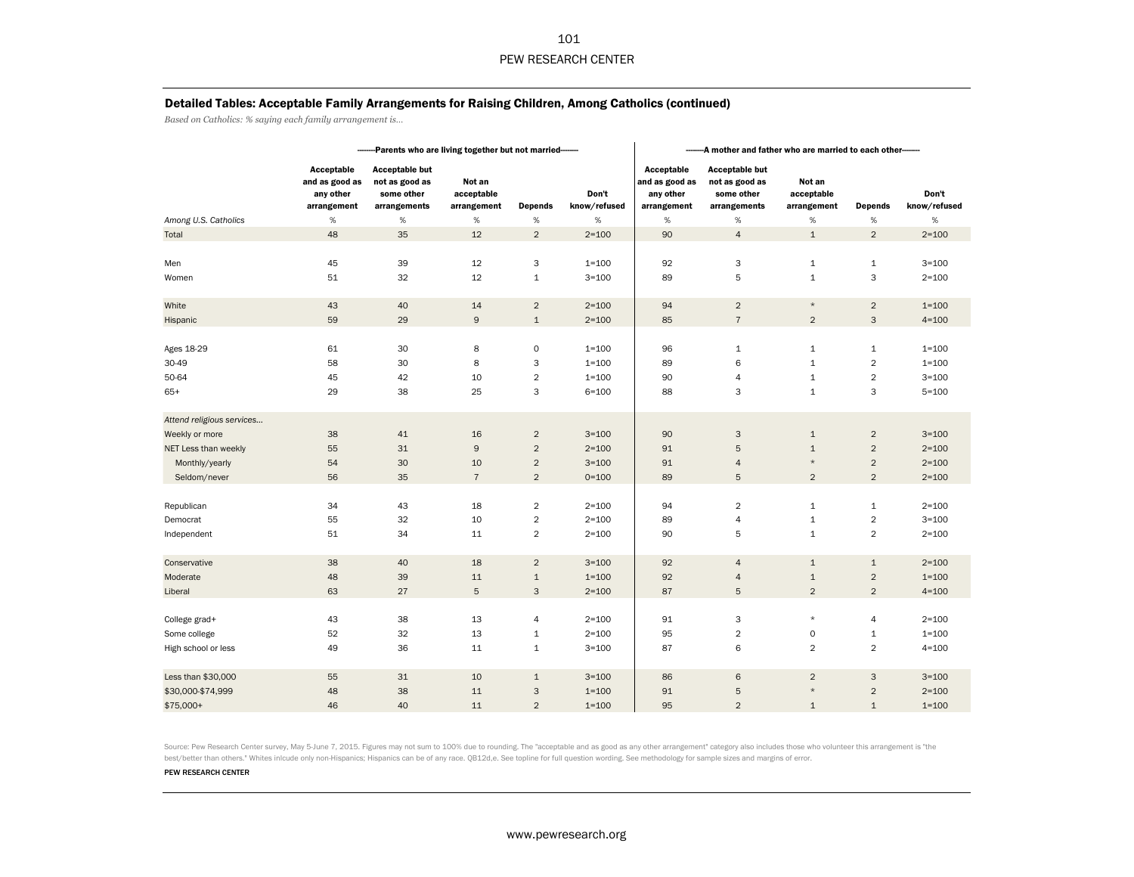$\Delta$ 

## Detailed Tables: Acceptable Family Arrangements for Raising Children, Among Catholics (continued)

*Based on Catholics: % saying each family arrangement is…*

|                           |                                                          | -Parents who are living together but not married------                |                                     |                |                       |                                                          | --- A mother and father who are married to each other-                |                                     |                |                       |
|---------------------------|----------------------------------------------------------|-----------------------------------------------------------------------|-------------------------------------|----------------|-----------------------|----------------------------------------------------------|-----------------------------------------------------------------------|-------------------------------------|----------------|-----------------------|
|                           | Acceptable<br>and as good as<br>any other<br>arrangement | <b>Acceptable but</b><br>not as good as<br>some other<br>arrangements | Not an<br>acceptable<br>arrangement | <b>Depends</b> | Don't<br>know/refused | Acceptable<br>and as good as<br>any other<br>arrangement | <b>Acceptable but</b><br>not as good as<br>some other<br>arrangements | Not an<br>acceptable<br>arrangement | <b>Depends</b> | Don't<br>know/refused |
| Among U.S. Catholics      | $\%$                                                     | $\%$                                                                  | $\%$                                | $\%$           | $\%$                  | $\%$                                                     | $\%$                                                                  | $\%$                                | $\%$           | $\%$                  |
| Total                     | 48                                                       | 35                                                                    | 12                                  | $\overline{2}$ | $2 = 100$             | 90                                                       | $\overline{4}$                                                        | $1\,$                               | $\overline{2}$ | $2 = 100$             |
|                           |                                                          |                                                                       |                                     |                |                       |                                                          |                                                                       |                                     |                |                       |
| Men                       | 45                                                       | 39                                                                    | 12                                  | 3              | $1 = 100$             | 92                                                       | 3                                                                     | $\mathtt 1$                         | $\mathbf 1$    | $3 = 100$             |
| Women                     | 51                                                       | 32                                                                    | 12                                  | $\mathbf 1$    | $3 = 100$             | 89                                                       | 5                                                                     | $\mathbf{1}$                        | 3              | $2 = 100$             |
| White                     | 43                                                       | 40                                                                    | 14                                  | $\overline{2}$ | $2 = 100$             | 94                                                       | $\overline{2}$                                                        | $\star$                             | $\overline{2}$ | $1 = 100$             |
| Hispanic                  | 59                                                       | 29                                                                    | 9                                   | $\mathbf{1}$   | $2 = 100$             | 85                                                       | $\overline{7}$                                                        | $\overline{2}$                      | 3              | $4 = 100$             |
|                           |                                                          |                                                                       |                                     |                |                       |                                                          |                                                                       |                                     |                |                       |
| Ages 18-29                | 61                                                       | 30                                                                    | 8                                   | $\mathbf 0$    | $1 = 100$             | 96                                                       | $\mathbf{1}$                                                          | $\mathbf 1$                         | $\mathbf{1}$   | $1 = 100$             |
| 30-49                     | 58                                                       | 30                                                                    | 8                                   | 3              | $1 = 100$             | 89                                                       | 6                                                                     | $\mathbf 1$                         | $\overline{2}$ | $1 = 100$             |
| 50-64                     | 45                                                       | 42                                                                    | 10                                  | $\overline{2}$ | $1 = 100$             | 90                                                       | 4                                                                     | $\mathbf{1}$                        | $\overline{2}$ | $3 = 100$             |
| $65+$                     | 29                                                       | 38                                                                    | 25                                  | 3              | $6 = 100$             | 88                                                       | 3                                                                     | $\mathbf 1$                         | 3              | $5 = 100$             |
| Attend religious services |                                                          |                                                                       |                                     |                |                       |                                                          |                                                                       |                                     |                |                       |
| Weekly or more            | 38                                                       | 41                                                                    | 16                                  | $\overline{2}$ | $3 = 100$             | 90                                                       | 3                                                                     | $1\,$                               | $\overline{2}$ | $3 = 100$             |
| NET Less than weekly      | 55                                                       | 31                                                                    | 9                                   | $\overline{2}$ | $2 = 100$             | 91                                                       | 5                                                                     | $\mathbf 1$                         | $\overline{2}$ | $2 = 100$             |
| Monthly/yearly            | 54                                                       | 30                                                                    | 10                                  | $\overline{2}$ | $3 = 100$             | 91                                                       | $\overline{4}$                                                        | $\star$                             | $\overline{2}$ | $2 = 100$             |
| Seldom/never              | 56                                                       | 35                                                                    | $\overline{7}$                      | $\overline{2}$ | $0 = 100$             | 89                                                       | $5\phantom{.0}$                                                       | $\overline{2}$                      | $\overline{2}$ | $2 = 100$             |
|                           |                                                          |                                                                       |                                     |                |                       |                                                          |                                                                       |                                     |                |                       |
| Republican                | 34                                                       | 43                                                                    | 18                                  | $\overline{2}$ | $2 = 100$             | 94                                                       | $\overline{2}$                                                        | $\mathbf{1}$                        | $\mathbf{1}$   | $2 = 100$             |
| Democrat                  | 55                                                       | 32                                                                    | 10                                  | $\overline{2}$ | $2 = 100$             | 89                                                       | 4                                                                     | $\mathbf 1$                         | $\sqrt{2}$     | $3 = 100$             |
| Independent               | 51                                                       | 34                                                                    | 11                                  | $\overline{2}$ | $2 = 100$             | 90                                                       | 5                                                                     | $\mathbf{1}$                        | $\overline{2}$ | $2 = 100$             |
|                           |                                                          |                                                                       |                                     |                |                       |                                                          |                                                                       |                                     |                |                       |
| Conservative              | 38                                                       | 40                                                                    | 18                                  | $\overline{2}$ | $3 = 100$             | 92                                                       | $\overline{4}$                                                        | $1\,$                               | $\mathbf{1}$   | $2 = 100$             |
| Moderate                  | 48                                                       | 39                                                                    | 11                                  | $\mathbf{1}$   | $1 = 100$             | 92                                                       | 4                                                                     | $\mathbf{1}$                        | $\overline{2}$ | $1 = 100$             |
| Liberal                   | 63                                                       | 27                                                                    | 5                                   | 3              | $2 = 100$             | 87                                                       | $\mathbf 5$                                                           | $\overline{2}$                      | $\overline{2}$ | $4 = 100$             |
|                           |                                                          |                                                                       |                                     |                |                       |                                                          |                                                                       |                                     |                |                       |
| College grad+             | 43                                                       | 38                                                                    | 13                                  | $\overline{4}$ | $2 = 100$             | 91                                                       | 3                                                                     | $\star$                             | $\overline{4}$ | $2 = 100$             |
| Some college              | 52                                                       | 32                                                                    | 13                                  | $\mathbf{1}$   | $2 = 100$             | 95                                                       | $\overline{c}$                                                        | $\mathsf O$                         | $\mathbf{1}$   | $1 = 100$             |
| High school or less       | 49                                                       | 36                                                                    | 11                                  | $\mathbf{1}$   | $3 = 100$             | 87                                                       | 6                                                                     | $\overline{2}$                      | $\overline{2}$ | $4 = 100$             |
|                           |                                                          |                                                                       |                                     |                |                       |                                                          |                                                                       |                                     |                |                       |
| Less than \$30,000        | 55                                                       | 31                                                                    | 10                                  | $\mathbf{1}$   | $3 = 100$             | 86                                                       | 6                                                                     | $\overline{2}$<br>$\star$           | 3              | $3 = 100$             |
| \$30,000-\$74,999         | 48                                                       | 38                                                                    | 11                                  | 3              | $1 = 100$             | 91                                                       | 5                                                                     |                                     | $\overline{2}$ | $2 = 100$             |
| \$75,000+                 | 46                                                       | 40                                                                    | 11                                  | 2              | $1 = 100$             | 95                                                       | $\overline{2}$                                                        | $\mathbf{1}$                        | $\mathbf{1}$   | $1 = 100$             |

Source: Pew Research Center survey, May 5-June 7, 2015. Figures may not sum to 100% due to rounding. The "acceptable and as good as any other arrangement" category also includes those who volunteer this arrangement is "the best/better than others." Whites inlcude only non-Hispanics; Hispanics can be of any race. QB12d,e. See topline for full question wording. See methodology for sample sizes and margins of error.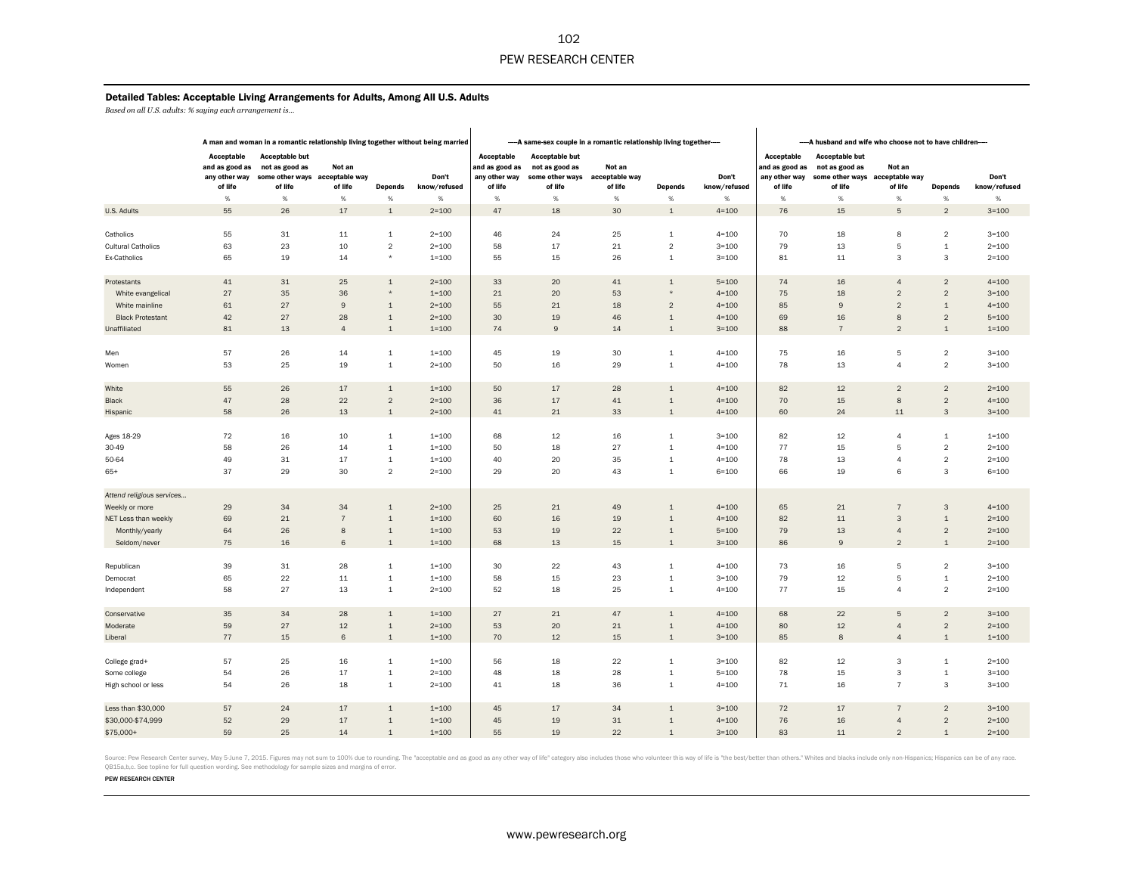### Detailed Tables: Acceptable Living Arrangements for Adults, Among All U.S. Adults

*Based on all U.S. adults: % saying each arrangement is…*

|                                           | Acceptable<br>and as good as<br>any other way<br>of life | A man and woman in a romantic relationship living together without being married<br><b>Acceptable but</b><br>not as good as<br>some other ways<br>of life | Not an<br>acceptable way<br>of life | <b>Depends</b>               | Don't<br>know/refused  | Acceptable<br>and as good as<br>any other way<br>of life | ---- A same-sex couple in a romantic relationship living together----<br><b>Acceptable but</b><br>not as good as<br>some other ways<br>of life | Not an<br>acceptable way<br>of life | Depends                     | Don't<br>know/refused  | Acceptable<br>and as good as<br>any other way<br>of life | ---- A husband and wife who choose not to have children-----<br><b>Acceptable but</b><br>not as good as<br>some other ways<br>of life | Not an<br>acceptable way<br>of life | <b>Depends</b>               | Don't<br>know/refused  |
|-------------------------------------------|----------------------------------------------------------|-----------------------------------------------------------------------------------------------------------------------------------------------------------|-------------------------------------|------------------------------|------------------------|----------------------------------------------------------|------------------------------------------------------------------------------------------------------------------------------------------------|-------------------------------------|-----------------------------|------------------------|----------------------------------------------------------|---------------------------------------------------------------------------------------------------------------------------------------|-------------------------------------|------------------------------|------------------------|
|                                           | $\%$                                                     | $\%$                                                                                                                                                      | $\%$                                | $\%$                         | $\%$                   | %                                                        | %                                                                                                                                              | $\%$                                | $\%$                        | %                      | %                                                        | $\%$                                                                                                                                  | %                                   | $\%$                         | $\%$                   |
| U.S. Adults                               | 55                                                       | 26                                                                                                                                                        | 17                                  | $1\,$                        | $2 = 100$              | 47                                                       | 18                                                                                                                                             | 30                                  | $\mathbf{1}$                | $4 = 100$              | 76                                                       | 15                                                                                                                                    | 5                                   | $\overline{c}$               | $3 = 100$              |
|                                           |                                                          |                                                                                                                                                           |                                     |                              |                        |                                                          |                                                                                                                                                |                                     |                             |                        |                                                          |                                                                                                                                       |                                     |                              |                        |
| Catholics                                 | 55                                                       | 31                                                                                                                                                        | 11                                  | $\mathbf{1}$                 | $2 = 100$              | 46                                                       | 24                                                                                                                                             | 25                                  | $\mathbf{1}$                | $4 = 100$              | 70                                                       | 18                                                                                                                                    | 8                                   | $\overline{2}$               | $3 = 100$              |
| <b>Cultural Catholics</b>                 | 63                                                       | 23                                                                                                                                                        | 10                                  | $\overline{2}$               | $2 = 100$              | 58                                                       | 17                                                                                                                                             | 21                                  | $\overline{2}$              | $3 = 100$              | 79                                                       | 13                                                                                                                                    | 5                                   | $\mathbf 1$                  | $2 = 100$              |
| <b>Ex-Catholics</b>                       | 65                                                       | 19                                                                                                                                                        | 14                                  | $\star$                      | $1 = 100$              | 55                                                       | 15                                                                                                                                             | 26                                  | $\mathbf{1}$                | $3 = 100$              | 81                                                       | 11                                                                                                                                    | 3                                   | 3                            | $2 = 100$              |
|                                           |                                                          |                                                                                                                                                           |                                     |                              |                        |                                                          |                                                                                                                                                |                                     |                             |                        |                                                          |                                                                                                                                       |                                     |                              |                        |
| Protestants                               | 41<br>27                                                 | 31<br>35                                                                                                                                                  | 25<br>36                            | $1\,$<br>$\star$             | $2 = 100$              | 33                                                       | 20<br>20                                                                                                                                       | 41<br>53                            | $\mathbf{1}$<br>$\star$     | $5 = 100$              | 74<br>75                                                 | 16<br>18                                                                                                                              | $\overline{4}$<br>$\overline{2}$    | $\sqrt{2}$<br>$\overline{c}$ | $4 = 100$              |
| White evangelical                         | 61                                                       | 27                                                                                                                                                        | $\mathsf{9}$                        |                              | $1 = 100$<br>$2 = 100$ | 21<br>55                                                 | 21                                                                                                                                             | 18                                  | $\overline{2}$              | $4 = 100$              | 85                                                       | $\mathsf g$                                                                                                                           | $\overline{2}$                      | $\mathbf 1$                  | $3 = 100$<br>$4 = 100$ |
| White mainline<br><b>Black Protestant</b> | 42                                                       | 27                                                                                                                                                        | 28                                  | $\mathbf{1}$<br>$\mathbf{1}$ | $2 = 100$              | 30                                                       | 19                                                                                                                                             | 46                                  | $\mathbf{1}$                | $4 = 100$<br>$4 = 100$ | 69                                                       | 16                                                                                                                                    | 8                                   | $\overline{2}$               | $5 = 100$              |
| Unaffiliated                              | 81                                                       | 13                                                                                                                                                        | $\overline{4}$                      | $\mathbf{1}$                 | $1 = 100$              | 74                                                       | $\overline{9}$                                                                                                                                 | 14                                  | $\mathbf{1}$                | $3 = 100$              | 88                                                       | $\overline{7}$                                                                                                                        | $\overline{2}$                      | $\mathbf{1}$                 | $1 = 100$              |
|                                           |                                                          |                                                                                                                                                           |                                     |                              |                        |                                                          |                                                                                                                                                |                                     |                             |                        |                                                          |                                                                                                                                       |                                     |                              |                        |
| Men                                       | 57                                                       | 26                                                                                                                                                        | 14                                  | $\mathbf{1}$                 | $1 = 100$              | 45                                                       | 19                                                                                                                                             | 30                                  | $\mathbf{1}$                | $4 = 100$              | 75                                                       | 16                                                                                                                                    | 5                                   | $\mathbf 2$                  | $3 = 100$              |
| Women                                     | 53                                                       | 25                                                                                                                                                        | 19                                  | $\mathbf 1$                  | $2 = 100$              | 50                                                       | 16                                                                                                                                             | 29                                  | $\mathbf{1}$                | $4 = 100$              | 78                                                       | 13                                                                                                                                    | $\overline{4}$                      | $\overline{c}$               | $3 = 100$              |
|                                           |                                                          |                                                                                                                                                           |                                     |                              |                        |                                                          |                                                                                                                                                |                                     |                             |                        |                                                          |                                                                                                                                       |                                     |                              |                        |
| White                                     | 55                                                       | 26                                                                                                                                                        | 17                                  | $\mathbf{1}$                 | $1 = 100$              | 50                                                       | 17                                                                                                                                             | 28                                  | $\mathbf{1}$                | $4 = 100$              | 82                                                       | 12                                                                                                                                    | $\overline{2}$                      | $\overline{2}$               | $2 = 100$              |
| Black                                     | 47                                                       | 28                                                                                                                                                        | 22                                  | $\overline{2}$               | $2 = 100$              | 36                                                       | 17                                                                                                                                             | 41                                  | $\mathbf{1}$                | $4 = 100$              | 70                                                       | 15                                                                                                                                    | 8                                   | $\overline{2}$               | $4 = 100$              |
| Hispanic                                  | 58                                                       | 26                                                                                                                                                        | 13                                  | $\mathbf 1$                  | $2 = 100$              | 41                                                       | 21                                                                                                                                             | 33                                  | $\mathbf{1}$                | $4 = 100$              | 60                                                       | 24                                                                                                                                    | 11                                  | $\mathsf 3$                  | $3 = 100$              |
|                                           |                                                          |                                                                                                                                                           |                                     |                              |                        |                                                          |                                                                                                                                                |                                     |                             |                        |                                                          |                                                                                                                                       |                                     |                              |                        |
| Ages 18-29                                | 72                                                       | 16                                                                                                                                                        | 10                                  | $\mathbf{1}$                 | $1 = 100$              | 68                                                       | 12                                                                                                                                             | 16                                  | $\mathbf{1}$                | $3 = 100$              | 82                                                       | 12                                                                                                                                    | $\overline{4}$                      | $\mathbf 1$                  | $1 = 100$              |
| 30-49                                     | 58                                                       | 26                                                                                                                                                        | 14                                  | $\mathbf{1}$                 | $1 = 100$              | 50                                                       | 18                                                                                                                                             | 27                                  | $\mathbf{1}$                | $4 = 100$              | 77                                                       | 15                                                                                                                                    | 5                                   | $\mathbf 2$                  | $2 = 100$              |
| 50-64                                     | 49                                                       | 31                                                                                                                                                        | 17                                  | 1                            | $1 = 100$              | 40                                                       | 20                                                                                                                                             | 35                                  | $\mathbf{1}$                | $4 = 100$              | 78                                                       | 13                                                                                                                                    | $\overline{4}$                      | $\overline{c}$               | $2 = 100$              |
| $65+$                                     | 37                                                       | 29                                                                                                                                                        | 30                                  | $\overline{2}$               | $2 = 100$              | 29                                                       | 20                                                                                                                                             | 43                                  | $\mathbf{1}$                | $6 = 100$              | 66                                                       | 19                                                                                                                                    | 6                                   | 3                            | $6 = 100$              |
|                                           |                                                          |                                                                                                                                                           |                                     |                              |                        |                                                          |                                                                                                                                                |                                     |                             |                        |                                                          |                                                                                                                                       |                                     |                              |                        |
| Attend religious services                 |                                                          |                                                                                                                                                           |                                     |                              |                        |                                                          |                                                                                                                                                |                                     |                             |                        |                                                          |                                                                                                                                       |                                     |                              |                        |
| Weekly or more                            | 29<br>69                                                 | 34<br>21                                                                                                                                                  | 34<br>$\overline{7}$                | $\mathbf{1}$                 | $2 = 100$              | 25                                                       | 21<br>16                                                                                                                                       | 49<br>19                            | $\mathbf{1}$<br>$\mathbf 1$ | $4 = 100$              | 65                                                       | 21                                                                                                                                    | $\overline{7}$<br>3                 | 3<br>$\mathbf 1$             | $4 = 100$              |
| NET Less than weekly                      |                                                          |                                                                                                                                                           | $\bf8$                              | $\mathbf{1}$                 | $1 = 100$<br>$1 = 100$ | 60<br>53                                                 | 19                                                                                                                                             | 22                                  | $\mathbf{1}$                | $4 = 100$              | 82<br>79                                                 | 11<br>13                                                                                                                              | $\overline{4}$                      | $\overline{2}$               | $2 = 100$              |
| Monthly/yearly                            | 64<br>75                                                 | 26<br>16                                                                                                                                                  | $\,$ 6                              | $\mathbf{1}$<br>$\mathbf{1}$ | $1 = 100$              | 68                                                       | 13                                                                                                                                             | 15                                  | $\mathbf{1}$                | $5 = 100$<br>$3 = 100$ | 86                                                       | 9                                                                                                                                     | $\overline{2}$                      | $\mathbf{1}$                 | $2 = 100$<br>$2 = 100$ |
| Seldom/never                              |                                                          |                                                                                                                                                           |                                     |                              |                        |                                                          |                                                                                                                                                |                                     |                             |                        |                                                          |                                                                                                                                       |                                     |                              |                        |
| Republican                                | 39                                                       | 31                                                                                                                                                        | 28                                  | $\mathbf{1}$                 | $1 = 100$              | 30                                                       | 22                                                                                                                                             | 43                                  | $\mathbf{1}$                | $4 = 100$              | 73                                                       | 16                                                                                                                                    | 5                                   | $\sqrt{2}$                   | $3 = 100$              |
| Democrat                                  | 65                                                       | 22                                                                                                                                                        | 11                                  | 1                            | $1 = 100$              | 58                                                       | 15                                                                                                                                             | 23                                  | $\mathbf{1}$                | $3 = 100$              | 79                                                       | 12                                                                                                                                    | 5                                   | $\,$ 1                       | $2 = 100$              |
| Independent                               | 58                                                       | 27                                                                                                                                                        | 13                                  | $\mathbf{1}$                 | $2 = 100$              | 52                                                       | 18                                                                                                                                             | 25                                  | $\mathbf{1}$                | $4 = 100$              | 77                                                       | 15                                                                                                                                    | $\overline{4}$                      | $\overline{2}$               | $2 = 100$              |
|                                           |                                                          |                                                                                                                                                           |                                     |                              |                        |                                                          |                                                                                                                                                |                                     |                             |                        |                                                          |                                                                                                                                       |                                     |                              |                        |
| Conservative                              | 35                                                       | 34                                                                                                                                                        | 28                                  | $\mathbf{1}$                 | $1 = 100$              | 27                                                       | 21                                                                                                                                             | 47                                  | $\mathbf{1}$                | $4 = 100$              | 68                                                       | 22                                                                                                                                    | 5                                   | $\overline{c}$               | $3 = 100$              |
| Moderate                                  | 59                                                       | 27                                                                                                                                                        | 12                                  | $\mathbf{1}$                 | $2 = 100$              | 53                                                       | 20                                                                                                                                             | 21                                  | $\mathbf{1}$                | $4 = 100$              | 80                                                       | 12                                                                                                                                    | $\overline{4}$                      | $\overline{2}$               | $2 = 100$              |
| Liberal                                   | $77\,$                                                   | 15                                                                                                                                                        | $\,$ 6                              | $\mathbf{1}$                 | $1 = 100$              | 70                                                       | 12                                                                                                                                             | 15                                  | $\mathbf{1}$                | $3 = 100$              | 85                                                       | $\bf8$                                                                                                                                | $\overline{4}$                      | $\mathbf{1}$                 | $1 = 100$              |
|                                           |                                                          |                                                                                                                                                           |                                     |                              |                        |                                                          |                                                                                                                                                |                                     |                             |                        |                                                          |                                                                                                                                       |                                     |                              |                        |
| College grad+                             | 57                                                       | 25                                                                                                                                                        | 16                                  | $\mathbf 1$                  | $1 = 100$              | 56                                                       | 18                                                                                                                                             | 22                                  | $\mathbf{1}$                | $3 = 100$              | 82                                                       | 12                                                                                                                                    | 3                                   | $\,$ 1                       | $2 = 100$              |
| Some college                              | 54                                                       | 26                                                                                                                                                        | 17                                  | 1                            | $2 = 100$              | 48                                                       | 18                                                                                                                                             | 28                                  | $\mathbf 1$                 | $5 = 100$              | 78                                                       | 15                                                                                                                                    | 3                                   | $\mathbf 1$                  | $3 = 100$              |
| High school or less                       | 54                                                       | 26                                                                                                                                                        | 18                                  | 1                            | $2 = 100$              | 41                                                       | 18                                                                                                                                             | 36                                  | $\mathbf{1}$                | $4 = 100$              | 71                                                       | 16                                                                                                                                    | $\overline{7}$                      | 3                            | $3 = 100$              |
| Less than \$30,000                        | 57                                                       | 24                                                                                                                                                        | 17                                  | $\mathbf{1}$                 | $1 = 100$              | 45                                                       | 17                                                                                                                                             | 34                                  | $\mathbf{1}$                | $3 = 100$              | 72                                                       | 17                                                                                                                                    | $\overline{7}$                      | $\sqrt{2}$                   | $3 = 100$              |
| \$30,000-\$74,999                         | 52                                                       | 29                                                                                                                                                        | 17                                  | $\mathbf{1}$                 | $1 = 100$              | 45                                                       | 19                                                                                                                                             | 31                                  | $\mathbf{1}$                | $4 = 100$              | 76                                                       | 16                                                                                                                                    | $\overline{4}$                      | $\sqrt{2}$                   | $2 = 100$              |
| \$75,000+                                 | 59                                                       | 25                                                                                                                                                        | 14                                  | $1\,$                        | $1 = 100$              | 55                                                       | 19                                                                                                                                             | 22                                  | $\mathbf{1}$                | $3 = 100$              | 83                                                       | 11                                                                                                                                    | $\overline{2}$                      | $\mathbf{1}$                 | $2 = 100$              |
|                                           |                                                          |                                                                                                                                                           |                                     |                              |                        |                                                          |                                                                                                                                                |                                     |                             |                        |                                                          |                                                                                                                                       |                                     |                              |                        |

Source: Pew Research Center survey, May 5-June 7, 2015. Figures may not sum to 100% due to rounding. The "acceptable and as good as any other way of life" category also includes those who volunteer this way of life is "the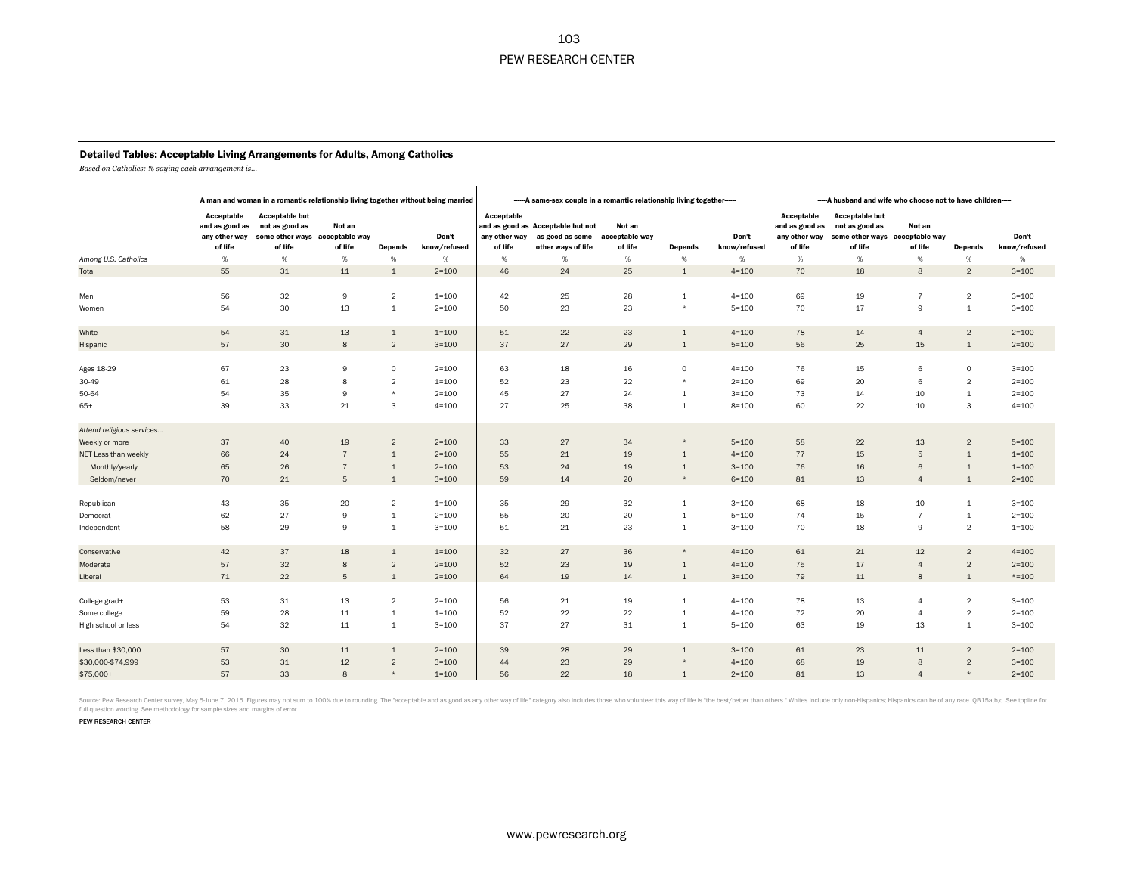### Detailed Tables: Acceptable Living Arrangements for Adults, Among Catholics

*Based on Catholics: % saying each arrangement is…*

|                                                      |                                                          | A man and woman in a romantic relationship living together without being married     |                    |                                                |                                                  |                                        | ------A same-sex couple in a romantic relationship living together-----    |                                     |                                              |                                                  |                                                          | ---- A husband and wife who choose not to have children----                          |                                        |                                                  |                                                  |
|------------------------------------------------------|----------------------------------------------------------|--------------------------------------------------------------------------------------|--------------------|------------------------------------------------|--------------------------------------------------|----------------------------------------|----------------------------------------------------------------------------|-------------------------------------|----------------------------------------------|--------------------------------------------------|----------------------------------------------------------|--------------------------------------------------------------------------------------|----------------------------------------|--------------------------------------------------|--------------------------------------------------|
|                                                      | Acceptable<br>and as good as<br>any other way<br>of life | <b>Acceptable but</b><br>not as good as<br>some other ways acceptable way<br>of life | Not an<br>of life  | <b>Depends</b>                                 | Don't<br>know/refused                            | Acceptable<br>any other way<br>of life | and as good as Acceptable but not<br>as good as some<br>other ways of life | Not an<br>acceptable way<br>of life | <b>Depends</b>                               | Don't<br>know/refused                            | Acceptable<br>and as good as<br>any other way<br>of life | <b>Acceptable but</b><br>not as good as<br>some other ways acceptable way<br>of life | Not an<br>of life                      | <b>Depends</b>                                   | Don't<br>know/refused                            |
| Among U.S. Catholics                                 | $\%$                                                     | $\%$                                                                                 | $\%$               | $\%$                                           | $\%$                                             | $\%$                                   | %                                                                          | $\%$                                | $\%$                                         | $\%$                                             | $\%$                                                     | %                                                                                    | $\%$                                   | $\%$                                             | $\%$                                             |
| Total                                                | 55                                                       | 31                                                                                   | 11                 | $\mathbf{1}$                                   | $2 = 100$                                        | 46                                     | 24                                                                         | 25                                  | $\mathbf{1}$                                 | $4 = 100$                                        | 70                                                       | 18                                                                                   | 8                                      | $\overline{2}$                                   | $3 = 100$                                        |
| Men<br>Women                                         | 56<br>54                                                 | 32<br>30                                                                             | 9<br>13            | $\overline{2}$<br>1                            | $1 = 100$<br>$2 = 100$                           | 42<br>50                               | 25<br>23                                                                   | 28<br>23                            | $\mathbf{1}$<br>$\star$                      | $4 = 100$<br>$5 = 100$                           | 69<br>70                                                 | 19<br>17                                                                             | $\overline{7}$<br>9                    | $\overline{2}$<br>$\mathbf{1}$                   | $3 = 100$<br>$3 = 100$                           |
| White                                                | 54                                                       | 31                                                                                   | 13                 | $\mathbf{1}$                                   | $1 = 100$                                        | 51                                     | 22                                                                         | 23                                  | $1\,$                                        | $4 = 100$                                        | 78                                                       | 14                                                                                   | $\overline{4}$                         | $\overline{2}$                                   | $2 = 100$                                        |
| Hispanic                                             | 57                                                       | 30                                                                                   | 8                  | $\overline{2}$                                 | $3 = 100$                                        | 37                                     | 27                                                                         | 29                                  | $\mathbf{1}$                                 | $5 = 100$                                        | 56                                                       | 25                                                                                   | 15                                     | $\mathbf{1}$                                     | $2 = 100$                                        |
| Ages 18-29<br>30-49<br>50-64<br>$65+$                | 67<br>61<br>54<br>39                                     | 23<br>28<br>35<br>33                                                                 | 9<br>8<br>9<br>21  | $\mathsf{o}$<br>$\overline{2}$<br>$\star$<br>3 | $2 = 100$<br>$1 = 100$<br>$2 = 100$<br>$4 = 100$ | 63<br>52<br>45<br>27                   | 18<br>23<br>27<br>25                                                       | 16<br>22<br>24<br>38                | $\circ$<br>$\star$<br>$\,$ 1<br>$\mathbf{1}$ | $4 = 100$<br>$2 = 100$<br>$3 = 100$<br>$8 = 100$ | 76<br>69<br>73<br>60                                     | 15<br>20<br>14<br>22                                                                 | 6<br>6<br>10<br>10                     | $\circ$<br>$\overline{2}$<br>$\mathbf{1}$<br>3   | $3 = 100$<br>$2 = 100$<br>$2 = 100$<br>$4 = 100$ |
| Attend religious services                            |                                                          |                                                                                      |                    |                                                |                                                  |                                        |                                                                            |                                     |                                              |                                                  |                                                          |                                                                                      |                                        |                                                  |                                                  |
| Weekly or more                                       | 37                                                       | 40                                                                                   | 19                 | $\overline{2}$                                 | $2 = 100$                                        | 33                                     | 27                                                                         | 34                                  | $\star$                                      | $5 = 100$                                        | 58                                                       | 22                                                                                   | 13                                     | $\overline{2}$                                   | $5 = 100$                                        |
| NET Less than weekly                                 | 66                                                       | 24                                                                                   | $\overline{7}$     | $\mathbf{1}$                                   | $2 = 100$                                        | 55                                     | 21                                                                         | 19                                  | $\mathbf{1}$                                 | $4 = 100$                                        | 77                                                       | 15                                                                                   | $5\phantom{.0}$                        | $1\,$                                            | $1 = 100$                                        |
| Monthly/yearly                                       | 65                                                       | 26                                                                                   | $\overline{7}$     | $1\,$                                          | $2 = 100$                                        | 53                                     | 24                                                                         | 19                                  | $\mathbf{1}$                                 | $3 = 100$                                        | 76                                                       | 16                                                                                   | $6\phantom{1}6$                        | $1\,$                                            | $1 = 100$                                        |
| Seldom/never                                         | 70                                                       | 21                                                                                   | $\mathbf 5$        | $\mathbf{1}$                                   | $3 = 100$                                        | 59                                     | 14                                                                         | 20                                  | $\star$                                      | $6 = 100$                                        | 81                                                       | 13                                                                                   | $\overline{4}$                         | $\mathbf{1}$                                     | $2 = 100$                                        |
| Republican<br>Democrat<br>Independent                | 43<br>62<br>58                                           | 35<br>27<br>29                                                                       | 20<br>9<br>9       | $\mathbf 2$<br>$\mathbf{1}$<br>$\mathbf{1}$    | $1 = 100$<br>$2 = 100$<br>$3 = 100$              | 35<br>55<br>51                         | 29<br>20<br>21                                                             | 32<br>20<br>23                      | $\mathbf{1}$<br>$\mathbf{1}$<br>$\mathbf{1}$ | $3 = 100$<br>$5 = 100$<br>$3 = 100$              | 68<br>74<br>70                                           | 18<br>15<br>18                                                                       | 10<br>$\overline{7}$<br>9              | $\mathbf{1}$<br>$\mathbf{1}$<br>$\overline{2}$   | $3 = 100$<br>$2 = 100$<br>$1 = 100$              |
| Conservative                                         | 42                                                       | 37                                                                                   | 18                 | $\mathbf{1}$                                   | $1 = 100$                                        | 32                                     | 27                                                                         | 36                                  | $\star$                                      | $4 = 100$                                        | 61                                                       | 21                                                                                   | 12                                     | $\overline{2}$                                   | $4 = 100$                                        |
| Moderate                                             | 57                                                       | 32                                                                                   | 8                  | $\overline{2}$                                 | $2 = 100$                                        | 52                                     | 23                                                                         | 19                                  | $\mathbf{1}$                                 | $4 = 100$                                        | 75                                                       | 17                                                                                   | $\overline{4}$                         | $\overline{2}$                                   | $2 = 100$                                        |
| Liberal                                              | 71                                                       | 22                                                                                   | $5\phantom{.0}$    | $\mathbf{1}$                                   | $2 = 100$                                        | 64                                     | 19                                                                         | 14                                  | $\mathbf{1}$                                 | $3 = 100$                                        | 79                                                       | 11                                                                                   | 8                                      | $\mathbf{1}$                                     | $* = 100$                                        |
| College grad+<br>Some college<br>High school or less | 53<br>59<br>54                                           | 31<br>28<br>32                                                                       | 13<br>$11\,$<br>11 | $\overline{2}$<br>$\mathbf 1$<br>$\mathbf{1}$  | $2 = 100$<br>$1 = 100$<br>$3 = 100$              | 56<br>52<br>37                         | 21<br>22<br>27                                                             | 19<br>22<br>31                      | $\mathbf{1}$<br>$1\,$<br>$\mathbf{1}$        | $4 = 100$<br>$4 = 100$<br>$5 = 100$              | 78<br>72<br>63                                           | 13<br>20<br>19                                                                       | $\overline{4}$<br>$\overline{4}$<br>13 | $\overline{2}$<br>$\overline{2}$<br>$\mathbf{1}$ | $3 = 100$<br>$2 = 100$<br>$3 = 100$              |
| Less than \$30,000                                   | 57                                                       | 30                                                                                   | 11                 | $\mathbf{1}$                                   | $2 = 100$                                        | 39                                     | 28                                                                         | 29                                  | $\mathbf{1}$                                 | $3 = 100$                                        | 61                                                       | 23                                                                                   | 11                                     | $\overline{2}$                                   | $2 = 100$                                        |
| \$30,000-\$74,999                                    | 53                                                       | 31                                                                                   | 12                 | $\overline{2}$                                 | $3 = 100$                                        | 44                                     | 23                                                                         | 29                                  | $\star$                                      | $4 = 100$                                        | 68                                                       | 19                                                                                   | 8                                      | $\overline{2}$                                   | $3 = 100$                                        |
| \$75,000+                                            | 57                                                       | 33                                                                                   | $\mathbf{8}$       | $\star$                                        | $1 = 100$                                        | 56                                     | 22                                                                         | 18                                  | $\mathbf{1}$                                 | $2 = 100$                                        | 81                                                       | 13                                                                                   | $\Delta$                               | $\star$                                          | $2 = 100$                                        |

Source: Pew Research Center survey, May 5-June 7, 2015. Figures may not sum to 100% due to rounding. The "acceptable and as good as any other way of life" category also includes those who volunteer this way of life is "the full question wording. See methodology for sample sizes and margins of error.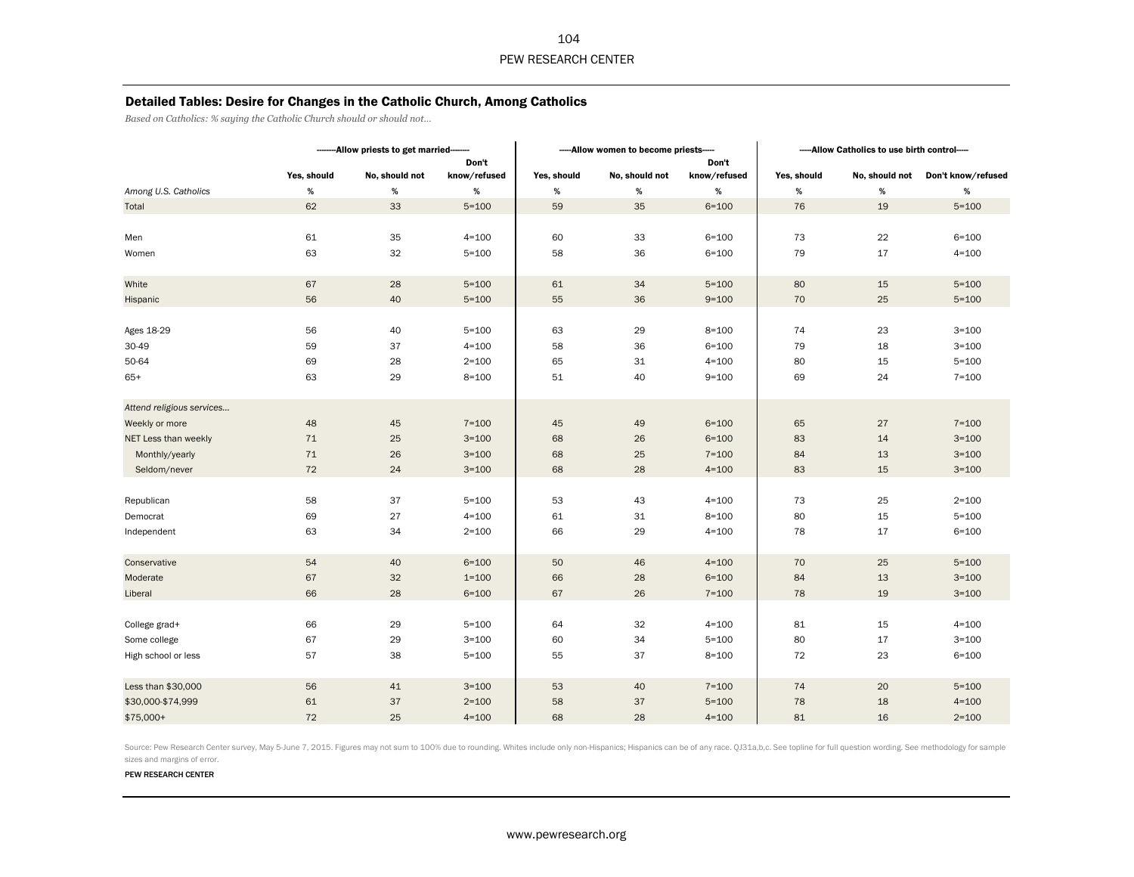# Detailed Tables: Desire for Changes in the Catholic Church, Among Catholics

*Based on Catholics: % saying the Catholic Church should or should not…*

|                           |             | -------- Allow priests to get married-------- |                   |             | ----- Allow women to become priests----- |                       |             | ----- Allow Catholics to use birth control----- |                    |
|---------------------------|-------------|-----------------------------------------------|-------------------|-------------|------------------------------------------|-----------------------|-------------|-------------------------------------------------|--------------------|
|                           | Yes, should | No, should not                                | Don't             | Yes, should | No, should not                           | Don't<br>know/refused | Yes, should | No, should not                                  | Don't know/refused |
|                           | $\%$        | $\%$                                          | know/refused<br>% | $\%$        | $\%$                                     | %                     | $\%$        | $\%$                                            | $\%$               |
| Among U.S. Catholics      |             |                                               |                   |             |                                          |                       |             |                                                 |                    |
| Total                     | 62          | 33                                            | $5 = 100$         | 59          | 35                                       | $6 = 100$             | 76          | 19                                              | $5 = 100$          |
|                           |             |                                               |                   |             |                                          |                       |             |                                                 |                    |
| Men                       | 61          | 35                                            | $4 = 100$         | 60          | 33                                       | $6 = 100$             | 73          | 22                                              | $6 = 100$          |
| Women                     | 63          | 32                                            | $5 = 100$         | 58          | 36                                       | $6 = 100$             | 79          | 17                                              | $4 = 100$          |
| White                     | 67          | 28                                            | $5 = 100$         | 61          | 34                                       | $5 = 100$             | 80          | 15                                              | $5 = 100$          |
| Hispanic                  | 56          | 40                                            | $5 = 100$         | 55          | 36                                       | $9 = 100$             | 70          | 25                                              | $5 = 100$          |
|                           |             |                                               |                   |             |                                          |                       |             |                                                 |                    |
| Ages 18-29                | 56          | 40                                            | $5 = 100$         | 63          | 29                                       | $8 = 100$             | 74          | 23                                              | $3 = 100$          |
| 30-49                     | 59          | 37                                            | $4 = 100$         | 58          | 36                                       | $6 = 100$             | 79          | 18                                              | $3 = 100$          |
| 50-64                     | 69          | 28                                            | $2 = 100$         | 65          | 31                                       | $4 = 100$             | 80          | 15                                              | $5 = 100$          |
| $65+$                     | 63          | 29                                            | $8 = 100$         | 51          | 40                                       | $9 = 100$             | 69          | 24                                              | $7 = 100$          |
|                           |             |                                               |                   |             |                                          |                       |             |                                                 |                    |
| Attend religious services |             |                                               |                   |             |                                          |                       |             |                                                 |                    |
| Weekly or more            | 48          | 45                                            | $7 = 100$         | 45          | 49                                       | $6 = 100$             | 65          | 27                                              | $7 = 100$          |
| NET Less than weekly      | 71          | 25                                            | $3 = 100$         | 68          | 26                                       | $6 = 100$             | 83          | 14                                              | $3 = 100$          |
| Monthly/yearly            | 71          | 26                                            | $3 = 100$         | 68          | 25                                       | $7 = 100$             | 84          | 13                                              | $3 = 100$          |
| Seldom/never              | 72          | 24                                            | $3 = 100$         | 68          | 28                                       | $4 = 100$             | 83          | 15                                              | $3 = 100$          |
|                           |             |                                               |                   |             |                                          |                       |             |                                                 |                    |
| Republican                | 58          | 37                                            | $5 = 100$         | 53          | 43                                       | $4 = 100$             | 73          | 25                                              | $2 = 100$          |
| Democrat                  | 69          | 27                                            | $4 = 100$         | 61          | 31                                       | $8 = 100$             | 80          | 15                                              | $5 = 100$          |
| Independent               | 63          | 34                                            | $2 = 100$         | 66          | 29                                       | $4 = 100$             | 78          | 17                                              | $6 = 100$          |
|                           |             |                                               |                   |             |                                          |                       |             |                                                 |                    |
| Conservative              | 54          | 40                                            | $6 = 100$         | 50          | 46                                       | $4 = 100$             | 70          | 25                                              | $5 = 100$          |
| Moderate                  | 67          | 32                                            | $1 = 100$         | 66          | 28                                       | $6 = 100$             | 84          | 13                                              | $3 = 100$          |
| Liberal                   | 66          | 28                                            | $6 = 100$         | 67          | 26                                       | $7 = 100$             | 78          | 19                                              | $3 = 100$          |
|                           |             |                                               |                   |             |                                          |                       |             |                                                 |                    |
| College grad+             | 66          | 29                                            | $5 = 100$         | 64          | 32                                       | $4 = 100$             | 81          | 15                                              | $4 = 100$          |
| Some college              | 67          | 29                                            | $3 = 100$         | 60          | 34                                       | $5 = 100$             | 80          | $17\,$                                          | $3 = 100$          |
| High school or less       | 57          | 38                                            | $5 = 100$         | 55          | 37                                       | $8 = 100$             | 72          | 23                                              | $6 = 100$          |
|                           |             |                                               |                   |             |                                          |                       |             |                                                 |                    |
| Less than \$30,000        | 56          | 41                                            | $3 = 100$         | 53          | 40                                       | $7 = 100$             | 74          | 20                                              | $5 = 100$          |
| \$30,000-\$74,999         | 61          | 37                                            | $2 = 100$         | 58          | 37                                       | $5 = 100$             | 78          | 18                                              | $4 = 100$          |
| \$75,000+                 | 72          | 25                                            | $4 = 100$         | 68          | 28                                       | $4 = 100$             | 81          | 16                                              | $2 = 100$          |

Source: Pew Research Center survey, May 5-June 7, 2015. Figures may not sum to 100% due to rounding. Whites include only non-Hispanics; Hispanics can be of any race. QJ31a,b,c. See topline for full question wording. See me sizes and margins of error.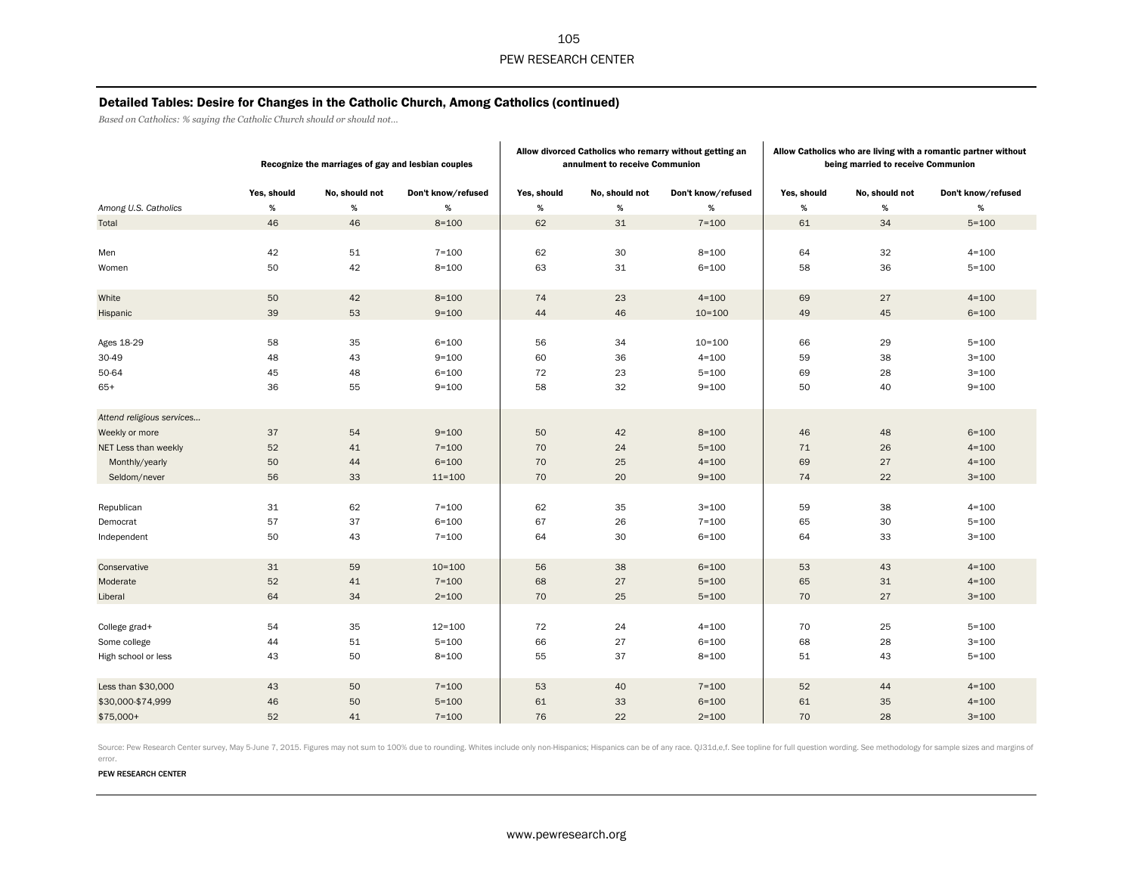$\mathbf{r}$ 

# Detailed Tables: Desire for Changes in the Catholic Church, Among Catholics (continued)

*Based on Catholics: % saying the Catholic Church should or should not…*

|                           |             | Recognize the marriages of gay and lesbian couples |                    |             | annulment to receive Communion | Allow divorced Catholics who remarry without getting an |             | being married to receive Communion | Allow Catholics who are living with a romantic partner without |
|---------------------------|-------------|----------------------------------------------------|--------------------|-------------|--------------------------------|---------------------------------------------------------|-------------|------------------------------------|----------------------------------------------------------------|
|                           | Yes, should | No, should not                                     | Don't know/refused | Yes, should | No, should not                 | Don't know/refused                                      | Yes, should | No, should not                     | Don't know/refused                                             |
| Among U.S. Catholics      | $\%$        | $\%$                                               | $\%$               | $\%$        | $\%$                           | %                                                       | $\%$        | $\%$                               | $\%$                                                           |
| Total                     | 46          | 46                                                 | $8 = 100$          | 62          | 31                             | $7 = 100$                                               | 61          | 34                                 | $5 = 100$                                                      |
|                           |             |                                                    |                    |             |                                |                                                         |             |                                    |                                                                |
| Men                       | 42          | 51                                                 | $7 = 100$          | 62          | 30                             | $8 = 100$                                               | 64          | 32                                 | $4 = 100$                                                      |
| Women                     | 50          | 42                                                 | $8 = 100$          | 63          | 31                             | $6 = 100$                                               | 58          | 36                                 | $5 = 100$                                                      |
| White                     | 50          | 42                                                 | $8 = 100$          | 74          | 23                             | $4 = 100$                                               | 69          | 27                                 | $4 = 100$                                                      |
| Hispanic                  | 39          | 53                                                 | $9 = 100$          | 44          | 46                             | $10 = 100$                                              | 49          | 45                                 | $6 = 100$                                                      |
|                           |             |                                                    |                    |             |                                |                                                         |             |                                    |                                                                |
| Ages 18-29                | 58          | 35                                                 | $6 = 100$          | 56          | 34                             | $10 = 100$                                              | 66          | 29                                 | $5 = 100$                                                      |
| 30-49                     | 48          | 43                                                 | $9 = 100$          | 60          | 36                             | $4 = 100$                                               | 59          | 38                                 | $3 = 100$                                                      |
| 50-64                     | 45          | 48                                                 | $6 = 100$          | 72          | 23                             | $5 = 100$                                               | 69          | 28                                 | $3 = 100$                                                      |
| $65+$                     | 36          | 55                                                 | $9 = 100$          | 58          | 32                             | $9 = 100$                                               | 50          | 40                                 | $9 = 100$                                                      |
| Attend religious services |             |                                                    |                    |             |                                |                                                         |             |                                    |                                                                |
| Weekly or more            | 37          | 54                                                 | $9 = 100$          | 50          | 42                             | $8 = 100$                                               | 46          | 48                                 | $6 = 100$                                                      |
| NET Less than weekly      | 52          | 41                                                 | $7 = 100$          | 70          | 24                             | $5 = 100$                                               | 71          | 26                                 | $4 = 100$                                                      |
| Monthly/yearly            | 50          | 44                                                 | $6 = 100$          | 70          | 25                             | $4 = 100$                                               | 69          | 27                                 | $4 = 100$                                                      |
| Seldom/never              | 56          | 33                                                 | $11 = 100$         | 70          | 20                             | $9 = 100$                                               | 74          | 22                                 | $3 = 100$                                                      |
|                           |             |                                                    |                    |             |                                |                                                         |             |                                    |                                                                |
| Republican                | 31          | 62                                                 | $7 = 100$          | 62          | 35                             | $3 = 100$                                               | 59          | 38                                 | $4 = 100$                                                      |
| Democrat                  | 57          | 37                                                 | $6 = 100$          | 67          | 26                             | $7 = 100$                                               | 65          | 30                                 | $5 = 100$                                                      |
| Independent               | 50          | 43                                                 | $7 = 100$          | 64          | 30                             | $6 = 100$                                               | 64          | 33                                 | $3 = 100$                                                      |
|                           |             |                                                    |                    |             |                                |                                                         |             |                                    |                                                                |
| Conservative              | 31          | 59                                                 | $10 = 100$         | 56          | 38                             | $6 = 100$                                               | 53          | 43                                 | $4 = 100$                                                      |
| Moderate                  | 52          | 41                                                 | $7 = 100$          | 68          | 27                             | $5 = 100$                                               | 65          | 31                                 | $4 = 100$                                                      |
| Liberal                   | 64          | 34                                                 | $2 = 100$          | 70          | 25                             | $5 = 100$                                               | 70          | 27                                 | $3 = 100$                                                      |
|                           |             |                                                    |                    |             |                                |                                                         |             |                                    |                                                                |
| College grad+             | 54          | 35                                                 | $12 = 100$         | 72          | 24                             | $4 = 100$                                               | 70          | 25                                 | $5 = 100$                                                      |
| Some college              | 44          | 51                                                 | $5 = 100$          | 66          | 27                             | $6 = 100$                                               | 68          | 28                                 | $3 = 100$                                                      |
| High school or less       | 43          | 50                                                 | $8 = 100$          | 55          | 37                             | $8 = 100$                                               | 51          | 43                                 | $5 = 100$                                                      |
|                           |             |                                                    |                    |             |                                |                                                         |             |                                    |                                                                |
| Less than \$30,000        | 43          | 50                                                 | $7 = 100$          | 53          | 40                             | $7 = 100$                                               | 52          | 44                                 | $4 = 100$                                                      |
| \$30,000-\$74,999         | 46          | 50                                                 | $5 = 100$          | 61          | 33                             | $6 = 100$                                               | 61          | 35                                 | $4 = 100$                                                      |
| \$75,000+                 | 52          | 41                                                 | $7 = 100$          | 76          | 22                             | $2 = 100$                                               | 70          | 28                                 | $3 = 100$                                                      |

Source: Pew Research Center survey, May 5-June 7, 2015. Figures may not sum to 100% due to rounding. Whites include only non-Hispanics; Hispanics can be of any race. QJ31d,e,f. See topline for full question wording. See me error.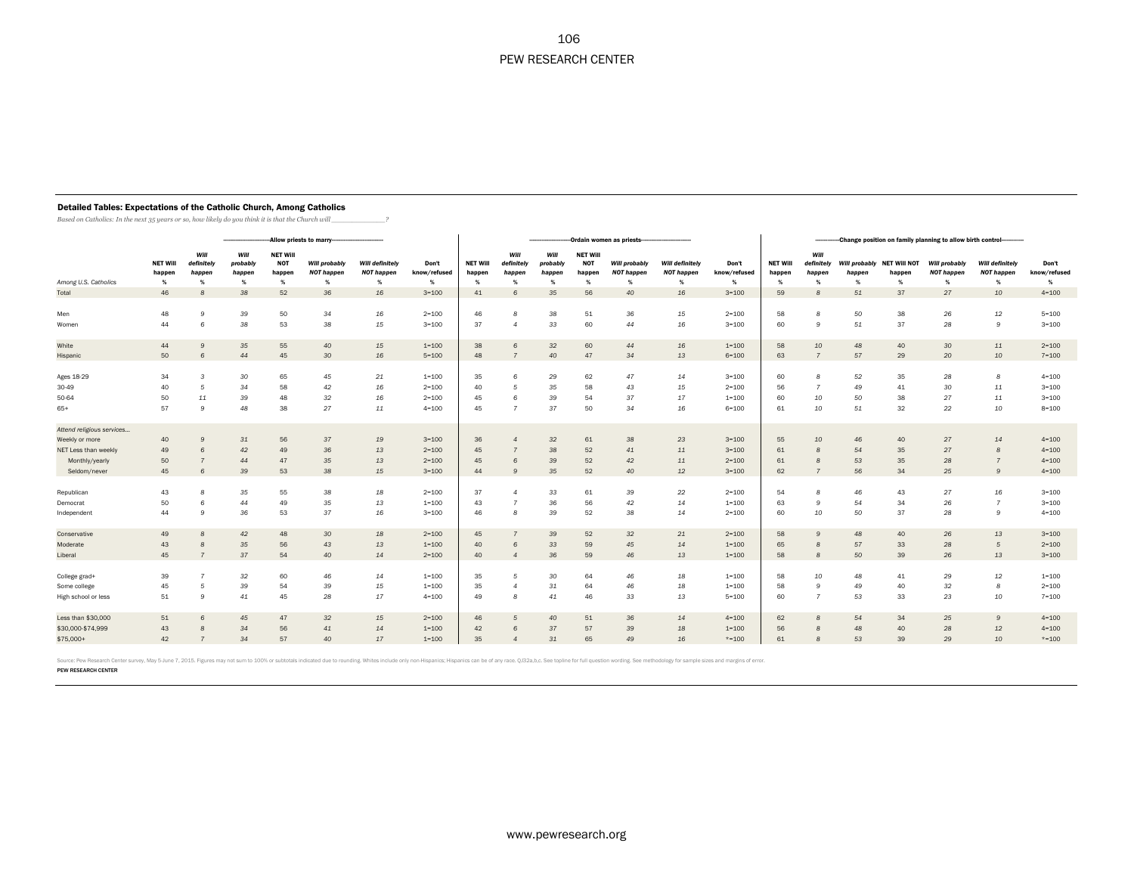#### Detailed Tables: Expectations of the Catholic Church, Among Catholics

*Based on Catholics: In the next 35 years or so, how likely do you think it is that the Church will \_\_\_\_\_\_\_\_\_\_\_\_\_?*

|                           |                 |                    | ---------------  |                               | -Allow priests to marry--- | ---------              |                   |                 |                    | -------------    |                               | -Ordain women as priests--- | ----------             |                   |                 |                    |                            |             |                        | -------------Change position on family planning to allow birth control------------ |                   |
|---------------------------|-----------------|--------------------|------------------|-------------------------------|----------------------------|------------------------|-------------------|-----------------|--------------------|------------------|-------------------------------|-----------------------------|------------------------|-------------------|-----------------|--------------------|----------------------------|-------------|------------------------|------------------------------------------------------------------------------------|-------------------|
|                           | <b>NET Will</b> | Will<br>definitely | Will<br>probably | <b>NET Will</b><br><b>NOT</b> | Will probably              | Will definitely        | Don't             | <b>NET Will</b> | Will<br>definitely | Will<br>probably | <b>NET Will</b><br><b>NOT</b> | <b>Will probably</b>        | Will definitely        | Don't             | <b>NET Will</b> | Will<br>definitely | Will probably NET Will NOT |             | Will probably          | Will definitely                                                                    | Don't             |
| Among U.S. Catholics      | happer          | happen<br>%        | happen<br>%      | happen<br>%                   | <b>NOT happen</b><br>%     | <b>NOT happen</b><br>% | know/refused<br>% | happen<br>%     | happen<br>%        | happen<br>%      | happen<br>%                   | <b>NOT happen</b><br>%      | <b>NOT happen</b><br>% | know/refused<br>% | happen<br>%     | happen<br>%        | happen<br>%                | happen<br>% | <b>NOT happen</b><br>% | <b>NOT happen</b><br>%                                                             | know/refused<br>% |
| Total                     | %<br>46         | 8                  | 38               | 52                            | 36                         | 16                     | $3 = 100$         | 41              |                    | 35               | 56                            | 40                          | 16                     | $3 = 100$         | 59              | 8                  | 51                         | 37          | 27                     | 10                                                                                 | $4 = 100$         |
|                           |                 |                    |                  |                               |                            |                        |                   |                 |                    |                  |                               |                             |                        |                   |                 |                    |                            |             |                        |                                                                                    |                   |
| Men                       | 48              | 9                  | 39               | 50                            | 34                         | 16                     | $2 = 100$         | 46              |                    | 38               | 51                            | 36                          | 15                     | $2 = 100$         | 58              | 8                  | 50                         | 38          | 26                     | 12                                                                                 | $5 = 100$         |
| Women                     | 44              | 6                  | 38               | 53                            | 38                         | 15                     | $3 = 100$         | 37              | $\Delta$           | 33               | 60                            | 44                          | 16                     | $3 = 100$         | 60              | 9                  | 51                         | 37          | 28                     | 9                                                                                  | $3 = 100$         |
| White                     | 44              | 9                  | 35               | 55                            | 40                         | 15                     | $1 = 100$         | 38              | 6                  | 32               | 60                            | 44                          | 16                     | $1 = 100$         | 58              | 10                 | 48                         | 40          | 30                     | 11                                                                                 | $2 = 100$         |
| Hispanic                  | 50              | 6                  | 44               | 45                            | 30                         | 16                     | $5 = 100$         | 48              |                    | 40               | 47                            | 34                          | 13                     | $6 = 100$         | 63              | $\overline{7}$     | 57                         | 29          | 20                     | 10                                                                                 | $7 = 100$         |
| Ages 18-29                | 34              | 3                  | 30               | 65                            | 45                         | 21                     | $1 = 100$         | 35              |                    | 29               | 62                            | 47                          | 14                     | $3 = 100$         | 60              | 8                  | 52                         | 35          | 28                     | 8                                                                                  | $4 = 100$         |
| 30-49                     | 40              | 5                  | 34               | 58                            | 42                         | 16                     | $2 = 100$         | 40              |                    | 35               | 58                            | 43                          | 15                     | $2 = 100$         | 56              | $\overline{7}$     | 49                         | 41          | 30                     | 11                                                                                 | $3 = 100$         |
| $50 - 64$                 | 50              | 11                 | 39               | 48                            | 32                         | 16                     | $2 = 100$         | 45              | 6                  | 39               | 54                            | 37                          | 17                     | $1 = 100$         | 60              | 10                 | 50                         | 38          | 27                     | 11                                                                                 | $3 = 100$         |
| $65+$                     | 57              | 9                  | 48               | 38                            | 27                         | 11                     | $4 = 100$         | 45              |                    | 37               | 50                            | 34                          | 16                     | $6 = 100$         | 61              | 10                 | 51                         | 32          | 22                     | 10                                                                                 | $8 = 100$         |
| Attend religious services |                 |                    |                  |                               |                            |                        |                   |                 |                    |                  |                               |                             |                        |                   |                 |                    |                            |             |                        |                                                                                    |                   |
| Weekly or more            | 40              | 9                  | 31               | 56                            | 37                         | 19                     | $3 = 100$         | 36              |                    | 32               | 61                            | 38                          | 23                     | $3 = 100$         | 55              | 10                 | 46                         | 40          | 27                     | 14                                                                                 | $4 = 100$         |
| NET Less than weekly      | 49              | 6                  | 42               | 49                            | 36                         | 13                     | $2 = 100$         | 45              |                    | 38               | 52                            | 41                          | 11                     | $3 = 100$         | 61              | 8                  | 54                         | 35          | 27                     | 8                                                                                  | $4 = 100$         |
| Monthly/yearly            | 50              |                    | 44               | 47                            | 35                         | 13                     | $2 = 100$         | 45              | 6                  | 39               | 52                            | 42                          | 11                     | $2 = 100$         | 61              | 8                  | 53                         | 35          | 28                     |                                                                                    | $4 = 100$         |
| Seldom/never              | 45              | 6                  | 39               | 53                            | 38                         | 15                     | $3 = 100$         | 44              | $\alpha$           | 35               | 52                            | 40                          | 12                     | $3 = 100$         | 62              | $\overline{7}$     | 56                         | 34          | 25                     | $\overline{9}$                                                                     | $4 = 100$         |
| Republican                | 43              | $\mathbf{g}$       | 35               | 55                            | 38                         | 18                     | $2 = 100$         | 37              |                    | 33               | 61                            | 39                          | 22                     | $2 = 100$         | 54              | 8                  | 46                         | 43          | 27                     | 16                                                                                 | $3 = 100$         |
| Democrat                  | 50              | 6                  | 44               | 49                            | 35                         | 13                     | $1 = 100$         | 43              |                    | 36               | 56                            | 42                          | 14                     | $1 = 100$         | 63              | 9                  | 54                         | 34          | 26                     | $\overline{7}$                                                                     | $3 = 100$         |
| Independent               | 44              | 9                  | 36               | 53                            | 37                         | 16                     | $3 = 100$         | 46              | 8                  | 39               | 52                            | 38                          | 14                     | $2 = 100$         | 60              | 10                 | 50                         | 37          | 28                     | 9                                                                                  | $4 = 100$         |
| Conservative              | 49              | 8                  | 42               | 48                            | 30                         | 18                     | $2 = 100$         | 45              |                    | 39               | 52                            | 32                          | 21                     | $2 = 100$         | 58              | 9                  | 48                         | 40          | 26                     | 13                                                                                 | $3 = 100$         |
| Moderate                  | 43              | 8                  | 35               | 56                            | 43                         | 13                     | $1 = 100$         | 40              | 6                  | 33               | 59                            | 45                          | 14                     | $1 = 100$         | 65              | 8                  | 57                         | 33          | 28                     | 5                                                                                  | $2 = 100$         |
| Liberal                   | 45              | $\overline{7}$     | 37               | 54                            | 40                         | 14                     | $2 = 100$         | 40              | $\overline{4}$     | 36               | 59                            | 46                          | 13                     | $1 = 100$         | 58              | $\boldsymbol{8}$   | 50                         | 39          | 26                     | 13                                                                                 | $3 = 100$         |
| College grad+             | 39              |                    | 32               | 60                            | 46                         | 14                     | $1 = 100$         | 35              |                    | 30               | 64                            | 46                          | 18                     | $1 = 100$         | 58              | 10                 | 48                         | 41          | 29                     | 12                                                                                 | $1 = 100$         |
| Some college              | 45              | 5                  | 39               | 54                            | 39                         | 15                     | $1 = 100$         | 35              |                    | 31               | 64                            | 46                          | 18                     | $1 = 100$         | 58              | 9                  | 49                         | 40          | 32                     | 8                                                                                  | $2 = 100$         |
| High school or less       | 51              | 9                  | 41               | 45                            | 28                         | 17                     | $4 = 100$         | 49              | 8                  | 41               | 46                            | 33                          | 13                     | $5 = 100$         | 60              | $\overline{7}$     | 53                         | 33          | 23                     | 10                                                                                 | $7 = 100$         |
| Less than \$30,000        | 51              | 6                  | 45               | 47                            | 32                         | 15                     | $2 = 100$         | 46              |                    | 40               | $51\,$                        | 36                          | 14                     | $4 = 100$         | 62              | 8                  | 54                         | 34          | 25                     | 9                                                                                  | $4 = 100$         |
| \$30,000-\$74,999         | 43              |                    | 34               | 56                            | 41                         | 14                     | $1 = 100$         | 42              |                    | 37               | 57                            | 39                          | 18                     | $1 = 100$         | 56              | 8                  | 48                         | 40          | 28                     | 12                                                                                 | $4 = 100$         |
| \$75,000+                 | 42              |                    | 34               | 57                            | 40                         | 17                     | $1 = 100$         | 35              |                    | 31               | 65                            | 49                          | 16                     | $* = 100$         | 61              | $\mathbf{g}$       | 53                         | 39          | 29                     | 10                                                                                 | $* = 100$         |

Source: Pew Research Center survey, May 5-June 7, 2015. Figures may not sum to 100% or subtotals indicated due to rounding. Whites include only non-Hispanics; Hispanics can be of any race. QJ32a,b,c. See topline for full q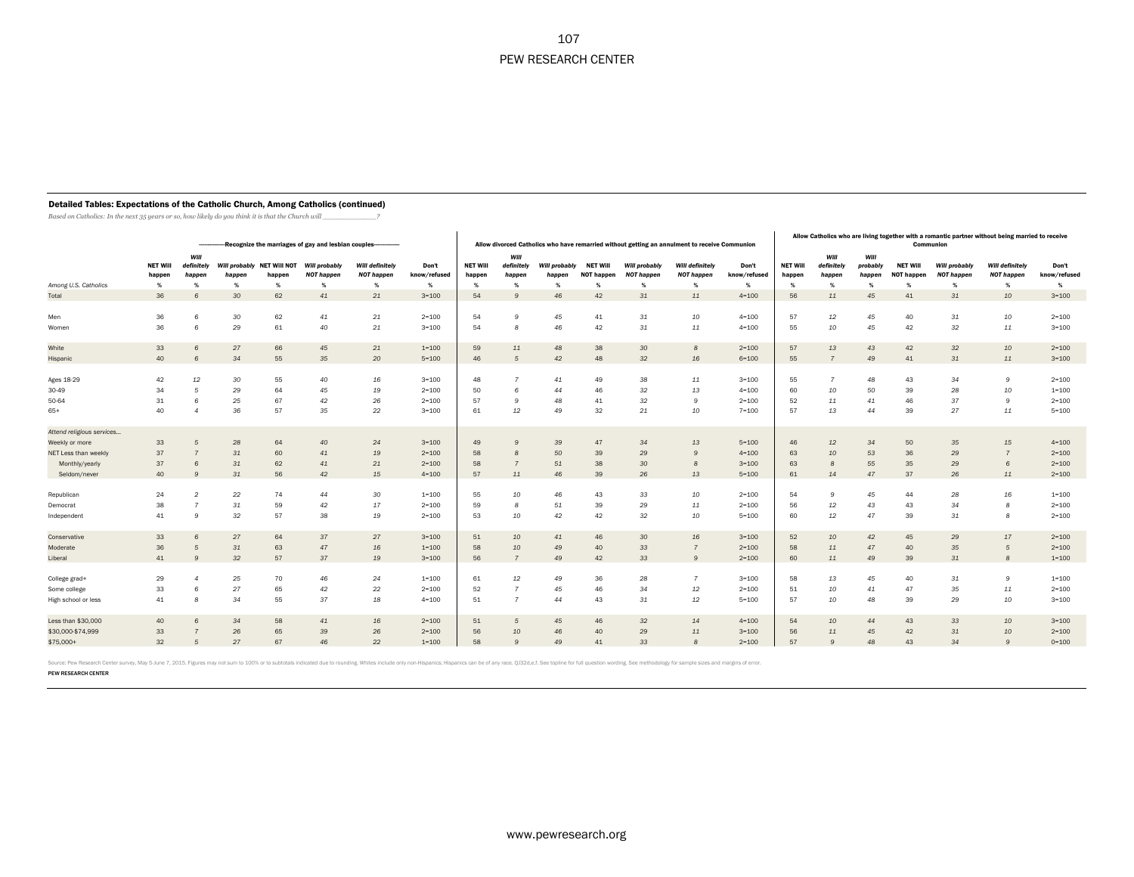### Detailed Tables: Expectations of the Catholic Church, Among Catholics (continued)

*Based on Catholics: In the next 35 years or so, how likely do you think it is that the Church will \_\_\_\_\_\_\_\_\_\_\_\_\_?*

|                           |                    | $\overline{\phantom{a}}$ |        |                                      |                                           | --Recognize the marriages of gay and lesbian couples-------------- |                              |                           |                      |                         |                                      |                                    | Allow divorced Catholics who have remarried without getting an annulment to receive Communion |                       |                           |                      |                    |                                      | Communion                                 | Allow Catholics who are living together with a romantic partner without being married to receive |                              |
|---------------------------|--------------------|--------------------------|--------|--------------------------------------|-------------------------------------------|--------------------------------------------------------------------|------------------------------|---------------------------|----------------------|-------------------------|--------------------------------------|------------------------------------|-----------------------------------------------------------------------------------------------|-----------------------|---------------------------|----------------------|--------------------|--------------------------------------|-------------------------------------------|--------------------------------------------------------------------------------------------------|------------------------------|
|                           |                    | Will                     |        |                                      |                                           |                                                                    |                              |                           | Will                 |                         |                                      |                                    |                                                                                               |                       |                           | Will                 | Will               |                                      |                                           |                                                                                                  |                              |
|                           | NET Will<br>happen | definitely<br>happer     | happen | Will probably NET Will NOT<br>happen | <b>Will probably</b><br><b>NOT happen</b> | Will definitely<br><b>NOT happen</b>                               | <b>Don't</b><br>know/refused | <b>NET Will</b><br>happen | definitely<br>happen | Will probably<br>happen | <b>NET Will</b><br><b>NOT happen</b> | Will probably<br><b>NOT happen</b> | Will definitely<br><b>NOT happen</b>                                                          | Don't<br>know/refused | <b>NET Will</b><br>happen | definitely<br>happen | probably<br>happen | <b>NET Will</b><br><b>NOT happer</b> | <b>Will probably</b><br><b>NOT happen</b> | Will definitely<br><b>NOT happen</b>                                                             | <b>Don't</b><br>know/refused |
| Among U.S. Catholics      | %                  | %                        | %      | %                                    | %                                         | %                                                                  | %                            | %                         | %                    | %                       | %                                    | %                                  | %                                                                                             | %                     | %                         | %                    | - %                | %                                    | %                                         | %                                                                                                | %                            |
| Total                     | 36                 | 6                        | 30     | 62                                   | 41                                        | 21                                                                 | $3 = 100$                    | 54                        | 9                    | 46                      | 42                                   | 31                                 | 11                                                                                            | $4 = 100$             | 56                        | 11                   | 45                 | 41                                   | 31                                        | 10                                                                                               | $3 = 100$                    |
|                           |                    |                          |        |                                      |                                           |                                                                    |                              |                           |                      |                         |                                      |                                    |                                                                                               |                       |                           |                      |                    |                                      |                                           |                                                                                                  |                              |
| Men                       | 36                 | 6                        | 30     | 62                                   | 41                                        | 21                                                                 | $2 = 100$                    | 54                        | 9                    | 45                      | 41                                   | 31                                 | 10                                                                                            | $4 = 100$             | 57                        | 12                   | 45                 | 40                                   | 31                                        | 10                                                                                               | $2 = 100$                    |
| Women                     | 36                 | 6                        | 29     | 61                                   | 40                                        | 21                                                                 | $3 = 100$                    | 54                        | 8                    | 46                      | 42                                   | 31                                 | 11                                                                                            | $4 = 100$             | 55                        | 10                   | 45                 | 42                                   | 32                                        | 11                                                                                               | $3 = 100$                    |
|                           |                    |                          |        |                                      |                                           |                                                                    |                              |                           |                      |                         |                                      |                                    |                                                                                               |                       |                           |                      |                    |                                      |                                           |                                                                                                  |                              |
| White                     | 33                 | 6                        | 27     | 66                                   | 45                                        | 21                                                                 | $1 = 100$                    | 59                        | 11                   | 48                      | 38                                   | 30                                 | 8                                                                                             | $2 = 100$             | 57                        | 13                   | 43                 | 42                                   | 32                                        | 10                                                                                               | $2 = 100$                    |
| Hispanic                  | 40                 | 6                        | 34     | 55                                   | 35                                        | 20                                                                 | $5 = 100$                    | 46                        | $\sqrt{5}$           | 42                      | 48                                   | 32                                 | 16                                                                                            | $6 = 100$             | 55                        |                      | 49                 | 41                                   | 31                                        | 11                                                                                               | $3 = 100$                    |
|                           |                    |                          |        |                                      |                                           |                                                                    |                              |                           |                      |                         |                                      |                                    |                                                                                               |                       |                           |                      |                    |                                      |                                           |                                                                                                  |                              |
| Ages 18-29                | 42                 | 12                       | 30     | 55                                   | 40                                        | 16                                                                 | $3 = 100$                    | 48                        | $\overline{7}$       | 41                      | 49                                   | 38                                 | 11                                                                                            | $3 = 100$             | 55                        | -7                   | 48                 | 43                                   | 34                                        | 9                                                                                                | $2 = 100$                    |
| 30-49                     | 34                 | 5                        | 29     | 64                                   | 45                                        | 19                                                                 | $2 = 100$                    | 50                        | 6                    | 44                      | 46                                   | 32                                 | 13                                                                                            | $4 = 100$             | 60                        | 10                   | 50                 | 39                                   | 28                                        | 10                                                                                               | $1 = 100$                    |
| 50-64                     | 31                 | 6                        | 25     | 67                                   | 42                                        | 26                                                                 | $2 = 100$                    | 57                        | 9                    | 48                      | 41                                   | 32                                 | 9                                                                                             | $2 = 100$             | 52                        | 11                   | 41                 | 46                                   | 37                                        | 9                                                                                                | $2 = 100$                    |
| $65+$                     | 40                 | 4                        | 36     | 57                                   | 35                                        | 22                                                                 | $3 = 100$                    | 61                        | 12                   | 49                      | 32                                   | 21                                 | 10                                                                                            | $7 = 100$             | 57                        | 13                   | 44                 | 39                                   | 27                                        | 11                                                                                               | $5 = 100$                    |
|                           |                    |                          |        |                                      |                                           |                                                                    |                              |                           |                      |                         |                                      |                                    |                                                                                               |                       |                           |                      |                    |                                      |                                           |                                                                                                  |                              |
| Attend religious services |                    |                          |        |                                      |                                           |                                                                    |                              |                           |                      |                         |                                      |                                    |                                                                                               |                       |                           |                      |                    |                                      |                                           |                                                                                                  |                              |
| Weekly or more            | 33                 | 5                        | 28     | 64                                   | 40                                        | 24                                                                 | $3 = 100$                    | 49                        | 9                    | 39                      | 47                                   | 34                                 | 13                                                                                            | $5 = 100$             | 46                        | 12                   | 34                 | 50                                   | 35                                        | 15                                                                                               | $4 = 100$                    |
| NET Less than weekly      | 37                 |                          | 31     | 60                                   | 41                                        | 19                                                                 | $2 = 100$                    | 58                        | 8                    | 50                      | 39                                   | 29                                 | 9                                                                                             | $4=100$               | 63                        | 10                   | 53                 | 36                                   | 29                                        | $\overline{7}$                                                                                   | $2 = 100$                    |
| Monthly/yearly            | 37                 | 6                        | 31     | 62                                   | 41                                        | 21                                                                 | $2 = 100$                    | 58                        | $\overline{7}$       | 51                      | 38                                   | 30                                 | 8                                                                                             | $3=100$               | 63                        |                      | 55                 | 35                                   | 29                                        | 6                                                                                                | $2 = 100$                    |
| Seldom/never              | 40                 | 9                        | 31     | 56                                   | 42                                        | 15                                                                 | $4 = 100$                    | 57                        | 11                   | 46                      | 39                                   | 26                                 | 13                                                                                            | $5 = 100$             | 61                        | 14                   | 47                 | 37                                   | 26                                        | 11                                                                                               | $2 = 100$                    |
|                           |                    |                          |        |                                      |                                           |                                                                    |                              |                           |                      |                         |                                      |                                    |                                                                                               |                       |                           |                      |                    |                                      |                                           |                                                                                                  |                              |
| Republican                | 24                 | $\boldsymbol{2}$         | 22     | 74                                   | 44                                        | 30                                                                 | $1 = 100$                    | 55                        | 10                   | 46                      | 43                                   | 33                                 | 10                                                                                            | $2 = 100$             | 54                        | 9                    | 45                 | 44                                   | 28                                        | 16                                                                                               | $1 = 100$                    |
| Democrat                  | 38                 |                          | 31     | 59                                   | 42                                        | 17                                                                 | $2 = 100$                    | 59                        | 8                    | 51                      | 39                                   | 29                                 | 11                                                                                            | $2 = 100$             | 56                        | 12                   | 43                 | 43                                   | 34                                        | 8                                                                                                | $2 = 100$                    |
| Independent               | 41                 | 9                        | 32     | 57                                   | 38                                        | 19                                                                 | $2 = 100$                    | 53                        | 10                   | 42                      | 42                                   | 32                                 | 10                                                                                            | $5 = 100$             | 60                        | 12                   | 47                 | 39                                   | 31                                        | 8                                                                                                | $2 = 100$                    |
|                           |                    |                          |        |                                      |                                           |                                                                    |                              |                           |                      |                         |                                      |                                    |                                                                                               |                       |                           |                      |                    |                                      |                                           |                                                                                                  |                              |
| Conservative              | 33                 | 6                        | 27     | 64                                   | 37                                        | 27                                                                 | $3 = 100$                    | 51                        | 10                   | 41                      | 46                                   | 30                                 | 16                                                                                            | $3 = 100$             | 52                        | 10                   | 42                 | 45                                   | 29                                        | 17                                                                                               | $2 = 100$                    |
| Moderate                  | 36                 | 5                        | 31     | 63                                   | 47                                        | 16                                                                 | $1 = 100$                    | 58                        | 10                   | 49                      | 40                                   | 33                                 |                                                                                               | $2 = 100$             | 58                        | 11                   | 47                 | 40                                   | 35                                        | 5                                                                                                | $2 = 100$                    |
| Liberal                   | 41                 | $\mathcal{G}$            | 32     | 57                                   | 37                                        | 19                                                                 | $3 = 100$                    | 56                        | $\overline{7}$       | 49                      | 42                                   | 33                                 | $\mathcal{G}$                                                                                 | $2 = 100$             | 60                        | 11                   | 49                 | 39                                   | 31                                        | 8                                                                                                | $1 = 100$                    |
|                           |                    |                          |        |                                      |                                           |                                                                    |                              |                           |                      |                         |                                      |                                    |                                                                                               |                       |                           |                      |                    |                                      |                                           |                                                                                                  |                              |
| College grad+             | 29                 | $\overline{4}$           | 25     | 70                                   | 46                                        | 24                                                                 | $1 = 100$                    | 61                        | 12                   | 49                      | 36                                   | 28                                 | $\overline{7}$                                                                                | $3 = 100$             | 58                        | 13                   | 45                 | 40                                   | 31                                        | 9                                                                                                | $1 = 100$                    |
| Some college              | 33                 | 6                        | 27     | 65                                   | 42                                        | 22                                                                 | $2 = 100$                    | 52                        | $\overline{7}$       | 45                      | 46                                   | 34                                 | 12                                                                                            | $2 = 100$             | 51                        | 10                   | 41                 | 47                                   | 35                                        | 11                                                                                               | $2 = 100$                    |
| High school or less       | 41                 | 8                        | 34     | 55                                   | 37                                        | 18                                                                 | $4 = 100$                    | 51                        | $\overline{7}$       | 44                      | 43                                   | 31                                 | 12                                                                                            | $5 = 100$             | 57                        | 10                   | 48                 | 39                                   | 29                                        | 10                                                                                               | $3 = 100$                    |
|                           |                    |                          |        |                                      |                                           |                                                                    |                              |                           |                      |                         |                                      |                                    |                                                                                               |                       |                           |                      |                    |                                      |                                           |                                                                                                  |                              |
| Less than \$30,000        | 40                 | 6                        | 34     | 58                                   | 41                                        | 16                                                                 | $2 = 100$                    | 51                        | $\sqrt{5}$           | 45                      | 46                                   | 32                                 | 14                                                                                            | $4 = 100$             | 54                        | 10                   | 44                 | 43                                   | 33                                        | 10                                                                                               | $3 = 100$                    |
| \$30,000-\$74,999         | 33                 |                          | 26     | 65                                   | 39                                        | 26                                                                 | $2 = 100$                    | 56                        | 10                   | 46                      | 40                                   | 29                                 | 11                                                                                            | $3 = 100$             | 56                        | 11                   | 45                 | 42                                   | 31                                        | 10                                                                                               | $2 = 100$                    |
| \$75,000+                 | 32                 | 5                        | 27     | 67                                   | 46                                        | 22                                                                 | $1 = 100$                    | 58                        | $\alpha$             | 49                      | 41                                   | 33                                 | $\mathcal{S}_{\mathcal{S}}$                                                                   | $2 = 100$             | 57                        | $\circ$              | 48                 | 43                                   | 34                                        | 9                                                                                                | $0 = 100$                    |

Source: Pew Research Center survey, May 5-June 7, 2015. Figures may not sum to 100% or to subtotals indicated due to rounding. Whites include only non-Hispanics; Hispanics can be of any race. QJ32d,e.f. See topline for ful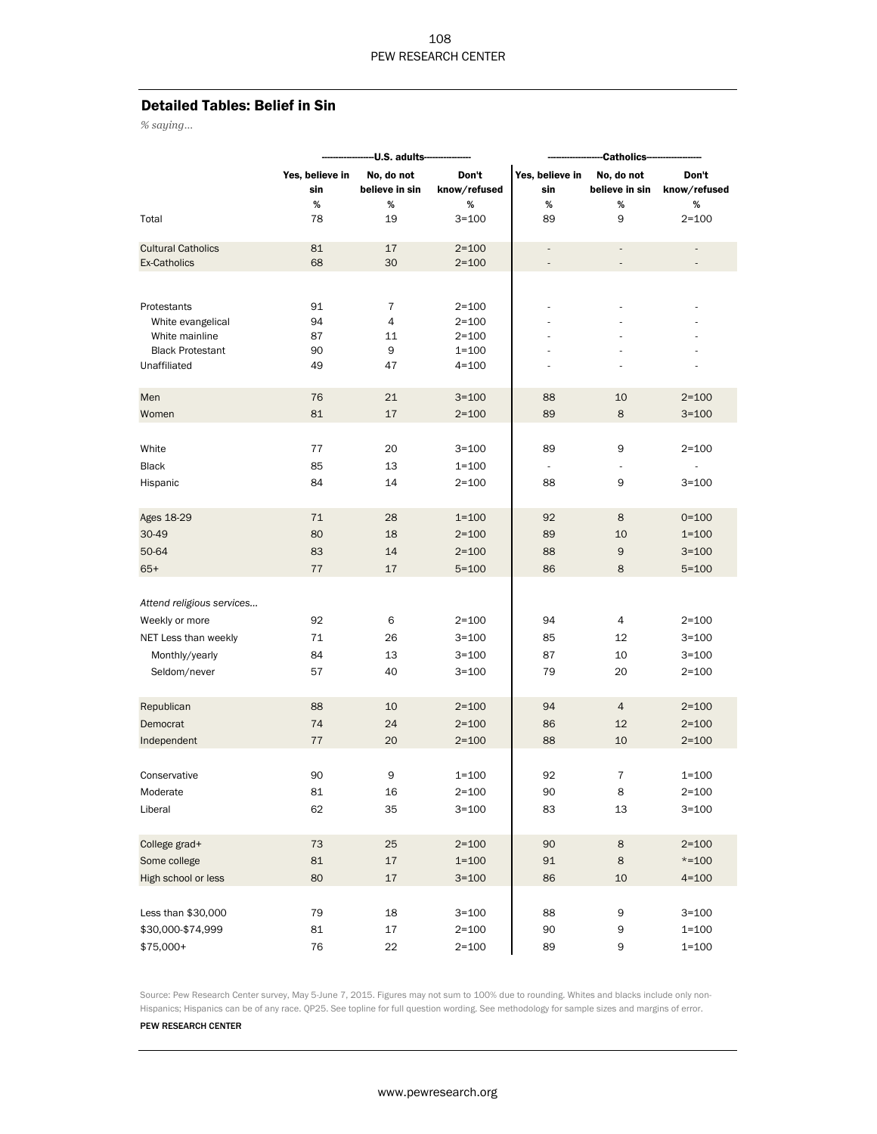# Detailed Tables: Belief in Sin

*% saying…*

|                                                  |                                | --U.S. adults-                       |                               |                                | -Catholics-                          |                               |
|--------------------------------------------------|--------------------------------|--------------------------------------|-------------------------------|--------------------------------|--------------------------------------|-------------------------------|
|                                                  | Yes, believe in<br>sin<br>$\%$ | No, do not<br>believe in sin<br>$\%$ | Don't<br>know/refused<br>$\%$ | Yes, believe in<br>sin<br>$\%$ | No, do not<br>believe in sin<br>$\%$ | Don't<br>know/refused<br>$\%$ |
| Total                                            | 78                             | 19                                   | $3 = 100$                     | 89                             | 9                                    | $2 = 100$                     |
| <b>Cultural Catholics</b><br><b>Ex-Catholics</b> | 81<br>68                       | 17<br>30                             | $2 = 100$<br>$2 = 100$        |                                |                                      |                               |
|                                                  |                                |                                      |                               |                                |                                      |                               |
| Protestants                                      | 91                             | $\overline{7}$                       | $2 = 100$                     |                                |                                      |                               |
| White evangelical                                | 94                             | 4                                    | $2 = 100$                     |                                |                                      |                               |
| White mainline                                   | 87                             | 11<br>9                              | $2 = 100$                     |                                |                                      |                               |
| <b>Black Protestant</b><br>Unaffiliated          | 90<br>49                       | 47                                   | $1 = 100$<br>$4 = 100$        |                                |                                      |                               |
|                                                  |                                |                                      |                               |                                |                                      |                               |
| Men                                              | 76                             | 21                                   | $3 = 100$                     | 88                             | 10                                   | $2 = 100$                     |
| Women                                            | 81                             | 17                                   | $2 = 100$                     | 89                             | 8                                    | $3 = 100$                     |
| White                                            | 77                             | 20                                   | $3=100$                       | 89                             | 9                                    | $2 = 100$                     |
| <b>Black</b>                                     | 85                             | 13                                   | $1 = 100$                     | ä,                             | $\frac{1}{2}$                        | $\overline{\phantom{a}}$      |
| Hispanic                                         | 84                             | 14                                   | $2 = 100$                     | 88                             | 9                                    | $3 = 100$                     |
|                                                  |                                |                                      |                               |                                |                                      |                               |
| Ages 18-29                                       | 71                             | 28                                   | $1 = 100$                     | 92                             | $\,$ 8                               | $0 = 100$                     |
| 30-49                                            | 80                             | 18                                   | $2 = 100$                     | 89                             | 10                                   | $1 = 100$                     |
| 50-64                                            | 83                             | 14                                   | $2 = 100$                     | 88                             | $\mathsf 9$                          | $3 = 100$                     |
| $65+$                                            | 77                             | 17                                   | $5 = 100$                     | 86                             | 8                                    | $5 = 100$                     |
| Attend religious services                        |                                |                                      |                               |                                |                                      |                               |
| Weekly or more                                   | 92                             | 6                                    | $2 = 100$                     | 94                             | $\overline{4}$                       | $2 = 100$                     |
|                                                  | 71                             | 26                                   |                               |                                | 12                                   |                               |
| NET Less than weekly                             |                                |                                      | $3=100$                       | 85                             |                                      | $3 = 100$                     |
| Monthly/yearly                                   | 84                             | 13                                   | $3=100$                       | 87                             | 10                                   | $3 = 100$                     |
| Seldom/never                                     | 57                             | 40                                   | $3=100$                       | 79                             | 20                                   | $2 = 100$                     |
| Republican                                       | 88                             | 10                                   | $2 = 100$                     | 94                             | $\overline{4}$                       | $2 = 100$                     |
| Democrat                                         | 74                             | 24                                   | $2 = 100$                     | 86                             | 12                                   | $2 = 100$                     |
| Independent                                      | 77                             | 20                                   | $2 = 100$                     | 88                             | 10                                   | $2 = 100$                     |
| Conservative                                     | 90                             | 9                                    | $1 = 100$                     | 92                             | $\overline{7}$                       | $1 = 100$                     |
| Moderate                                         | 81                             | 16                                   | $2 = 100$                     | 90                             | 8                                    | $2 = 100$                     |
| Liberal                                          | 62                             | 35                                   | $3 = 100$                     | 83                             | 13                                   | $3 = 100$                     |
|                                                  |                                |                                      |                               |                                |                                      |                               |
| College grad+                                    | 73                             | $25\,$                               | $2 = 100$                     | 90                             | $\bf8$                               | $2 = 100$                     |
| Some college                                     | 81                             | $17\,$                               | $1 = 100$                     | 91                             | $\bf8$                               | $* = 100$                     |
| High school or less                              | 80                             | $17\,$                               | $3 = 100$                     | 86                             | 10                                   | $4 = 100$                     |
| Less than \$30,000                               | 79                             | 18                                   | $3 = 100$                     | 88                             | 9                                    | $3 = 100$                     |
| \$30,000-\$74,999                                | 81                             | $17\,$                               | $2 = 100$                     | 90                             | 9                                    | $1 = 100$                     |
| \$75,000+                                        | 76                             | 22                                   | $2 = 100$                     | 89                             | $\mathsf 9$                          | $1 = 100$                     |

Source: Pew Research Center survey, May 5-June 7, 2015. Figures may not sum to 100% due to rounding. Whites and blacks include only non-Hispanics; Hispanics can be of any race. QP25. See topline for full question wording. See methodology for sample sizes and margins of error.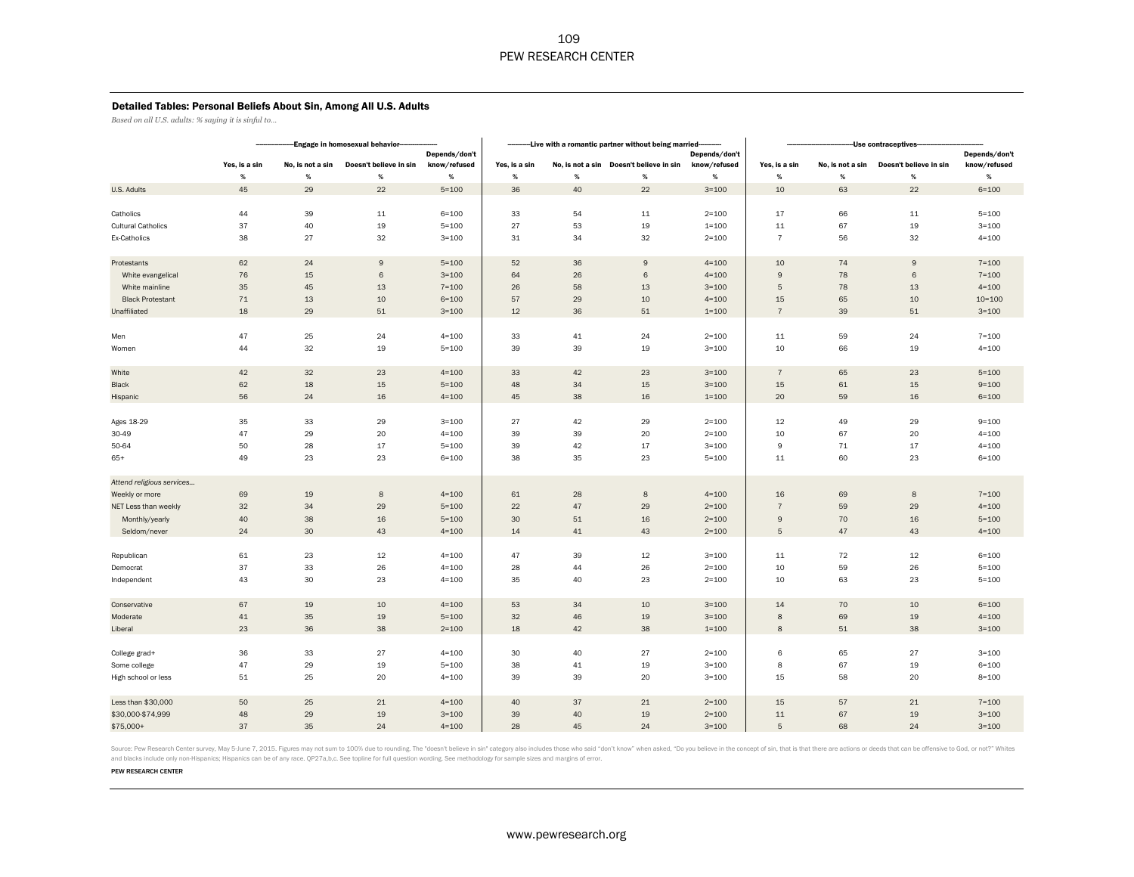### Detailed Tables: Personal Beliefs About Sin, Among All U.S. Adults

*Based on all U.S. adults: % saying it is sinful to…*

|                           |               |                  | -Engage in homosexual behavior- |               |               |    | ---Live with a romantic partner without being married--- |               |                |                  | -Use contraceptives-   |               |
|---------------------------|---------------|------------------|---------------------------------|---------------|---------------|----|----------------------------------------------------------|---------------|----------------|------------------|------------------------|---------------|
|                           |               |                  |                                 | Depends/don't |               |    |                                                          | Depends/don't |                |                  |                        | Depends/don't |
|                           | Yes, is a sin | No, is not a sin | Doesn't believe in sin          | know/refused  | Yes, is a sin |    | No, is not a sin Doesn't believe in sin                  | know/refused  | Yes, is a sin  | No, is not a sin | Doesn't believe in sin | know/refused  |
|                           | $\%$          | $\%$             | $\%$                            | $\%$          | $\%$          | %  | $\%$                                                     | $\%$          | $\%$           | $\%$             | $\%$                   | %             |
| U.S. Adults               | 45            | 29               | 22                              | $5 = 100$     | 36            | 40 | 22                                                       | $3 = 100$     | 10             | 63               | 22                     | $6 = 100$     |
|                           |               |                  |                                 |               |               |    |                                                          |               |                |                  |                        |               |
| Catholics                 | 44            | 39               | 11                              | $6 = 100$     | 33            | 54 | 11                                                       | $2 = 100$     | 17             | 66               | $11\,$                 | $5 = 100$     |
| <b>Cultural Catholics</b> | 37            | 40               | 19                              | $5 = 100$     | 27            | 53 | 19                                                       | $1 = 100$     | 11             | 67               | 19                     | $3 = 100$     |
| Ex-Catholics              | 38            | 27               | 32                              | $3 = 100$     | 31            | 34 | 32                                                       | $2 = 100$     | $\overline{7}$ | 56               | 32                     | $4 = 100$     |
|                           |               |                  |                                 |               |               |    |                                                          |               |                |                  |                        |               |
| Protestants               | 62            | 24               | 9                               | $5 = 100$     | 52            | 36 | 9                                                        | $4 = 100$     | 10             | 74               | $\mathsf{9}$           | $7 = 100$     |
| White evangelical         | 76            | 15               | $\,6\,$                         | $3 = 100$     | 64            | 26 | 6                                                        | $4 = 100$     | 9              | 78               | 6                      | $7 = 100$     |
| White mainline            | 35            | 45               | 13                              | $7 = 100$     | 26            | 58 | 13                                                       | $3 = 100$     | 5              | 78               | 13                     | $4 = 100$     |
| <b>Black Protestant</b>   | 71            | 13               | 10                              | $6 = 100$     | 57            | 29 | 10                                                       | $4 = 100$     | 15             | 65               | 10                     | $10 = 100$    |
| Unaffiliated              | 18            | 29               | $51\,$                          | $3 = 100$     | 12            | 36 | $51\,$                                                   | $1 = 100$     | $\overline{7}$ | 39               | 51                     | $3 = 100$     |
|                           |               |                  |                                 |               |               |    |                                                          |               |                |                  |                        |               |
|                           |               |                  |                                 |               |               |    |                                                          |               |                |                  |                        |               |
| Men                       | 47            | 25               | 24                              | $4 = 100$     | 33            | 41 | 24                                                       | $2 = 100$     | $11\,$         | 59               | 24                     | $7 = 100$     |
| Women                     | 44            | 32               | 19                              | $5 = 100$     | 39            | 39 | 19                                                       | $3 = 100$     | 10             | 66               | 19                     | $4 = 100$     |
|                           |               |                  |                                 |               |               |    |                                                          |               |                |                  |                        |               |
| White                     | 42            | 32               | 23                              | $4 = 100$     | 33            | 42 | 23                                                       | $3 = 100$     | $\overline{7}$ | 65               | 23                     | $5 = 100$     |
| <b>Black</b>              | 62            | 18               | 15                              | $5 = 100$     | 48            | 34 | 15                                                       | $3 = 100$     | 15             | 61               | 15                     | $9 = 100$     |
| Hispanic                  | 56            | 24               | 16                              | $4 = 100$     | 45            | 38 | 16                                                       | $1 = 100$     | 20             | 59               | 16                     | $6 = 100$     |
|                           |               |                  |                                 |               |               |    |                                                          |               |                |                  |                        |               |
| Ages 18-29                | 35            | 33               | 29                              | $3 = 100$     | 27            | 42 | 29                                                       | $2 = 100$     | 12             | 49               | 29                     | $9 = 100$     |
| 30-49                     | 47            | 29               | 20                              | $4 = 100$     | 39            | 39 | 20                                                       | $2 = 100$     | 10             | 67               | 20                     | $4 = 100$     |
| 50-64                     | 50            | 28               | 17                              | $5 = 100$     | 39            | 42 | 17                                                       | $3 = 100$     | 9              | 71               | 17                     | $4 = 100$     |
| $65+$                     | 49            | 23               | 23                              | $6 = 100$     | 38            | 35 | 23                                                       | $5 = 100$     | 11             | 60               | 23                     | $6 = 100$     |
|                           |               |                  |                                 |               |               |    |                                                          |               |                |                  |                        |               |
| Attend religious services |               |                  |                                 |               |               |    |                                                          |               |                |                  |                        |               |
| Weekly or more            | 69            | 19               | $\,$ 8                          | $4 = 100$     | 61            | 28 | $\bf8$                                                   | $4 = 100$     | 16             | 69               | $\bf8$                 | $7 = 100$     |
|                           | 32            | 34               | 29                              | $5 = 100$     | 22            | 47 | 29                                                       | $2 = 100$     | $\overline{7}$ | 59               | 29                     | $4 = 100$     |
| NET Less than weekly      |               |                  |                                 |               |               |    |                                                          |               |                |                  |                        |               |
| Monthly/yearly            | 40            | 38               | 16                              | $5 = 100$     | 30            | 51 | 16                                                       | $2 = 100$     | 9              | 70               | 16                     | $5 = 100$     |
| Seldom/never              | 24            | 30               | 43                              | $4 = 100$     | 14            | 41 | 43                                                       | $2 = 100$     | $\sqrt{5}$     | 47               | 43                     | $4 = 100$     |
|                           |               |                  |                                 |               |               |    |                                                          |               |                |                  |                        |               |
| Republican                | 61            | 23               | 12                              | $4 = 100$     | 47            | 39 | $12\,$                                                   | $3 = 100$     | 11             | 72               | 12                     | $6 = 100$     |
| Democrat                  | 37            | 33               | 26                              | $4 = 100$     | 28            | 44 | 26                                                       | $2 = 100$     | 10             | 59               | 26                     | $5 = 100$     |
| Independent               | 43            | 30               | 23                              | $4 = 100$     | 35            | 40 | 23                                                       | $2 = 100$     | 10             | 63               | 23                     | $5 = 100$     |
|                           |               |                  |                                 |               |               |    |                                                          |               |                |                  |                        |               |
| Conservative              | 67            | 19               | 10                              | $4 = 100$     | 53            | 34 | 10                                                       | $3 = 100$     | 14             | 70               | 10                     | $6 = 100$     |
| Moderate                  | 41            | 35               | 19                              | $5 = 100$     | 32            | 46 | 19                                                       | $3 = 100$     | $\bf8$         | 69               | 19                     | $4 = 100$     |
| Liberal                   | 23            | 36               | 38                              | $2 = 100$     | 18            | 42 | 38                                                       | $1 = 100$     | 8              | 51               | 38                     | $3 = 100$     |
|                           |               |                  |                                 |               |               |    |                                                          |               |                |                  |                        |               |
| College grad+             | 36            | 33               | 27                              | $4 = 100$     | 30            | 40 | 27                                                       | $2 = 100$     | 6              | 65               | 27                     | $3 = 100$     |
| Some college              | 47            | 29               | 19                              | $5 = 100$     | 38            | 41 | 19                                                       | $3 = 100$     | 8              | 67               | 19                     | $6 = 100$     |
| High school or less       | 51            | 25               | 20                              | $4 = 100$     | 39            | 39 | 20                                                       | $3 = 100$     | 15             | 58               | 20                     | $8 = 100$     |
|                           |               |                  |                                 |               |               |    |                                                          |               |                |                  |                        |               |
|                           |               |                  |                                 |               |               |    |                                                          |               |                |                  |                        |               |
| Less than \$30,000        | 50            | 25               | 21                              | $4 = 100$     | 40            | 37 | 21                                                       | $2 = 100$     | 15             | 57               | 21                     | $7 = 100$     |
| \$30,000-\$74,999         | 48            | 29               | 19                              | $3 = 100$     | 39            | 40 | 19                                                       | $2 = 100$     | 11             | 67               | 19                     | $3 = 100$     |
| \$75,000+                 | 37            | 35               | 24                              | $4 = 100$     | 28            | 45 | 24                                                       | $3 = 100$     | 5              | 68               | 24                     | $3 = 100$     |

Source: Pew Research Center survey, May 5-June 7, 2015. Figures may not sum to 100% due to rounding. The "doesn't believe in sin" categoy also includes those who said "don't know" when asked, "Do you believe in the concept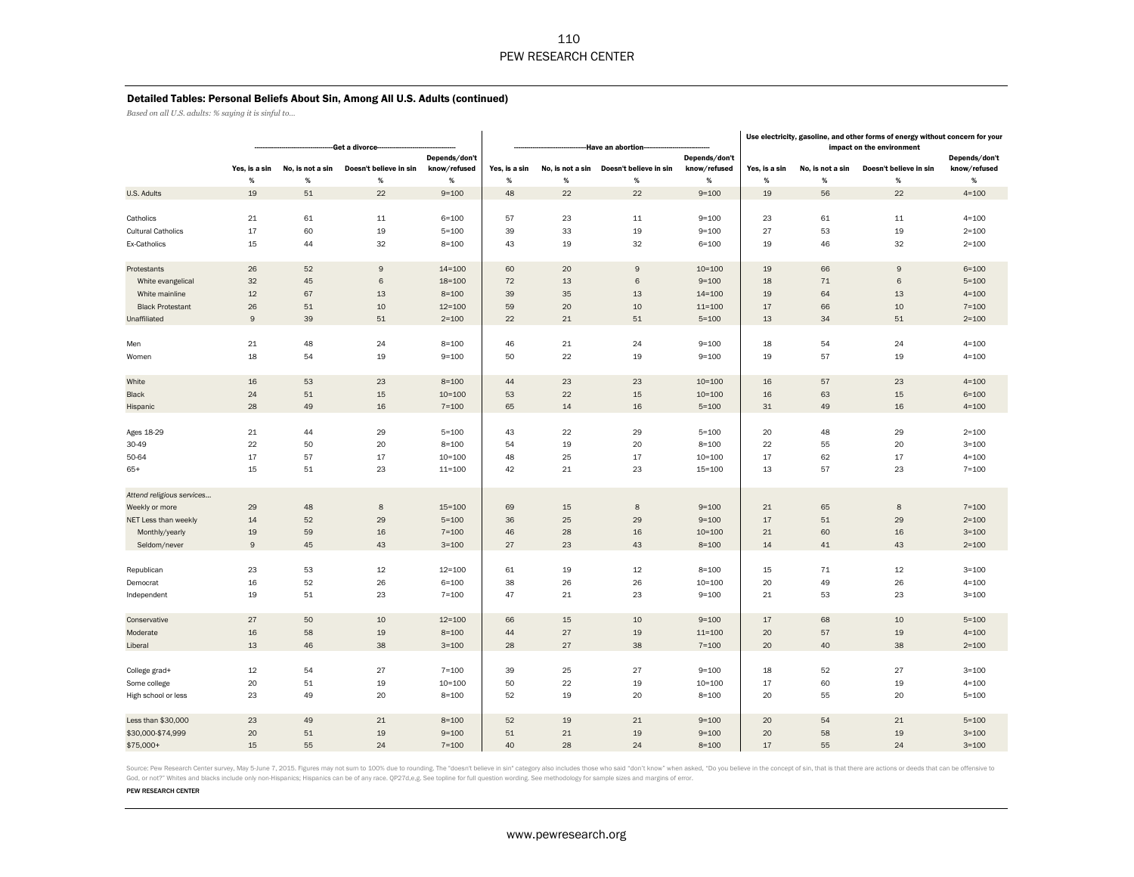### Detailed Tables: Personal Beliefs About Sin, Among All U.S. Adults (continued)

*Based on all U.S. adults: % saying it is sinful to…*

|                           |               |                  | -Get a divorce-        |               |               |                  | -Have an abortion-     |               | Use electricity, gasoline, and other forms of energy without concern for your<br>impact on the environment |                  |                        |               |  |
|---------------------------|---------------|------------------|------------------------|---------------|---------------|------------------|------------------------|---------------|------------------------------------------------------------------------------------------------------------|------------------|------------------------|---------------|--|
|                           |               |                  |                        | Depends/don't |               |                  |                        | Depends/don't |                                                                                                            |                  |                        | Depends/don't |  |
|                           | Yes, is a sin | No, is not a sin | Doesn't believe in sin | know/refused  | Yes, is a sin | No, is not a sin | Doesn't believe in sin | know/refused  | Yes, is a sin                                                                                              | No, is not a sin | Doesn't believe in sin | know/refused  |  |
|                           | $\%$          | $\%$             | %                      | $\%$          | $\%$          | $\%$             | $\%$                   | %             | $\%$                                                                                                       | $\%$             | $\%$                   | $\%$          |  |
| U.S. Adults               | 19            | 51               | 22                     | $9 = 100$     | 48            | 22               | 22                     | $9 = 100$     | 19                                                                                                         | 56               | 22                     | $4 = 100$     |  |
|                           |               |                  |                        |               |               |                  |                        |               |                                                                                                            |                  |                        |               |  |
| Catholics                 | 21            | 61               | 11                     | $6 = 100$     | 57            | 23               | 11                     | $9 = 100$     | 23                                                                                                         | 61               | 11                     | $4 = 100$     |  |
| <b>Cultural Catholics</b> | 17            | 60               | 19                     | $5 = 100$     | 39            | 33               | 19                     | $9 = 100$     | 27                                                                                                         | 53               | 19                     | $2 = 100$     |  |
| Ex-Catholics              | 15            | 44               | 32                     | $8 = 100$     | 43            | 19               | 32                     | $6 = 100$     | 19                                                                                                         | 46               | 32                     | $2 = 100$     |  |
|                           |               |                  |                        |               |               |                  |                        |               |                                                                                                            |                  |                        |               |  |
| Protestants               | 26            | 52               | $\mathsf 9$            | $14 = 100$    | 60            | 20               | $\mathsf 9$            | $10 = 100$    | 19                                                                                                         | 66               | $\mathsf 9$            | $6 = 100$     |  |
| White evangelical         | 32            | 45               | $\,$ 6                 | $18 = 100$    | 72            | 13               | 6                      | $9 = 100$     | 18                                                                                                         | $71$             | 6                      | $5 = 100$     |  |
| White mainline            | 12            | 67               | 13                     | $8 = 100$     | 39            | 35               | 13                     | $14 = 100$    | 19                                                                                                         | 64               | 13                     | $4 = 100$     |  |
| <b>Black Protestant</b>   | 26            | 51               | 10                     | $12 = 100$    | 59            | 20               | 10                     | $11 = 100$    | 17                                                                                                         | 66               | 10                     | $7 = 100$     |  |
| Unaffiliated              | $9\,$         | 39               | 51                     | $2 = 100$     | 22            | 21               | 51                     | $5 = 100$     | 13                                                                                                         | 34               | 51                     | $2 = 100$     |  |
|                           |               |                  |                        |               |               |                  |                        |               |                                                                                                            |                  |                        |               |  |
| Men                       | 21            | 48               | 24                     | $8 = 100$     | 46            | 21               | 24                     | $9 = 100$     | 18                                                                                                         | 54               | 24                     | $4 = 100$     |  |
| Women                     | 18            | 54               | 19                     | $9 = 100$     | 50            | 22               | 19                     | $9 = 100$     | 19                                                                                                         | 57               | 19                     | $4 = 100$     |  |
|                           |               |                  |                        |               |               |                  |                        |               |                                                                                                            |                  |                        |               |  |
| White                     | 16            | 53               | 23                     | $8 = 100$     | 44            | 23               | 23                     | $10 = 100$    | 16                                                                                                         | 57               | 23                     | $4 = 100$     |  |
| <b>Black</b>              | 24            | 51               | 15                     | $10 = 100$    | 53            | 22               | 15                     | $10 = 100$    | 16                                                                                                         | 63               | 15                     | $6 = 100$     |  |
| Hispanic                  | 28            | 49               | 16                     | $7 = 100$     | 65            | 14               | 16                     | $5 = 100$     | 31                                                                                                         | 49               | 16                     | $4 = 100$     |  |
|                           |               |                  |                        |               |               |                  |                        |               |                                                                                                            |                  |                        |               |  |
| Ages 18-29                | 21            | 44               | 29                     | $5 = 100$     | 43            | 22               | 29                     | $5 = 100$     | 20                                                                                                         | 48               | 29                     | $2 = 100$     |  |
| 30-49                     | 22            | 50               | 20                     | $8 = 100$     | 54            | 19               | 20                     | $8 = 100$     | 22                                                                                                         | 55               | 20                     | $3 = 100$     |  |
| 50-64                     | 17            | 57               | 17                     | $10 = 100$    | 48            | 25               | $17\,$                 | $10 = 100$    | 17                                                                                                         | 62               | $17$                   | $4 = 100$     |  |
| $65+$                     | 15            | 51               | 23                     | $11 = 100$    | 42            | 21               | 23                     | $15 = 100$    | 13                                                                                                         | 57               | 23                     | $7 = 100$     |  |
|                           |               |                  |                        |               |               |                  |                        |               |                                                                                                            |                  |                        |               |  |
| Attend religious services |               |                  |                        |               |               |                  |                        |               |                                                                                                            |                  |                        |               |  |
| Weekly or more            | 29            | 48               | 8                      | $15 = 100$    | 69            | 15               | $\bf8$                 | $9 = 100$     | 21                                                                                                         | 65               | $\bf8$                 | $7 = 100$     |  |
| NET Less than weekly      | 14            | 52               | 29                     | $5 = 100$     | 36            | 25               | 29                     | $9 = 100$     | 17                                                                                                         | 51               | 29                     | $2 = 100$     |  |
| Monthly/yearly            | 19            | 59               | 16                     | $7 = 100$     | 46            | 28               | 16                     | $10 = 100$    | 21                                                                                                         | 60               | 16                     | $3 = 100$     |  |
| Seldom/never              | $9\,$         | 45               | 43                     | $3 = 100$     | 27            | 23               | 43                     | $8 = 100$     | 14                                                                                                         | 41               | 43                     | $2 = 100$     |  |
|                           |               |                  |                        |               |               |                  |                        |               |                                                                                                            |                  |                        |               |  |
| Republican                | 23            | 53               | 12                     | $12 = 100$    | 61            | 19               | 12                     | $8 = 100$     | 15                                                                                                         | 71               | 12                     | $3 = 100$     |  |
| Democrat                  | 16            | 52               | 26                     | $6 = 100$     | 38            | 26               | 26                     | $10 = 100$    | 20                                                                                                         | 49               | 26                     | $4 = 100$     |  |
| Independent               | 19            | 51               | 23                     | $7 = 100$     | 47            | 21               | 23                     | $9 = 100$     | 21                                                                                                         | 53               | 23                     | $3 = 100$     |  |
|                           |               |                  |                        |               |               |                  |                        |               |                                                                                                            |                  |                        |               |  |
| Conservative              | 27            | 50               | 10                     | $12 = 100$    | 66            | 15               | 10                     | $9 = 100$     | 17                                                                                                         | 68               | 10                     | $5 = 100$     |  |
| Moderate                  | 16            | 58               | 19                     | $8 = 100$     | 44            | 27               | 19                     | $11 = 100$    | 20                                                                                                         | 57               | 19                     | $4 = 100$     |  |
| Liberal                   | 13            | 46               | 38                     | $3 = 100$     | 28            | 27               | 38                     | $7 = 100$     | 20                                                                                                         | 40               | 38                     | $2 = 100$     |  |
|                           |               |                  |                        |               |               |                  |                        |               |                                                                                                            |                  |                        |               |  |
| College grad+             | 12            | 54               | 27                     | $7 = 100$     | 39            | 25               | 27                     | $9 = 100$     | 18                                                                                                         | 52               | 27                     | $3 = 100$     |  |
| Some college              | 20            | 51               | 19                     | $10 = 100$    | 50            | 22               | 19                     | $10 = 100$    | 17                                                                                                         | 60               | 19                     | $4 = 100$     |  |
| High school or less       | 23            | 49               | 20                     | $8 = 100$     | 52            | 19               | 20                     | $8 = 100$     | 20                                                                                                         | 55               | 20                     | $5 = 100$     |  |
|                           |               |                  |                        |               |               |                  |                        |               |                                                                                                            |                  |                        |               |  |
| Less than \$30,000        | 23            | 49               | 21                     | $8 = 100$     | 52            | 19               | 21                     | $9 = 100$     | 20                                                                                                         | 54               | 21                     | $5 = 100$     |  |
| \$30,000-\$74,999         | 20            | 51               | 19                     | $9 = 100$     | 51            | 21               | 19                     | $9 = 100$     | 20                                                                                                         | 58               | 19                     | $3 = 100$     |  |
| \$75,000+                 | 15            | 55               | 24                     | $7 = 100$     | 40            | 28               | 24                     | $8 = 100$     | 17                                                                                                         | 55               | 24                     | $3 = 100$     |  |
|                           |               |                  |                        |               |               |                  |                        |               |                                                                                                            |                  |                        |               |  |

Source: Pew Research Center survey, May 5-June 7, 2015. Figures may not sum to 100% due to rounding. The "doesn't believe in sin" category also includes those who said "don't know" when asked, "Do you believe in the concep God, or not?" Whites and blacks include only non-Hispanics; Hispanics can be of any race. QP27d,e,g. See topline for full question wording. See methodology for sample sizes and margins of error.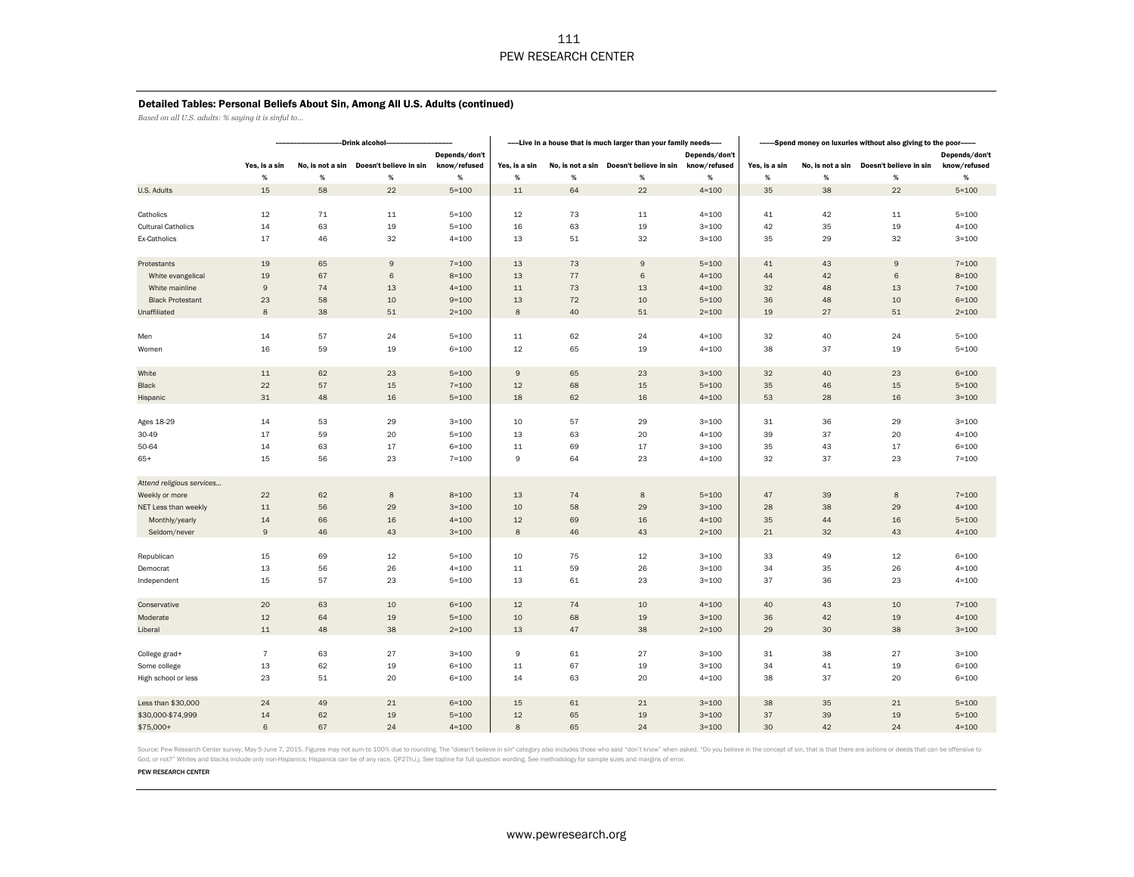### Detailed Tables: Personal Beliefs About Sin, Among All U.S. Adults (continued)

*Based on all U.S. adults: % saying it is sinful to…*

|                           |                |      | -Drink alcohol-                                 |                               |                       |      | ----Live in a house that is much larger than your family needs----- |                      |                       | --------Spend money on luxuries without also giving to the poor------- |                        |                      |
|---------------------------|----------------|------|-------------------------------------------------|-------------------------------|-----------------------|------|---------------------------------------------------------------------|----------------------|-----------------------|------------------------------------------------------------------------|------------------------|----------------------|
|                           |                |      |                                                 | Depends/don't<br>know/refused |                       |      | No, is not a sin Doesn't believe in sin                             | Depends/don't        |                       | No, is not a sin                                                       | Doesn't believe in sin | Depends/don't        |
|                           | Yes, is a sin  | $\%$ | No, is not a sin Doesn't believe in sin<br>$\%$ | $\%$                          | Yes, is a sin<br>$\%$ | $\%$ | $\%$                                                                | know/refused<br>$\%$ | Yes, is a sin<br>$\%$ | $\%$                                                                   | $\%$                   | know/refused<br>$\%$ |
|                           | $\%$           |      |                                                 |                               |                       |      |                                                                     |                      |                       |                                                                        |                        |                      |
| U.S. Adults               | 15             | 58   | 22                                              | $5 = 100$                     | $11\,$                | 64   | 22                                                                  | $4 = 100$            | 35                    | 38                                                                     | 22                     | $5 = 100$            |
| Catholics                 | 12             | 71   | $11\,$                                          | $5 = 100$                     | 12                    | 73   | $11\,$                                                              | $4 = 100$            | 41                    | 42                                                                     | $11\,$                 | $5 = 100$            |
| <b>Cultural Catholics</b> | 14             | 63   | 19                                              | $5 = 100$                     | 16                    | 63   | 19                                                                  | $3 = 100$            | 42                    | 35                                                                     | 19                     | $4 = 100$            |
| Ex-Catholics              | 17             | 46   | 32                                              | $4 = 100$                     | 13                    | 51   | 32                                                                  | $3 = 100$            | 35                    | 29                                                                     | 32                     | $3 = 100$            |
| Protestants               | 19             | 65   | $\mathsf{9}$                                    | $7 = 100$                     | 13                    | 73   | $\mathsf g$                                                         | $5 = 100$            | 41                    | 43                                                                     | $\mathsf{9}$           | $7 = 100$            |
| White evangelical         | 19             | 67   | $\,6\,$                                         | $8 = 100$                     | 13                    | 77   | $\,$ 6 $\,$                                                         | $4 = 100$            | 44                    | 42                                                                     | $\,$ 6                 | $8 = 100$            |
| White mainline            | $\mathsf g$    | 74   | 13                                              | $4 = 100$                     | 11                    | 73   | 13                                                                  | $4 = 100$            | 32                    | 48                                                                     | 13                     | $7 = 100$            |
| <b>Black Protestant</b>   | 23             | 58   | 10                                              | $9 = 100$                     | 13                    | 72   | 10                                                                  | $5 = 100$            | 36                    | 48                                                                     | 10                     | $6 = 100$            |
| Unaffiliated              | 8              | 38   | 51                                              | $2 = 100$                     | 8                     | 40   | $51\,$                                                              | $2 = 100$            | 19                    | 27                                                                     | $51\,$                 | $2 = 100$            |
|                           |                |      |                                                 |                               |                       |      |                                                                     |                      |                       |                                                                        |                        |                      |
| Men                       | 14             | 57   | 24                                              | $5 = 100$                     | 11                    | 62   | 24                                                                  | $4 = 100$            | 32                    | 40                                                                     | 24                     | $5 = 100$            |
| Women                     | 16             | 59   | 19                                              | $6 = 100$                     | 12                    | 65   | 19                                                                  | $4 = 100$            | 38                    | 37                                                                     | 19                     | $5 = 100$            |
|                           |                |      |                                                 |                               |                       |      |                                                                     |                      |                       |                                                                        |                        |                      |
| White                     | 11             | 62   | 23                                              | $5 = 100$                     | $\mathsf{9}$          | 65   | 23                                                                  | $3 = 100$            | 32                    | 40                                                                     | 23                     | $6 = 100$            |
| <b>Black</b>              | 22             | 57   | 15                                              | $7 = 100$                     | 12                    | 68   | 15                                                                  | $5 = 100$            | 35                    | 46                                                                     | 15                     | $5 = 100$            |
| Hispanic                  | 31             | 48   | 16                                              | $5 = 100$                     | 18                    | 62   | 16                                                                  | $4 = 100$            | 53                    | 28                                                                     | 16                     | $3 = 100$            |
|                           |                |      |                                                 |                               |                       |      |                                                                     |                      |                       |                                                                        |                        |                      |
| Ages 18-29                | 14             | 53   | 29                                              | $3 = 100$                     | 10                    | 57   | 29                                                                  | $3 = 100$            | 31                    | 36                                                                     | 29                     | $3 = 100$            |
| 30-49                     | 17             | 59   | 20                                              | $5 = 100$                     | 13                    | 63   | 20                                                                  | $4 = 100$            | 39                    | 37                                                                     | 20                     | $4 = 100$            |
| 50-64                     | 14             | 63   | 17                                              | $6 = 100$                     | 11                    | 69   | $17\,$                                                              | $3 = 100$            | 35                    | 43                                                                     | 17                     | $6 = 100$            |
| $65+$                     | 15             | 56   | 23                                              | $7 = 100$                     | 9                     | 64   | 23                                                                  | $4 = 100$            | 32                    | 37                                                                     | 23                     | $7 = 100$            |
|                           |                |      |                                                 |                               |                       |      |                                                                     |                      |                       |                                                                        |                        |                      |
| Attend religious services |                |      |                                                 |                               |                       |      |                                                                     |                      |                       |                                                                        |                        |                      |
| Weekly or more            | 22             | 62   | 8                                               | $8 = 100$                     | 13                    | 74   | $\bf8$                                                              | $5 = 100$            | 47                    | 39                                                                     | 8                      | $7 = 100$            |
| NET Less than weekly      | 11             | 56   | 29                                              | $3 = 100$                     | 10                    | 58   | 29                                                                  | $3 = 100$            | 28                    | 38                                                                     | 29                     | $4 = 100$            |
| Monthly/yearly            | 14             | 66   | 16                                              | $4 = 100$                     | 12                    | 69   | 16                                                                  | $4 = 100$            | 35                    | 44                                                                     | 16                     | $5 = 100$            |
| Seldom/never              | $\mathsf g$    | 46   | 43                                              | $3 = 100$                     | 8                     | 46   | 43                                                                  | $2 = 100$            | 21                    | 32                                                                     | 43                     | $4 = 100$            |
|                           |                |      |                                                 |                               |                       |      |                                                                     |                      |                       |                                                                        |                        |                      |
| Republican                | 15             | 69   | 12                                              | $5 = 100$                     | 10                    | 75   | 12                                                                  | $3 = 100$            | 33                    | 49                                                                     | 12                     | $6 = 100$            |
| Democrat                  | 13             | 56   | 26                                              | $4 = 100$                     | 11                    | 59   | 26                                                                  | $3 = 100$            | 34                    | 35                                                                     | 26                     | $4 = 100$            |
| Independent               | 15             | 57   | 23                                              | $5 = 100$                     | 13                    | 61   | 23                                                                  | $3 = 100$            | 37                    | 36                                                                     | 23                     | $4 = 100$            |
|                           |                |      |                                                 |                               |                       |      |                                                                     |                      |                       |                                                                        |                        |                      |
| Conservative              | 20             | 63   | 10                                              | $6 = 100$                     | 12                    | 74   | 10                                                                  | $4 = 100$            | 40                    | 43                                                                     | 10                     | $7 = 100$            |
| Moderate                  | 12             | 64   | 19                                              | $5 = 100$                     | 10                    | 68   | 19                                                                  | $3 = 100$            | 36                    | 42                                                                     | 19                     | $4 = 100$            |
| Liberal                   | $11\,$         | 48   | 38                                              | $2 = 100$                     | 13                    | 47   | 38                                                                  | $2 = 100$            | 29                    | 30                                                                     | 38                     | $3 = 100$            |
|                           |                |      |                                                 |                               |                       |      |                                                                     |                      |                       |                                                                        |                        |                      |
| College grad+             | $\overline{7}$ | 63   | 27                                              | $3 = 100$                     | 9                     | 61   | 27                                                                  | $3 = 100$            | 31                    | 38                                                                     | 27                     | $3 = 100$            |
| Some college              | 13             | 62   | 19                                              | $6 = 100$                     | ${\bf 11}$            | 67   | 19                                                                  | $3 = 100$            | 34                    | 41                                                                     | 19                     | $6 = 100$            |
| High school or less       | 23             | 51   | 20                                              | $6 = 100$                     | 14                    | 63   | 20                                                                  | $4 = 100$            | 38                    | 37                                                                     | 20                     | $6 = 100$            |
|                           |                |      |                                                 |                               |                       |      |                                                                     |                      |                       |                                                                        |                        |                      |
| Less than \$30,000        | 24             | 49   | 21                                              | $6 = 100$                     | 15                    | 61   | 21                                                                  | $3 = 100$            | 38                    | 35                                                                     | 21                     | $5 = 100$            |
| \$30,000-\$74,999         | 14             | 62   | 19                                              | $5 = 100$                     | 12                    | 65   | 19                                                                  | $3 = 100$            | 37                    | 39                                                                     | 19                     | $5 = 100$            |
| \$75,000+                 | $\,$ 6         | 67   | 24                                              | $4 = 100$                     | 8                     | 65   | 24                                                                  | $3 = 100$            | 30                    | 42                                                                     | 24                     | $4 = 100$            |
|                           |                |      |                                                 |                               |                       |      |                                                                     |                      |                       |                                                                        |                        |                      |

Source: Pew Research Center survey, May 5-June 7, 2015. Figures may not sum to 100% due to rounding. The "doesn't believe in sin" category also includes those who said "don't know" when asked, "Do you believe in the concep God, or not?" Whites and blacks include only non-Hispanics; Hispanics can be of any race. QP27h,i,j. See topline for full question wording. See methodology for sample sizes and margins of error.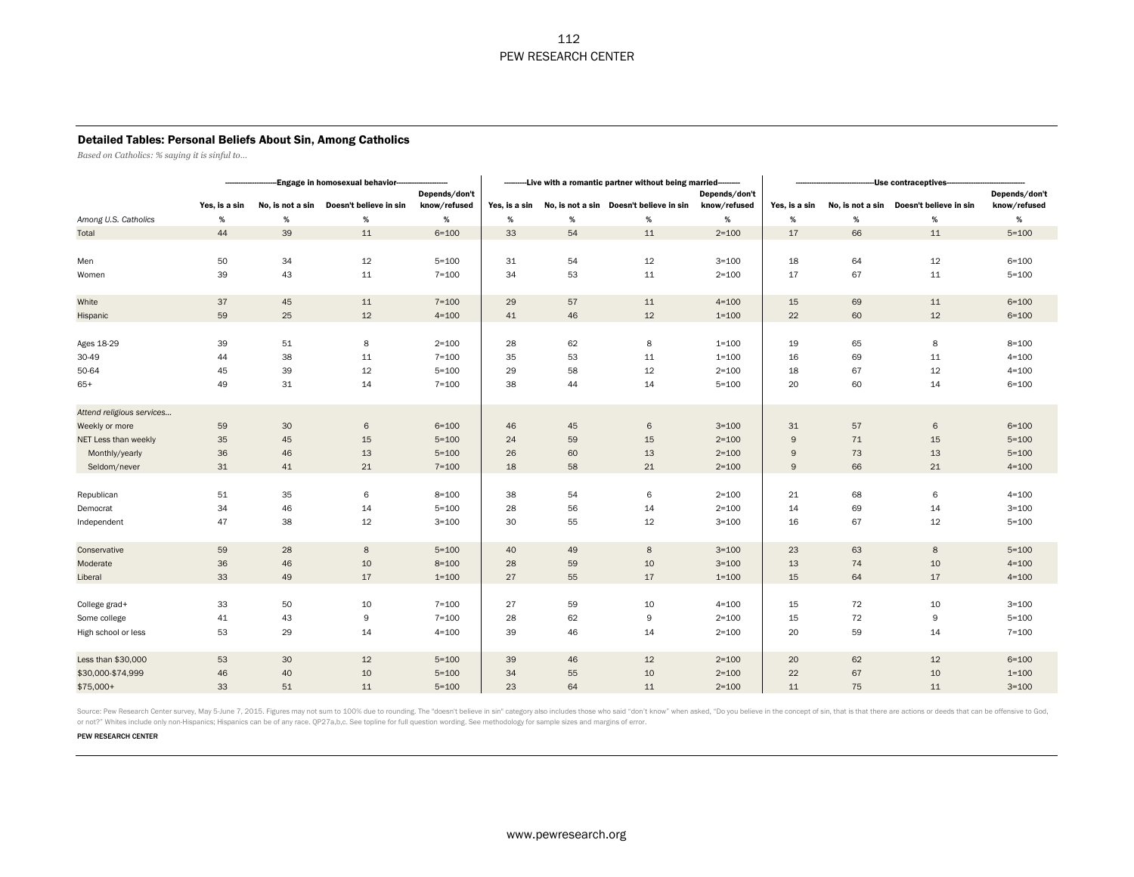## Detailed Tables: Personal Beliefs About Sin, Among Catholics

*Based on Catholics: % saying it is sinful to…*

|                           |               |                  | -Engage in homosexual behavior- |                               |               |      | --------Live with a romantic partner without being married--------- |                               |               |                  |                        |                               |
|---------------------------|---------------|------------------|---------------------------------|-------------------------------|---------------|------|---------------------------------------------------------------------|-------------------------------|---------------|------------------|------------------------|-------------------------------|
|                           | Yes, is a sin | No, is not a sin | Doesn't believe in sin          | Depends/don't<br>know/refused | Yes, is a sin |      | No, is not a sin Doesn't believe in sin                             | Depends/don't<br>know/refused | Yes, is a sin | No, is not a sin | Doesn't believe in sin | Depends/don't<br>know/refused |
| Among U.S. Catholics      | $\%$          | $\%$             | $\%$                            | %                             | $\%$          | $\%$ | $\%$                                                                | %                             | $\%$          | %                | $\%$                   | $\%$                          |
| Total                     | 44            | 39               | 11                              | $6 = 100$                     | 33            | 54   | 11                                                                  | $2 = 100$                     | 17            | 66               | 11                     | $5 = 100$                     |
|                           |               |                  |                                 |                               |               |      |                                                                     |                               |               |                  |                        |                               |
| Men                       | 50            | 34               | 12                              | $5 = 100$                     | 31            | 54   | 12                                                                  | $3 = 100$                     | 18            | 64               | 12                     | $6 = 100$                     |
| Women                     | 39            | 43               | 11                              | $7 = 100$                     | 34            | 53   | 11                                                                  | $2 = 100$                     | 17            | 67               | 11                     | $5 = 100$                     |
|                           |               |                  |                                 |                               |               |      |                                                                     |                               |               |                  |                        |                               |
| White                     | 37            | 45               | 11                              | $7 = 100$                     | 29            | 57   | 11                                                                  | $4 = 100$                     | 15            | 69               | 11                     | $6 = 100$                     |
| Hispanic                  | 59            | 25               | 12                              | $4 = 100$                     | 41            | 46   | 12                                                                  | $1 = 100$                     | 22            | 60               | 12                     | $6 = 100$                     |
|                           |               |                  |                                 |                               |               |      |                                                                     |                               |               |                  |                        |                               |
| Ages 18-29                | 39            | 51               | 8                               | $2 = 100$                     | 28            | 62   | 8                                                                   | $1 = 100$                     | 19            | 65               | 8                      | $8 = 100$                     |
| 30-49                     | 44            | 38               | 11                              | $7 = 100$                     | 35            | 53   | 11                                                                  | $1 = 100$                     | 16            | 69               | 11                     | $4 = 100$                     |
| 50-64                     | 45            | 39               | 12                              | $5 = 100$                     | 29            | 58   | $12\,$                                                              | $2 = 100$                     | 18            | 67               | $12\,$                 | $4 = 100$                     |
| $65+$                     | 49            | 31               | 14                              | $7 = 100$                     | 38            | 44   | 14                                                                  | $5 = 100$                     | 20            | 60               | 14                     | $6 = 100$                     |
|                           |               |                  |                                 |                               |               |      |                                                                     |                               |               |                  |                        |                               |
| Attend religious services |               |                  |                                 |                               |               |      |                                                                     |                               |               |                  |                        |                               |
| Weekly or more            | 59            | 30               | 6                               | $6 = 100$                     | 46            | 45   | 6                                                                   | $3 = 100$                     | 31            | 57               | 6                      | $6 = 100$                     |
| NET Less than weekly      | 35            | 45               | 15                              | $5 = 100$                     | 24            | 59   | 15                                                                  | $2 = 100$                     | 9             | 71               | 15                     | $5 = 100$                     |
| Monthly/yearly            | 36            | 46               | 13                              | $5 = 100$                     | 26            | 60   | 13                                                                  | $2 = 100$                     | 9             | 73               | 13                     | $5 = 100$                     |
| Seldom/never              | 31            | 41               | 21                              | $7 = 100$                     | 18            | 58   | 21                                                                  | $2 = 100$                     | $\mathsf g$   | 66               | 21                     | $4 = 100$                     |
|                           |               |                  |                                 |                               |               |      |                                                                     |                               |               |                  |                        |                               |
| Republican                | 51            | 35               | 6                               | $8 = 100$                     | 38            | 54   | 6                                                                   | $2 = 100$                     | 21            | 68               | 6                      | $4 = 100$                     |
| Democrat                  | 34            | 46               | 14                              | $5 = 100$                     | 28            | 56   | 14                                                                  | $2 = 100$                     | 14            | 69               | 14                     | $3 = 100$                     |
| Independent               | 47            | 38               | 12                              | $3 = 100$                     | 30            | 55   | 12                                                                  | $3 = 100$                     | 16            | 67               | 12                     | $5 = 100$                     |
|                           |               |                  |                                 |                               |               |      |                                                                     |                               |               |                  |                        |                               |
| Conservative              | 59            | 28               | $\bf8$                          | $5 = 100$                     | 40            | 49   | 8                                                                   | $3 = 100$                     | 23            | 63               | $\boldsymbol{8}$       | $5 = 100$                     |
| Moderate                  | 36            | 46               | 10                              | $8 = 100$                     | 28            | 59   | 10                                                                  | $3 = 100$                     | 13            | 74               | 10                     | $4 = 100$                     |
| Liberal                   | 33            | 49               | 17                              | $1 = 100$                     | 27            | 55   | 17                                                                  | $1 = 100$                     | 15            | 64               | $17$                   | $4 = 100$                     |
|                           |               |                  |                                 |                               |               |      |                                                                     |                               |               |                  |                        |                               |
| College grad+             | 33            | 50               | 10                              | $7 = 100$                     | 27            | 59   | 10                                                                  | $4 = 100$                     | 15            | 72               | 10                     | $3 = 100$                     |
| Some college              | 41            | 43               | 9                               | $7 = 100$                     | 28            | 62   | 9                                                                   | $2 = 100$                     | 15            | 72               | 9                      | $5 = 100$                     |
| High school or less       | 53            | 29               | 14                              | $4 = 100$                     | 39            | 46   | 14                                                                  | $2 = 100$                     | 20            | 59               | 14                     | $7 = 100$                     |
|                           |               |                  |                                 |                               |               |      |                                                                     |                               |               |                  |                        |                               |
| Less than \$30,000        | 53            | 30               | 12                              | $5 = 100$                     | 39            | 46   | 12                                                                  | $2 = 100$                     | 20            | 62               | 12                     | $6 = 100$                     |
| \$30,000-\$74,999         | 46            | 40               | 10                              | $5 = 100$                     | 34            | 55   | 10                                                                  | $2 = 100$                     | 22            | 67               | 10                     | $1 = 100$                     |
| $$75,000+$                | 33            | 51               | 11                              | $5 = 100$                     | 23            | 64   | 11                                                                  | $2 = 100$                     | 11            | 75               | 11                     | $3 = 100$                     |

Source: Pew Research Center survey, May 5-June 7, 2015. Figures may not sum to 100% due to rounding. The "doesn't believe in sin" category also includes those who said "don't know" when asked, "Do you believe in the concep or not?" Whites include only non-Hispanics; Hispanics can be of any race. QP27a,b,c. See topline for full question wording. See methodology for sample sizes and margins of error.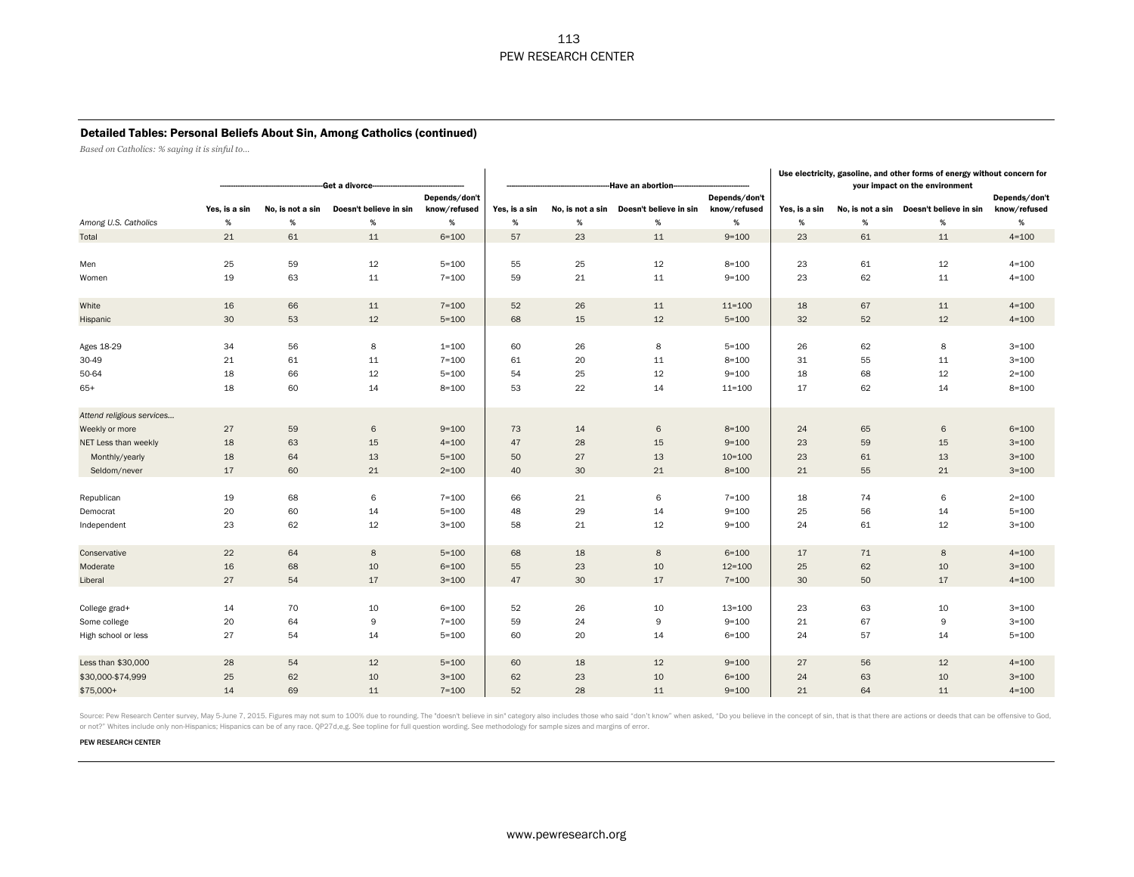### Detailed Tables: Personal Beliefs About Sin, Among Catholics (continued)

*Based on Catholics: % saying it is sinful to…*

|                           |               |                  | -Get a divorce-        |               |               |                  | -Have an abortion-     |               | Use electricity, gasoline, and other forms of energy without concern for<br>your impact on the environment |                  |                        |               |  |  |  |
|---------------------------|---------------|------------------|------------------------|---------------|---------------|------------------|------------------------|---------------|------------------------------------------------------------------------------------------------------------|------------------|------------------------|---------------|--|--|--|
|                           |               |                  |                        | Depends/don't |               |                  |                        | Depends/don't |                                                                                                            |                  |                        | Depends/don't |  |  |  |
|                           | Yes, is a sin | No, is not a sin | Doesn't believe in sin | know/refused  | Yes, is a sin | No, is not a sin | Doesn't believe in sin | know/refused  | Yes, is a sin                                                                                              | No, is not a sin | Doesn't believe in sin | know/refused  |  |  |  |
| Among U.S. Catholics      | $\%$          | %                | $\%$                   | %             | %             | $\%$             | $\%$                   | $\%$          | $\%$                                                                                                       | %                | $\%$                   | $\%$          |  |  |  |
| Total                     | 21            | 61               | 11                     | $6 = 100$     | 57            | 23               | 11                     | $9 = 100$     | 23                                                                                                         | 61               | 11                     | $4 = 100$     |  |  |  |
|                           |               |                  |                        |               |               |                  |                        |               |                                                                                                            |                  |                        |               |  |  |  |
| Men                       | 25            | 59               | 12                     | $5 = 100$     | 55            | 25               | 12                     | $8 = 100$     | 23                                                                                                         | 61               | 12                     | $4 = 100$     |  |  |  |
| Women                     | 19            | 63               | 11                     | $7 = 100$     | 59            | 21               | 11                     | $9 = 100$     | 23                                                                                                         | 62               | 11                     | $4 = 100$     |  |  |  |
|                           |               |                  |                        |               |               |                  |                        |               |                                                                                                            |                  |                        |               |  |  |  |
| White                     | 16            | 66               | 11                     | $7 = 100$     | 52            | 26               | 11                     | $11=100$      | 18                                                                                                         | 67               | 11                     | $4 = 100$     |  |  |  |
| Hispanic                  | 30            | 53               | 12                     | $5 = 100$     | 68            | 15               | 12                     | $5 = 100$     | 32                                                                                                         | 52               | $12$                   | $4 = 100$     |  |  |  |
|                           |               |                  |                        |               |               |                  |                        |               |                                                                                                            |                  |                        |               |  |  |  |
| Ages 18-29                | 34            | 56               | 8                      | $1 = 100$     | 60            | 26               | 8                      | $5 = 100$     | 26                                                                                                         | 62               | 8                      | $3 = 100$     |  |  |  |
| 30-49                     | 21            | 61               | 11                     | $7 = 100$     | 61            | 20               | 11                     | $8 = 100$     | 31                                                                                                         | 55               | 11                     | $3 = 100$     |  |  |  |
| 50-64                     | 18            | 66               | 12                     | $5 = 100$     | 54            | 25               | 12                     | $9 = 100$     | 18                                                                                                         | 68               | 12                     | $2 = 100$     |  |  |  |
| $65+$                     | 18            | 60               | 14                     | $8 = 100$     | 53            | 22               | 14                     | $11 = 100$    | 17                                                                                                         | 62               | 14                     | $8 = 100$     |  |  |  |
|                           |               |                  |                        |               |               |                  |                        |               |                                                                                                            |                  |                        |               |  |  |  |
| Attend religious services |               |                  |                        |               |               |                  |                        |               |                                                                                                            |                  |                        |               |  |  |  |
| Weekly or more            | 27            | 59               | 6                      | $9 = 100$     | 73            | 14               | 6                      | $8 = 100$     | 24                                                                                                         | 65               | 6                      | $6 = 100$     |  |  |  |
| NET Less than weekly      | 18            | 63               | 15                     | $4 = 100$     | 47            | 28               | 15                     | $9 = 100$     | 23                                                                                                         | 59               | 15                     | $3 = 100$     |  |  |  |
| Monthly/yearly            | 18            | 64               | 13                     | $5 = 100$     | 50            | 27               | 13                     | $10 = 100$    | 23                                                                                                         | 61               | 13                     | $3 = 100$     |  |  |  |
| Seldom/never              | 17            | 60               | 21                     | $2 = 100$     | 40            | 30               | 21                     | $8 = 100$     | 21                                                                                                         | 55               | 21                     | $3 = 100$     |  |  |  |
|                           |               |                  |                        |               |               |                  |                        |               |                                                                                                            |                  |                        |               |  |  |  |
| Republican                | 19            | 68               | 6                      | $7 = 100$     | 66            | 21               | 6                      | $7 = 100$     | 18                                                                                                         | 74               | 6                      | $2 = 100$     |  |  |  |
| Democrat                  | 20            | 60               | 14                     | $5 = 100$     | 48            | 29               | 14                     | $9 = 100$     | 25                                                                                                         | 56               | 14                     | $5 = 100$     |  |  |  |
| Independent               | 23            | 62               | 12                     | $3 = 100$     | 58            | 21               | 12                     | $9 = 100$     | 24                                                                                                         | 61               | 12                     | $3 = 100$     |  |  |  |
|                           |               |                  |                        |               |               |                  |                        |               |                                                                                                            |                  |                        |               |  |  |  |
| Conservative              | 22            | 64               | 8                      | $5 = 100$     | 68            | 18               | $\bf8$                 | $6 = 100$     | 17                                                                                                         | 71               | $\bf8$                 | $4 = 100$     |  |  |  |
| Moderate                  | 16            | 68               | 10                     | $6 = 100$     | 55            | 23               | 10                     | $12 = 100$    | 25                                                                                                         | 62               | 10                     | $3 = 100$     |  |  |  |
| Liberal                   | 27            | 54               | 17                     | $3 = 100$     | 47            | 30               | $17$                   | $7 = 100$     | 30                                                                                                         | 50               | $17$                   | $4 = 100$     |  |  |  |
|                           |               |                  |                        |               |               |                  |                        |               |                                                                                                            |                  |                        |               |  |  |  |
| College grad+             | 14            | 70               | 10                     | $6 = 100$     | 52            | 26               | 10                     | $13 = 100$    | 23                                                                                                         | 63               | 10                     | $3 = 100$     |  |  |  |
| Some college              | 20            | 64               | 9                      | $7 = 100$     | 59            | 24               | 9                      | $9 = 100$     | 21                                                                                                         | 67               | 9                      | $3 = 100$     |  |  |  |
| High school or less       | 27            | 54               | 14                     | $5 = 100$     | 60            | 20               | 14                     | $6 = 100$     | 24                                                                                                         | 57               | 14                     | $5 = 100$     |  |  |  |
|                           |               |                  |                        |               |               |                  |                        |               |                                                                                                            |                  |                        |               |  |  |  |
| Less than \$30,000        | 28            | 54               | $12$                   | $5 = 100$     | 60            | 18               | $12$                   | $9 = 100$     | 27                                                                                                         | 56               | $12\,$                 | $4 = 100$     |  |  |  |
| \$30,000-\$74,999         | 25            | 62               | 10                     | $3 = 100$     | 62            | 23               | 10                     | $6 = 100$     | 24                                                                                                         | 63               | 10                     | $3 = 100$     |  |  |  |
| $$75,000+$                | 14            | 69               | 11                     | $7 = 100$     | 52            | 28               | 11                     | $9 = 100$     | 21                                                                                                         | 64               | 11                     | $4 = 100$     |  |  |  |

Source: Pew Research Center survey, May 5-June 7, 2015. Figures may not sum to 100% due to rounding. The "doesn't believe in sin" category also includes those who said "don't know" when asked, "Do you believe in the concep or not?" Whites include only non-Hispanics; Hispanics can be of any race. QP27d,e,g. See topline for full question wording. See methodology for sample sizes and margins of error.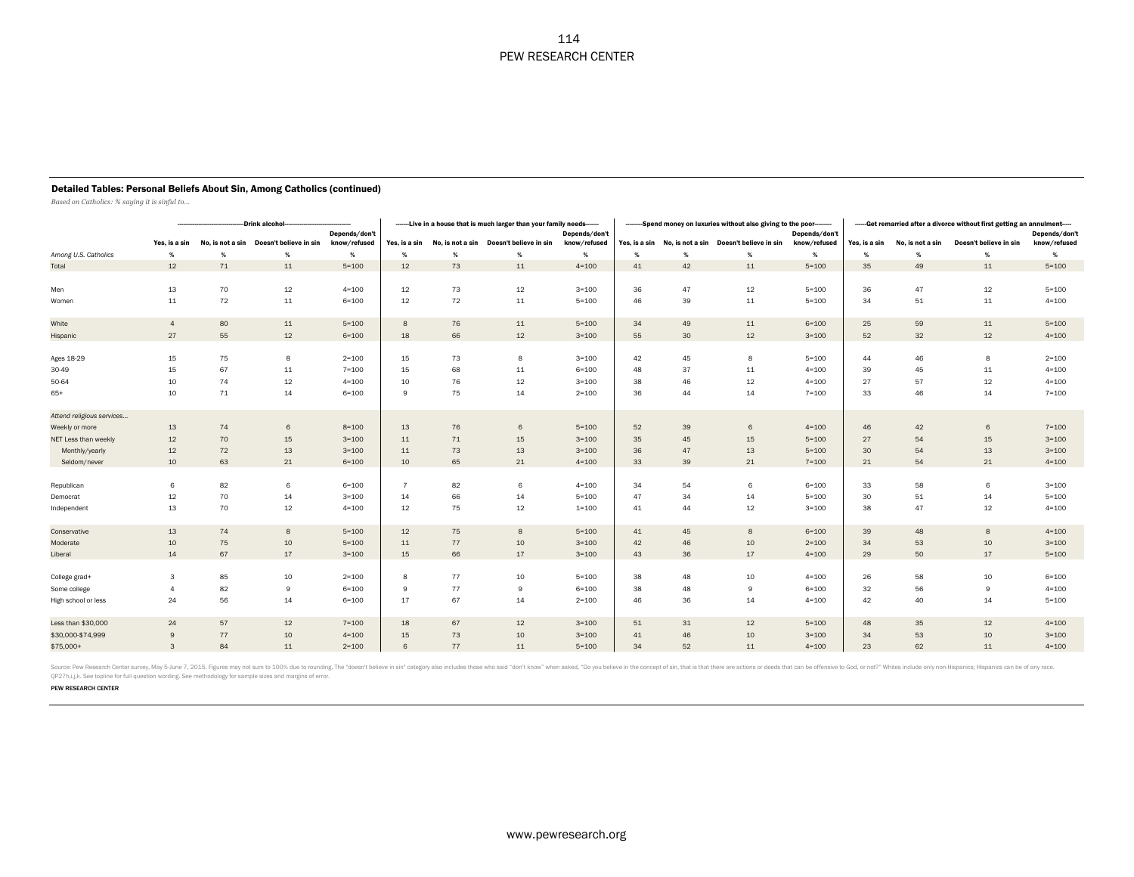### Detailed Tables: Personal Beliefs About Sin, Among Catholics (continued)

*Based on Catholics: % saying it is sinful to…*

|                           | -Drink alcohol-<br>Depends/don't |    |                                         |              |               |    | ------Live in a house that is much larger than your family needs------ | Depends/don't |    |    | --------Spend money on luxuries without also giving to the poor-------- | Depends/don't |               |                  | --------Get remarried after a divorce without first getting an annulment---- | Depends/don't |
|---------------------------|----------------------------------|----|-----------------------------------------|--------------|---------------|----|------------------------------------------------------------------------|---------------|----|----|-------------------------------------------------------------------------|---------------|---------------|------------------|------------------------------------------------------------------------------|---------------|
|                           | Yes, is a sin                    |    | No, is not a sin Doesn't believe in sin | know/refused | Yes, is a sin |    | No, is not a sin Doesn't believe in sin                                | know/refused  |    |    | Yes, is a sin No, is not a sin Doesn't believe in sin                   | know/refused  | Yes, is a sin | No, is not a sin | Doesn't believe in sin                                                       | know/refused  |
| Among U.S. Catholics      | %                                | %  | %                                       | %            | %             | %  | %                                                                      | %             | %  | %  | %                                                                       | %             | %             | %                | %                                                                            | %             |
| Total                     | 12                               | 71 | 11                                      | $5 = 100$    | 12            | 73 | 11                                                                     | $4 = 100$     | 41 | 42 | 11                                                                      | $5 = 100$     | 35            | 49               | 11                                                                           | $5 = 100$     |
|                           |                                  |    |                                         |              |               |    |                                                                        |               |    |    |                                                                         |               |               |                  |                                                                              |               |
| Men                       | 13                               | 70 | 12                                      | $4 = 100$    | 12            | 73 | 12                                                                     | $3 = 100$     | 36 | 47 | 12                                                                      | $5 = 100$     | 36            | 47               | 12                                                                           | $5 = 100$     |
| Women                     | 11                               | 72 | 11                                      | $6 = 100$    | 12            | 72 | $11\,$                                                                 | $5 = 100$     | 46 | 39 | 11                                                                      | $5 = 100$     | 34            | 51               | 11                                                                           | $4 = 100$     |
|                           |                                  |    |                                         |              |               |    |                                                                        |               |    |    |                                                                         |               |               |                  |                                                                              |               |
| White                     | $\overline{4}$                   | 80 | 11                                      | $5 = 100$    | $\mathbf{g}$  | 76 | 11                                                                     | $5 = 100$     | 34 | 49 | 11                                                                      | $6 = 100$     | 25            | 59               | 11                                                                           | $5 = 100$     |
| Hispanic                  | 27                               | 55 | 12                                      | $6 = 100$    | 18            | 66 | 12                                                                     | $3 = 100$     | 55 | 30 | 12                                                                      | $3 = 100$     | 52            | 32               | 12                                                                           | $4 = 100$     |
|                           |                                  |    |                                         |              |               |    |                                                                        |               |    |    |                                                                         |               |               |                  |                                                                              |               |
| Ages 18-29                | 15                               | 75 | 8                                       | $2 = 100$    | 15            | 73 | 8                                                                      | $3 = 100$     | 42 | 45 | 8                                                                       | $5 = 100$     | 44            | 46               | 8                                                                            | $2 = 100$     |
| 30-49                     | 15                               | 67 | 11                                      | $7 = 100$    | 15            | 68 | 11                                                                     | $6 = 100$     | 48 | 37 | 11                                                                      | $4 = 100$     | 39            | 45               | 11                                                                           | $4 = 100$     |
| 50-64                     | 10                               | 74 | 12                                      | $4 = 100$    | 10            | 76 | $12\,$                                                                 | $3 = 100$     | 38 | 46 | 12                                                                      | $4 = 100$     | 27            | 57               | 12                                                                           | $4 = 100$     |
| $65+$                     | 10                               | 71 | 14                                      | $6 = 100$    | 9             | 75 | 14                                                                     | $2 = 100$     | 36 | 44 | 14                                                                      | $7 = 100$     | 33            | 46               | 14                                                                           | $7 = 100$     |
|                           |                                  |    |                                         |              |               |    |                                                                        |               |    |    |                                                                         |               |               |                  |                                                                              |               |
| Attend religious services |                                  |    |                                         |              |               |    |                                                                        |               |    |    |                                                                         |               |               |                  |                                                                              |               |
| Weekly or more            | 13                               | 74 | $\,6\,$                                 | $8 = 100$    | 13            | 76 | 6                                                                      | $5 = 100$     | 52 | 39 | 6                                                                       | $4 = 100$     | 46            | 42               | $6\overline{6}$                                                              | $7 = 100$     |
| NET Less than weekly      | 12                               | 70 | 15                                      | $3 = 100$    | 11            | 71 | 15                                                                     | $3 = 100$     | 35 | 45 | 15                                                                      | $5 = 100$     | 27            | 54               | 15                                                                           | $3 = 100$     |
| Monthly/yearly            | 12                               | 72 | 13                                      | $3 = 100$    | $11\,$        | 73 | 13                                                                     | $3 = 100$     | 36 | 47 | 13                                                                      | $5 = 100$     | 30            | 54               | 13                                                                           | $3 = 100$     |
| Seldom/never              | 10                               | 63 | 21                                      | $6 = 100$    | 10            | 65 | 21                                                                     | $4 = 100$     | 33 | 39 | 21                                                                      | $7 = 100$     | 21            | 54               | 21                                                                           | $4 = 100$     |
|                           |                                  |    |                                         |              |               |    |                                                                        |               |    |    |                                                                         |               |               |                  |                                                                              |               |
| Republican                | 6                                | 82 | 6                                       | $6 = 100$    |               | 82 | 6                                                                      | $4 = 100$     | 34 | 54 | 6                                                                       | $6 = 100$     | 33            | 58               | 6                                                                            | $3 = 100$     |
| Democrat                  | 12                               | 70 | 14                                      | $3 = 100$    | 14            | 66 | 14                                                                     | $5 = 100$     | 47 | 34 | 14                                                                      | $5 = 100$     | 30            | 51               | 14                                                                           | $5 = 100$     |
| Independent               | 13                               | 70 | 12                                      | $4 = 100$    | 12            | 75 | $12\,$                                                                 | $1 = 100$     | 41 | 44 | 12                                                                      | $3 = 100$     | 38            | 47               | 12                                                                           | $4 = 100$     |
|                           |                                  |    |                                         |              |               |    |                                                                        |               |    |    |                                                                         |               |               |                  |                                                                              |               |
| Conservative              | 13                               | 74 | 8                                       | $5 = 100$    | 12            | 75 | 8                                                                      | $5 = 100$     | 41 | 45 | 8                                                                       | $6 = 100$     | 39            | 48               | 8                                                                            | $4 = 100$     |
| Moderate                  | 10                               | 75 | 10                                      | $5 = 100$    | 11            | 77 | 10                                                                     | $3 = 100$     | 42 | 46 | 10                                                                      | $2 = 100$     | 34            | 53               | 10                                                                           | $3 = 100$     |
| Liberal                   | 14                               | 67 | 17                                      | $3 = 100$    | 15            | 66 | $17$                                                                   | $3 = 100$     | 43 | 36 | 17                                                                      | $4 = 100$     | 29            | 50               | 17                                                                           | $5 = 100$     |
|                           |                                  |    |                                         |              |               |    |                                                                        |               |    |    |                                                                         |               |               |                  |                                                                              |               |
| College grad+             | 3                                | 85 | 10                                      | $2 = 100$    | 8             | 77 | 10                                                                     | $5 = 100$     | 38 | 48 | 10                                                                      | $4 = 100$     | 26            | 58               | 10                                                                           | $6 = 100$     |
| Some college              | $\overline{4}$                   | 82 | 9                                       | $6 = 100$    | 9             | 77 | 9                                                                      | $6 = 100$     | 38 | 48 | 9                                                                       | $6 = 100$     | 32            | 56               | 9                                                                            | $4 = 100$     |
| High school or less       | 24                               | 56 | 14                                      | $6 = 100$    | 17            | 67 | 14                                                                     | $2 = 100$     | 46 | 36 | 14                                                                      | $4 = 100$     | 42            | 40               | 14                                                                           | $5 = 100$     |
|                           |                                  |    |                                         |              |               |    |                                                                        |               |    |    |                                                                         |               |               |                  |                                                                              |               |
| Less than \$30,000        | 24                               | 57 | 12                                      | $7 = 100$    | 18            | 67 | 12                                                                     | $3 = 100$     | 51 | 31 | 12                                                                      | $5 = 100$     | 48            | 35               | 12                                                                           | $4 = 100$     |
| \$30,000-\$74,999         | 9                                | 77 | 10                                      | $4 = 100$    | 15            | 73 | 10                                                                     | $3 = 100$     | 41 | 46 | 10                                                                      | $3 = 100$     | 34            | 53               | 10                                                                           | $3 = 100$     |
| $$75,000+$                | 3                                | 84 | 11                                      | $2 = 100$    | 6             | 77 | 11                                                                     | $5 = 100$     | 34 | 52 | 11                                                                      | $4 = 100$     | 23            | 62               | 11                                                                           | $4 = 100$     |

Source: Pew Research Center survey, May 5-June 7, 2015. Figures may not sum to 100% due to rounding. The "doesn't believe in sin" category also includes those who said "don't know" when asked, "Do you believe in the concep QP27h,i,j,k. See topline for full question wording. See methodology for sample sizes and margins of error.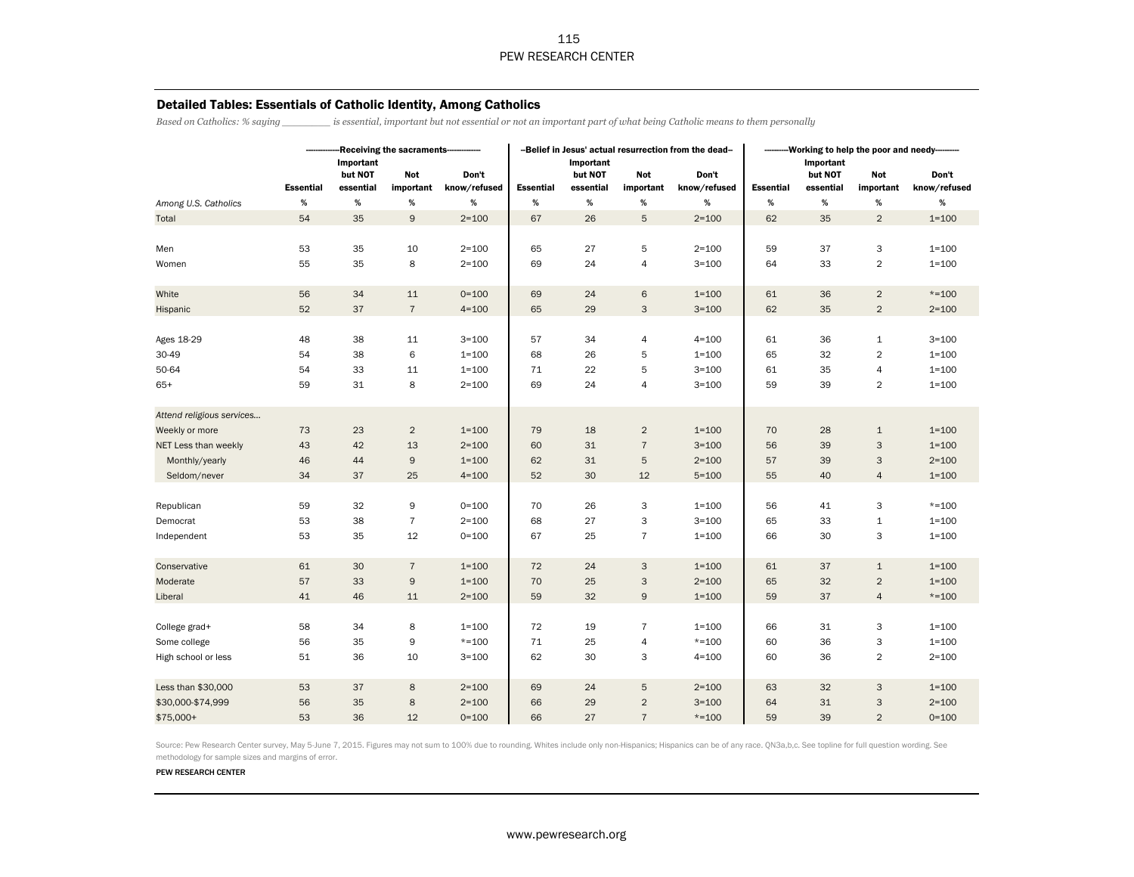# Detailed Tables: Essentials of Catholic Identity, Among Catholics

*Based on Catholics: % saying \_\_\_\_\_\_\_\_ is essential, important but not essential or not an important part of what being Catholic means to them personally*

|                           |                  | Important            | -Receiving the sacraments-- |                       |                  | Important            |                  | --Belief in Jesus' actual resurrection from the dead-- |                  | ---Working to help the poor and needy---------<br>Important |                  |                       |  |  |
|---------------------------|------------------|----------------------|-----------------------------|-----------------------|------------------|----------------------|------------------|--------------------------------------------------------|------------------|-------------------------------------------------------------|------------------|-----------------------|--|--|
|                           | <b>Essential</b> | but NOT<br>essential | Not<br>important            | Don't<br>know/refused | <b>Essential</b> | but NOT<br>essential | Not<br>important | Don't<br>know/refused                                  | <b>Essential</b> | but NOT<br>essential                                        | Not<br>important | Don't<br>know/refused |  |  |
| Among U.S. Catholics      | $\%$             | $\%$                 | $\%$                        | $\%$                  | $\%$             | $\%$                 | $\%$             | $\%$                                                   | $\%$             | $\%$                                                        | $\%$             | $\%$                  |  |  |
| Total                     | 54               | 35                   | $\mathsf 9$                 | $2 = 100$             | 67               | 26                   | $5\phantom{.0}$  | $2 = 100$                                              | 62               | 35                                                          | $\overline{2}$   | $1 = 100$             |  |  |
|                           |                  |                      |                             |                       |                  |                      |                  |                                                        |                  |                                                             |                  |                       |  |  |
| Men                       | 53               | 35                   | 10                          | $2 = 100$             | 65               | 27                   | 5                | $2 = 100$                                              | 59               | 37                                                          | 3                | $1 = 100$             |  |  |
| Women                     | 55               | 35                   | 8                           | $2 = 100$             | 69               | 24                   | $\overline{4}$   | $3 = 100$                                              | 64               | 33                                                          | $\mathbf 2$      | $1 = 100$             |  |  |
|                           |                  |                      |                             |                       |                  |                      |                  |                                                        |                  |                                                             |                  |                       |  |  |
| White                     | 56               | 34                   | 11                          | $0 = 100$             | 69               | 24                   | $6\phantom{1}6$  | $1 = 100$                                              | 61               | 36                                                          | $\overline{c}$   | $* = 100$             |  |  |
| Hispanic                  | 52               | 37                   | $\overline{7}$              | $4 = 100$             | 65               | 29                   | $\mathbf{3}$     | $3 = 100$                                              | 62               | 35                                                          | $\overline{c}$   | $2 = 100$             |  |  |
|                           |                  |                      |                             |                       |                  |                      |                  |                                                        |                  |                                                             |                  |                       |  |  |
| Ages 18-29                | 48               | 38                   | 11                          | $3 = 100$             | 57               | 34                   | 4                | $4 = 100$                                              | 61               | 36                                                          | $\mathbf{1}$     | $3 = 100$             |  |  |
| 30-49                     | 54               | 38                   | 6                           | $1 = 100$             | 68               | 26                   | 5                | $1 = 100$                                              | 65               | 32                                                          | $\overline{2}$   | $1 = 100$             |  |  |
| 50-64                     | 54               | 33                   | 11                          | $1 = 100$             | 71               | 22                   | 5                | $3 = 100$                                              | 61               | 35                                                          | 4                | $1 = 100$             |  |  |
| $65+$                     | 59               | 31                   | 8                           | $2 = 100$             | 69               | 24                   | 4                | $3 = 100$                                              | 59               | 39                                                          | $\overline{2}$   | $1 = 100$             |  |  |
|                           |                  |                      |                             |                       |                  |                      |                  |                                                        |                  |                                                             |                  |                       |  |  |
| Attend religious services |                  |                      |                             |                       |                  |                      |                  |                                                        |                  |                                                             |                  |                       |  |  |
| Weekly or more            | 73               | 23                   | $\overline{2}$              | $1 = 100$             | 79               | 18                   | $\overline{2}$   | $1 = 100$                                              | 70               | 28                                                          | $\mathbf 1$      | $1 = 100$             |  |  |
| NET Less than weekly      | 43               | 42                   | 13                          | $2 = 100$             | 60               | 31                   | $\overline{7}$   | $3 = 100$                                              | 56               | 39                                                          | 3                | $1 = 100$             |  |  |
| Monthly/yearly            | 46               | 44                   | 9                           | $1 = 100$             | 62               | 31                   | 5                | $2 = 100$                                              | 57               | 39                                                          | 3                | $2 = 100$             |  |  |
| Seldom/never              | 34               | 37                   | 25                          | $4 = 100$             | 52               | 30                   | 12               | $5 = 100$                                              | 55               | 40                                                          | $\overline{4}$   | $1 = 100$             |  |  |
|                           |                  |                      |                             |                       |                  |                      |                  |                                                        |                  |                                                             |                  |                       |  |  |
| Republican                | 59               | 32                   | 9                           | $0 = 100$             | 70               | 26                   | 3                | $1 = 100$                                              | 56               | 41                                                          | 3                | $* = 100$             |  |  |
| Democrat                  | 53               | 38                   | $\overline{7}$              | $2 = 100$             | 68               | 27                   | 3                | $3 = 100$                                              | 65               | 33                                                          | $\mathbf 1$      | $1 = 100$             |  |  |
| Independent               | 53               | 35                   | 12                          | $0 = 100$             | 67               | 25                   | $\overline{7}$   | $1 = 100$                                              | 66               | 30                                                          | 3                | $1 = 100$             |  |  |
|                           |                  |                      |                             |                       |                  |                      |                  |                                                        |                  |                                                             |                  |                       |  |  |
| Conservative              | 61               | 30                   | $\overline{7}$              | $1 = 100$             | 72               | 24                   | $\mathbf{3}$     | $1 = 100$                                              | 61               | 37                                                          | $\mathbf 1$      | $1 = 100$             |  |  |
| Moderate                  | 57               | 33                   | $\mathsf 9$                 | $1 = 100$             | 70               | 25                   | 3                | $2 = 100$                                              | 65               | 32                                                          | $\sqrt{2}$       | $1 = 100$             |  |  |
| Liberal                   | 41               | 46                   | $11\,$                      | $2 = 100$             | 59               | 32                   | $\mathsf 9$      | $1 = 100$                                              | 59               | 37                                                          | $\overline{4}$   | $* = 100$             |  |  |
|                           |                  |                      |                             |                       |                  |                      |                  |                                                        |                  |                                                             |                  |                       |  |  |
| College grad+             | 58               | 34                   | 8                           | $1 = 100$             | 72               | 19                   | $\overline{7}$   | $1 = 100$                                              | 66               | 31                                                          | 3                | $1 = 100$             |  |  |
| Some college              | 56               | 35                   | 9                           | $*=100$               | 71               | 25                   | 4                | $* = 100$                                              | 60               | 36                                                          | 3                | $1 = 100$             |  |  |
| High school or less       | 51               | 36                   | 10                          | $3 = 100$             | 62               | 30                   | 3                | $4 = 100$                                              | 60               | 36                                                          | $\overline{c}$   | $2 = 100$             |  |  |
|                           |                  |                      |                             |                       |                  |                      |                  |                                                        |                  |                                                             |                  |                       |  |  |
| Less than \$30,000        | 53               | 37                   | 8                           | $2 = 100$             | 69               | 24                   | $5\phantom{.0}$  | $2 = 100$                                              | 63               | 32                                                          | 3                | $1 = 100$             |  |  |
| \$30,000-\$74,999         | 56               | 35                   | 8                           | $2 = 100$             | 66               | 29                   | $\overline{2}$   | $3 = 100$                                              | 64               | 31                                                          | 3                | $2 = 100$             |  |  |
| \$75,000+                 | 53               | 36                   | 12                          | $0 = 100$             | 66               | 27                   | $\overline{7}$   | $* = 100$                                              | 59               | 39                                                          | $\overline{2}$   | $0 = 100$             |  |  |

Source: Pew Research Center survey, May 5-June 7, 2015. Figures may not sum to 100% due to rounding. Whites include only non-Hispanics; Hispanics can be of any race. QN3a,b,c. See topline for full question wording. See methodology for sample sizes and margins of error.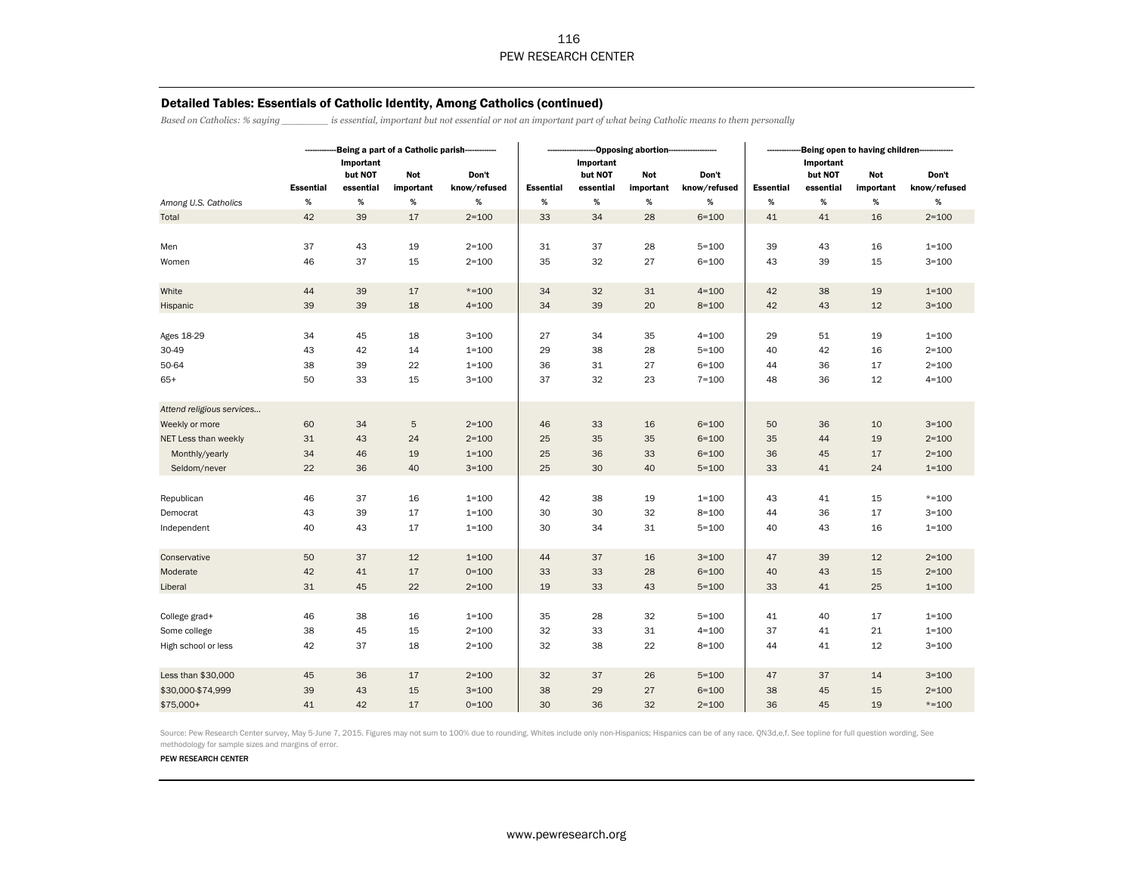# Detailed Tables: Essentials of Catholic Identity, Among Catholics (continued)

*Based on Catholics: % saying \_\_\_\_\_\_\_\_ is essential, important but not essential or not an important part of what being Catholic means to them personally*

|                           |                  | Important |             | -Being a part of a Catholic parish------------- |                  | Important | -Opposing abortion-- |              | -Being open to having children--------------<br>Important |           |           |              |  |
|---------------------------|------------------|-----------|-------------|-------------------------------------------------|------------------|-----------|----------------------|--------------|-----------------------------------------------------------|-----------|-----------|--------------|--|
|                           |                  | but NOT   | Not         | Don't                                           |                  | but NOT   | Not                  | Don't        |                                                           | but NOT   | Not       | Don't        |  |
|                           | <b>Essential</b> | essential | important   | know/refused                                    | <b>Essential</b> | essential | important            | know/refused | <b>Essential</b>                                          | essential | important | know/refused |  |
| Among U.S. Catholics      | $\%$             | $\%$      | $\%$        | %                                               | $\%$             | $\%$      | $\%$                 | $\%$         | $\%$                                                      | $\%$      | $\%$      | $\%$         |  |
| Total                     | 42               | 39        | 17          | $2 = 100$                                       | 33               | 34        | 28                   | $6 = 100$    | 41                                                        | 41        | 16        | $2 = 100$    |  |
|                           |                  |           |             |                                                 |                  |           |                      |              |                                                           |           |           |              |  |
| Men                       | 37               | 43        | 19          | $2 = 100$                                       | 31               | 37        | 28                   | $5 = 100$    | 39                                                        | 43        | 16        | $1 = 100$    |  |
| Women                     | 46               | 37        | 15          | $2 = 100$                                       | 35               | 32        | 27                   | $6 = 100$    | 43                                                        | 39        | 15        | $3 = 100$    |  |
|                           |                  |           |             |                                                 |                  |           |                      |              |                                                           |           |           |              |  |
| White                     | 44               | 39        | 17          | $*=100$                                         | 34               | 32        | 31                   | $4 = 100$    | 42                                                        | 38        | 19        | $1 = 100$    |  |
| Hispanic                  | 39               | 39        | 18          | $4 = 100$                                       | 34               | 39        | 20                   | $8 = 100$    | 42                                                        | 43        | 12        | $3 = 100$    |  |
|                           |                  |           |             |                                                 |                  |           |                      |              |                                                           |           |           |              |  |
| Ages 18-29                | 34               | 45        | 18          | $3 = 100$                                       | 27               | 34        | 35                   | $4 = 100$    | 29                                                        | 51        | 19        | $1 = 100$    |  |
| 30-49                     | 43               | 42        | 14          | $1 = 100$                                       | 29               | 38        | 28                   | $5 = 100$    | 40                                                        | 42        | 16        | $2 = 100$    |  |
| 50-64                     | 38               | 39        | 22          | $1 = 100$                                       | 36               | 31        | 27                   | $6 = 100$    | 44                                                        | 36        | 17        | $2 = 100$    |  |
| $65+$                     | 50               | 33        | 15          | $3 = 100$                                       | 37               | 32        | 23                   | $7 = 100$    | 48                                                        | 36        | 12        | $4 = 100$    |  |
|                           |                  |           |             |                                                 |                  |           |                      |              |                                                           |           |           |              |  |
| Attend religious services |                  |           |             |                                                 |                  |           |                      |              |                                                           |           |           |              |  |
| Weekly or more            | 60               | 34        | $\mathbf 5$ | $2 = 100$                                       | 46               | 33        | 16                   | $6 = 100$    | 50                                                        | 36        | 10        | $3 = 100$    |  |
| NET Less than weekly      | 31               | 43        | 24          | $2 = 100$                                       | 25               | 35        | 35                   | $6 = 100$    | 35                                                        | 44        | 19        | $2 = 100$    |  |
| Monthly/yearly            | 34               | 46        | 19          | $1 = 100$                                       | 25               | 36        | 33                   | $6 = 100$    | 36                                                        | 45        | 17        | $2 = 100$    |  |
| Seldom/never              | 22               | 36        | 40          | $3 = 100$                                       | 25               | 30        | 40                   | $5 = 100$    | 33                                                        | 41        | 24        | $1 = 100$    |  |
|                           |                  |           |             |                                                 |                  |           |                      |              |                                                           |           |           |              |  |
| Republican                | 46               | 37        | 16          | $1 = 100$                                       | 42               | 38        | 19                   | $1 = 100$    | 43                                                        | 41        | 15        | $*=100$      |  |
| Democrat                  | 43               | 39        | 17          | $1 = 100$                                       | 30               | 30        | 32                   | $8 = 100$    | 44                                                        | 36        | 17        | $3 = 100$    |  |
| Independent               | 40               | 43        | 17          | $1 = 100$                                       | 30               | 34        | 31                   | $5 = 100$    | 40                                                        | 43        | 16        | $1 = 100$    |  |
|                           |                  |           |             |                                                 |                  |           |                      |              |                                                           |           |           |              |  |
| Conservative              | 50               | 37        | 12          | $1 = 100$                                       | 44               | 37        | 16                   | $3 = 100$    | 47                                                        | 39        | 12        | $2 = 100$    |  |
| Moderate                  | 42               | 41        | 17          | $0 = 100$                                       | 33               | 33        | 28                   | $6 = 100$    | 40                                                        | 43        | 15        | $2 = 100$    |  |
| Liberal                   | 31               | 45        | 22          | $2 = 100$                                       | 19               | 33        | 43                   | $5 = 100$    | 33                                                        | 41        | 25        | $1 = 100$    |  |
|                           |                  |           |             |                                                 |                  |           |                      |              |                                                           |           |           |              |  |
| College grad+             | 46               | 38        | 16          | $1 = 100$                                       | 35               | 28        | 32                   | $5 = 100$    | 41                                                        | 40        | 17        | $1 = 100$    |  |
| Some college              | 38               | 45        | 15          | $2 = 100$                                       | 32               | 33        | 31                   | $4 = 100$    | 37                                                        | 41        | 21        | $1 = 100$    |  |
| High school or less       | 42               | 37        | 18          | $2 = 100$                                       | 32               | 38        | 22                   | $8 = 100$    | 44                                                        | 41        | 12        | $3 = 100$    |  |
|                           |                  |           |             |                                                 |                  |           |                      |              |                                                           |           |           |              |  |
| Less than \$30,000        | 45               | 36        | 17          | $2 = 100$                                       | 32               | 37        | 26                   | $5 = 100$    | 47                                                        | 37        | 14        | $3 = 100$    |  |
| \$30,000-\$74,999         | 39               | 43        | 15          | $3 = 100$                                       | 38               | 29        | 27                   | $6 = 100$    | 38                                                        | 45        | 15        | $2 = 100$    |  |
| \$75,000+                 | 41               | 42        | 17          | $0 = 100$                                       | 30               | 36        | 32                   | $2 = 100$    | 36                                                        | 45        | 19        | $* = 100$    |  |
|                           |                  |           |             |                                                 |                  |           |                      |              |                                                           |           |           |              |  |

Source: Pew Research Center survey, May 5-June 7, 2015. Figures may not sum to 100% due to rounding. Whites include only non-Hispanics; Hispanics can be of any race. QN3d,e,f. See topline for full question wording. See methodology for sample sizes and margins of error.